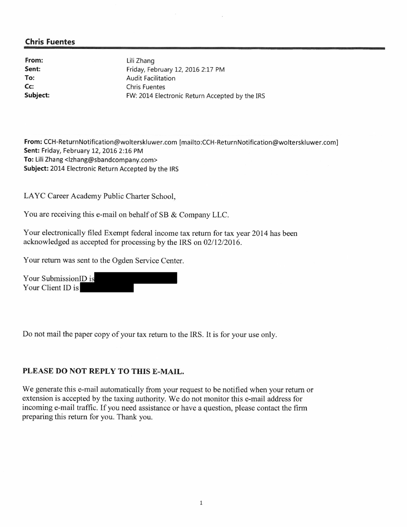# **Chris Fuentes**

From: Sent: To: Cc: Subject:

Lili Zhang Friday, February 12, 2016 2:17 PM **Audit Facilitation Chris Fuentes** FW: 2014 Electronic Return Accepted by the IRS

From: CCH-ReturnNotification@wolterskluwer.com [mailto:CCH-ReturnNotification@wolterskluwer.com] Sent: Friday, February 12, 2016 2:16 PM To: Lili Zhang <lzhang@sbandcompany.com> Subject: 2014 Electronic Return Accepted by the IRS

LAYC Career Academy Public Charter School,

You are receiving this e-mail on behalf of SB & Company LLC.

Your electronically filed Exempt federal income tax return for tax year 2014 has been acknowledged as accepted for processing by the IRS on 02/12/2016.

Your return was sent to the Ogden Service Center.

Your SubmissionID is Your Client ID is

Do not mail the paper copy of your tax return to the IRS. It is for your use only.

### PLEASE DO NOT REPLY TO THIS E-MAIL.

We generate this e-mail automatically from your request to be notified when your return or extension is accepted by the taxing authority. We do not monitor this e-mail address for incoming e-mail traffic. If you need assistance or have a question, please contact the firm preparing this return for you. Thank you.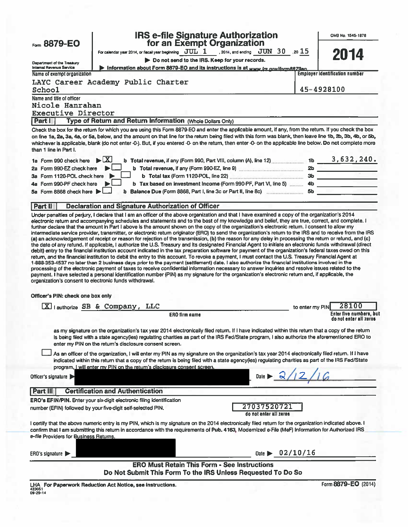|                                                                                                                                       |                                                         | <b>IRS e-file Signature Authorization</b><br>for an Exempt Organization |                                                                                                                                                                                                                                                                                                                                                                                                                                                                                                                                                                                                                                                                                                                                                                             |                 | OMB No. 1545-1878                     |
|---------------------------------------------------------------------------------------------------------------------------------------|---------------------------------------------------------|-------------------------------------------------------------------------|-----------------------------------------------------------------------------------------------------------------------------------------------------------------------------------------------------------------------------------------------------------------------------------------------------------------------------------------------------------------------------------------------------------------------------------------------------------------------------------------------------------------------------------------------------------------------------------------------------------------------------------------------------------------------------------------------------------------------------------------------------------------------------|-----------------|---------------------------------------|
| Form 8879-EO                                                                                                                          |                                                         |                                                                         | For calendar year 2014, or fiscal year beginning $JUL$ 1 .2014, and ending $JUN$ 30 .20 15                                                                                                                                                                                                                                                                                                                                                                                                                                                                                                                                                                                                                                                                                  |                 |                                       |
|                                                                                                                                       |                                                         | Do not send to the IRS. Keep for your records.                          |                                                                                                                                                                                                                                                                                                                                                                                                                                                                                                                                                                                                                                                                                                                                                                             |                 | 2014                                  |
| Department of the Treasury<br><b>Internal Revenue Service</b>                                                                         |                                                         |                                                                         | Information about Form 8879-EO and its instructions is at www.irs.nov/form8879eo.                                                                                                                                                                                                                                                                                                                                                                                                                                                                                                                                                                                                                                                                                           |                 |                                       |
| Name of exempt organization                                                                                                           |                                                         |                                                                         |                                                                                                                                                                                                                                                                                                                                                                                                                                                                                                                                                                                                                                                                                                                                                                             |                 | <b>Employer identification number</b> |
| LAYC Career Academy Public Charter                                                                                                    |                                                         |                                                                         |                                                                                                                                                                                                                                                                                                                                                                                                                                                                                                                                                                                                                                                                                                                                                                             |                 |                                       |
| School                                                                                                                                |                                                         |                                                                         |                                                                                                                                                                                                                                                                                                                                                                                                                                                                                                                                                                                                                                                                                                                                                                             |                 | 45-4928100                            |
| Name and title of officer                                                                                                             |                                                         |                                                                         |                                                                                                                                                                                                                                                                                                                                                                                                                                                                                                                                                                                                                                                                                                                                                                             |                 |                                       |
| Nicole Hanrahan                                                                                                                       |                                                         |                                                                         |                                                                                                                                                                                                                                                                                                                                                                                                                                                                                                                                                                                                                                                                                                                                                                             |                 |                                       |
| <b>Executive Director</b>                                                                                                             |                                                         |                                                                         |                                                                                                                                                                                                                                                                                                                                                                                                                                                                                                                                                                                                                                                                                                                                                                             |                 |                                       |
| Part I                                                                                                                                |                                                         | Type of Return and Return Information (Whole Dollars Only)              |                                                                                                                                                                                                                                                                                                                                                                                                                                                                                                                                                                                                                                                                                                                                                                             |                 |                                       |
| than 1 line in Part I.                                                                                                                |                                                         |                                                                         | Check the box for the return for which you are using this Form 8879-EO and enter the applicable amount, if any, from the return. If you check the box<br>on line 1a, 2a, 3a, 4a, or 5a, below, and the amount on that line for the return being filed with this form was blank, then leave line 1b, 2b, 3b, 4b, or 5b,<br>whichever is applicable, blank (do not enter -0-). But, if you entered -0- on the return, then enter -0- on the applicable line below. Do not complete more                                                                                                                                                                                                                                                                                       |                 |                                       |
| 1a Form 990 check here                                                                                                                | $\blacktriangleright$ $\lfloor$ X                       |                                                                         | <b>b</b> Total revenue, if any (Form 990, Part VIII, column (A), line 12) _____________ 1b ______3, 632, 240.                                                                                                                                                                                                                                                                                                                                                                                                                                                                                                                                                                                                                                                               |                 |                                       |
| 2a Form 990-EZ check here                                                                                                             |                                                         |                                                                         | b Total revenue, if any (Form 990-EZ, line 9) manufactured and all the state of the state of the state of the state of the state of the state of the state of the state of the state of the state of the state of the state of                                                                                                                                                                                                                                                                                                                                                                                                                                                                                                                                              |                 |                                       |
| 3a Form 1120-POL check here                                                                                                           |                                                         |                                                                         |                                                                                                                                                                                                                                                                                                                                                                                                                                                                                                                                                                                                                                                                                                                                                                             |                 |                                       |
| Form 990-PF check here<br>4а                                                                                                          |                                                         |                                                                         |                                                                                                                                                                                                                                                                                                                                                                                                                                                                                                                                                                                                                                                                                                                                                                             |                 |                                       |
| 5a Form 8868 check here                                                                                                               |                                                         |                                                                         |                                                                                                                                                                                                                                                                                                                                                                                                                                                                                                                                                                                                                                                                                                                                                                             |                 |                                       |
|                                                                                                                                       |                                                         |                                                                         |                                                                                                                                                                                                                                                                                                                                                                                                                                                                                                                                                                                                                                                                                                                                                                             |                 |                                       |
| Part II                                                                                                                               |                                                         | <b>Declaration and Signature Authorization of Officer</b>               | Under penalties of perjury, I declare that I am an officer of the above organization and that I have examined a copy of the organization's 2014                                                                                                                                                                                                                                                                                                                                                                                                                                                                                                                                                                                                                             |                 |                                       |
|                                                                                                                                       |                                                         |                                                                         | debit) entry to the financial institution account indicated in the tax preparation software for payment of the organization's federal taxes owed on this<br>return, and the financial institution to debit the entry to this account. To revoke a payment, I must contact the U.S. Treasury Financial Agent at<br>1-888-353-4537 no later than 2 business days prior to the payment (settlement) date. I also authorize the financial institutions involved in the<br>processing of the electronic payment of taxes to receive confidential information necessary to answer inquiries and resolve issues related to the<br>payment. I have selected a personal identification number (PIN) as my signature for the organization's electronic return and, if applicable, the |                 |                                       |
| organization's consent to electronic funds withdrawal.<br>Officer's PIN: check one box only                                           |                                                         |                                                                         |                                                                                                                                                                                                                                                                                                                                                                                                                                                                                                                                                                                                                                                                                                                                                                             |                 |                                       |
|                                                                                                                                       | X   authorize SB & Company, LLC                         |                                                                         |                                                                                                                                                                                                                                                                                                                                                                                                                                                                                                                                                                                                                                                                                                                                                                             | to enter my PIN | 28100                                 |
|                                                                                                                                       |                                                         | <b>ERO firm name</b>                                                    |                                                                                                                                                                                                                                                                                                                                                                                                                                                                                                                                                                                                                                                                                                                                                                             |                 | Enter five numbers, but               |
|                                                                                                                                       |                                                         |                                                                         |                                                                                                                                                                                                                                                                                                                                                                                                                                                                                                                                                                                                                                                                                                                                                                             |                 | do not enter all zeros                |
|                                                                                                                                       | enter my PIN on the return's disclosure consent screen. |                                                                         | as my signature on the organization's tax year 2014 electronically filed return. If I have indicated within this return that a copy of the return<br>is being filed with a state agency(ies) regulating charities as part of the IRS Fed/State program, I also authorize the aforementioned ERO to                                                                                                                                                                                                                                                                                                                                                                                                                                                                          |                 |                                       |
|                                                                                                                                       |                                                         |                                                                         | As an officer of the organization, I will enter my PIN as my signature on the organization's tax year 2014 electronically filed return. If I have                                                                                                                                                                                                                                                                                                                                                                                                                                                                                                                                                                                                                           |                 |                                       |
|                                                                                                                                       |                                                         |                                                                         | indicated within this return that a copy of the return is being filed with a state agency(ies) regulating charities as part of the IRS Fed/State                                                                                                                                                                                                                                                                                                                                                                                                                                                                                                                                                                                                                            |                 |                                       |
|                                                                                                                                       |                                                         | program, I will enter my PIN on the return's disclosure consent screen. |                                                                                                                                                                                                                                                                                                                                                                                                                                                                                                                                                                                                                                                                                                                                                                             |                 |                                       |
| Officer's signature                                                                                                                   |                                                         |                                                                         | Date $\blacktriangleright$ 2                                                                                                                                                                                                                                                                                                                                                                                                                                                                                                                                                                                                                                                                                                                                                |                 |                                       |
|                                                                                                                                       |                                                         |                                                                         |                                                                                                                                                                                                                                                                                                                                                                                                                                                                                                                                                                                                                                                                                                                                                                             |                 |                                       |
| Part III                                                                                                                              | <b>Certification and Authentication</b>                 |                                                                         |                                                                                                                                                                                                                                                                                                                                                                                                                                                                                                                                                                                                                                                                                                                                                                             |                 |                                       |
| ERO's EFIN/PIN. Enter your six-digit electronic filing identification<br>number (EFIN) followed by your five-digit self-selected PIN. |                                                         |                                                                         | 27037520721                                                                                                                                                                                                                                                                                                                                                                                                                                                                                                                                                                                                                                                                                                                                                                 |                 |                                       |
|                                                                                                                                       |                                                         |                                                                         | do not enter all zeros                                                                                                                                                                                                                                                                                                                                                                                                                                                                                                                                                                                                                                                                                                                                                      |                 |                                       |
| e-file Providers for Business Returns.                                                                                                |                                                         |                                                                         | I certify that the above numeric entry is my PIN, which is my signature on the 2014 electronically filed return for the organization indicated above. I<br>confirm that I am submitting this return in accordance with the requirements of Pub. 4163, Modernized e-File (MeF) Information for Authorized IRS                                                                                                                                                                                                                                                                                                                                                                                                                                                                |                 |                                       |
|                                                                                                                                       |                                                         |                                                                         |                                                                                                                                                                                                                                                                                                                                                                                                                                                                                                                                                                                                                                                                                                                                                                             |                 |                                       |
| ERO's signature $\blacktriangleright$                                                                                                 |                                                         |                                                                         | Date $\triangleright$ 02/10/16                                                                                                                                                                                                                                                                                                                                                                                                                                                                                                                                                                                                                                                                                                                                              |                 |                                       |
|                                                                                                                                       |                                                         | <b>ERO Must Retain This Form - See Instructions</b>                     | Do Not Submit This Form To the IRS Unless Requested To Do So                                                                                                                                                                                                                                                                                                                                                                                                                                                                                                                                                                                                                                                                                                                |                 |                                       |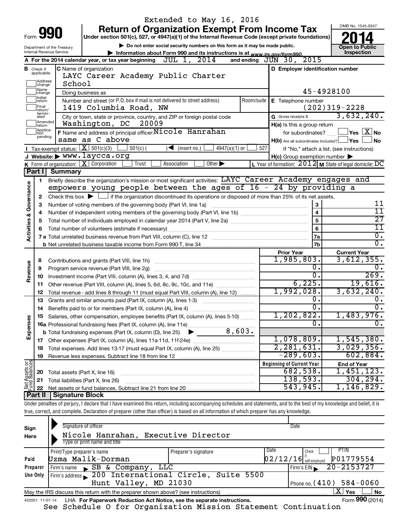|                                |                             |                                                                                                    | Extended to May 16, 2016                                                                                                                                                   |                                                                                                                  |                                                            |  |
|--------------------------------|-----------------------------|----------------------------------------------------------------------------------------------------|----------------------------------------------------------------------------------------------------------------------------------------------------------------------------|------------------------------------------------------------------------------------------------------------------|------------------------------------------------------------|--|
|                                |                             | 990                                                                                                | <b>Return of Organization Exempt From Income Tax</b>                                                                                                                       |                                                                                                                  | OMB No. 1545-0047                                          |  |
| Form                           |                             | Under section 501(c), 527, or 4947(a)(1) of the Internal Revenue Code (except private foundations) |                                                                                                                                                                            |                                                                                                                  |                                                            |  |
|                                | Department of the Treasury  | Do not enter social security numbers on this form as it may be made public.                        | <b>Open to Public</b>                                                                                                                                                      |                                                                                                                  |                                                            |  |
|                                |                             | Internal Revenue Service                                                                           | Information about Form 990 and its instructions is at www.irs.gov/form990.<br>A For the 2014 calendar year, or tax year beginning $JUL$ 1, $2014$                          | and ending $J\bar{U}N$ 30, $2015$                                                                                | Inspection                                                 |  |
|                                | <b>B</b> Check if           |                                                                                                    | C Name of organization                                                                                                                                                     | D Employer identification number                                                                                 |                                                            |  |
|                                | applicable:                 |                                                                                                    | LAYC Career Academy Public Charter                                                                                                                                         |                                                                                                                  |                                                            |  |
|                                | Address<br>change           | School                                                                                             |                                                                                                                                                                            |                                                                                                                  |                                                            |  |
|                                | 1Name<br>change             |                                                                                                    | Doing business as                                                                                                                                                          |                                                                                                                  | 45-4928100                                                 |  |
|                                | Initial<br>return           |                                                                                                    | Number and street (or P.O. box if mail is not delivered to street address)                                                                                                 | Room/suite   E Telephone number                                                                                  |                                                            |  |
|                                | Final<br>return/            |                                                                                                    | 1419 Columbia Road, NW                                                                                                                                                     |                                                                                                                  | $(202)319-2228$                                            |  |
|                                | termin-<br>ated             |                                                                                                    | City or town, state or province, country, and ZIP or foreign postal code                                                                                                   | G Gross receipts \$                                                                                              | 3,632,240.                                                 |  |
|                                | Amended<br>return           |                                                                                                    | Washington, DC<br>20009                                                                                                                                                    | H(a) Is this a group return                                                                                      |                                                            |  |
|                                | Applica-<br>tion<br>pending |                                                                                                    | F Name and address of principal officer: Nicole Hanrahan                                                                                                                   |                                                                                                                  | for subordinates? $\begin{array}{c} \boxed{\textbf{X}}$ No |  |
|                                |                             |                                                                                                    | same as C above                                                                                                                                                            | $H(b)$ Are all subordinates included? $\Box$ Yes                                                                 | <b>No</b>                                                  |  |
|                                |                             | Tax-exempt status: $X \over 301(c)(3)$                                                             | $4947(a)(1)$ or<br>$501(c)$ (<br>$\sqrt{\frac{1}{1}}$ (insert no.)<br>J Website: $\triangleright$ WWW. laycca.org                                                          | 527                                                                                                              | If "No," attach a list. (see instructions)                 |  |
|                                |                             |                                                                                                    | K Form of organization:   X Corporation<br>Trust<br>Association<br>Other $\blacktriangleright$                                                                             | $H(c)$ Group exemption number $\blacktriangleright$<br>L Year of formation: $2012$ M State of legal domicile: DC |                                                            |  |
|                                | Part II                     | <b>Summary</b>                                                                                     |                                                                                                                                                                            |                                                                                                                  |                                                            |  |
|                                | 1.                          |                                                                                                    | Briefly describe the organization's mission or most significant activities: LAYC Career Academy engages and                                                                |                                                                                                                  |                                                            |  |
| Governance                     |                             |                                                                                                    | empowers young people between the ages of $16 - 24$ by providing a                                                                                                         |                                                                                                                  |                                                            |  |
|                                | 2                           |                                                                                                    | Check this box $\blacktriangleright$ $\Box$ if the organization discontinued its operations or disposed of more than 25% of its net assets.                                |                                                                                                                  |                                                            |  |
|                                | З                           | $\bf 3$<br>Number of voting members of the governing body (Part VI, line 1a)                       |                                                                                                                                                                            |                                                                                                                  |                                                            |  |
|                                | 4                           |                                                                                                    |                                                                                                                                                                            | $\overline{\mathbf{4}}$                                                                                          | $\overline{11}$                                            |  |
|                                | 5                           |                                                                                                    |                                                                                                                                                                            | 5                                                                                                                | $\overline{27}$                                            |  |
| <b>Activities &amp;</b>        | 6                           |                                                                                                    |                                                                                                                                                                            | 6                                                                                                                | 11                                                         |  |
|                                |                             |                                                                                                    |                                                                                                                                                                            | 7a                                                                                                               | σ.                                                         |  |
|                                |                             |                                                                                                    |                                                                                                                                                                            | 7b                                                                                                               | σ.                                                         |  |
|                                |                             |                                                                                                    |                                                                                                                                                                            | <b>Prior Year</b><br>1,985,803.                                                                                  | <b>Current Year</b><br>3,612,355.                          |  |
| Revenue                        | 8<br>9                      |                                                                                                    |                                                                                                                                                                            | о.                                                                                                               | 0.                                                         |  |
|                                | 10                          |                                                                                                    |                                                                                                                                                                            | о.                                                                                                               | 269.                                                       |  |
|                                | 11                          |                                                                                                    | Other revenue (Part VIII, column (A), lines 5, 6d, 8c, 9c, 10c, and 11e)                                                                                                   | 6,225.                                                                                                           | 19,616.                                                    |  |
|                                | 12                          |                                                                                                    | Total revenue - add lines 8 through 11 (must equal Part VIII, column (A), line 12)                                                                                         | 1,992,028.                                                                                                       | 3,632,240.                                                 |  |
|                                | 13                          |                                                                                                    | Grants and similar amounts paid (Part IX, column (A), lines 1-3)                                                                                                           | О.                                                                                                               |                                                            |  |
|                                | 14                          |                                                                                                    | Benefits paid to or for members (Part IX, column (A), line 4)                                                                                                              | σ.                                                                                                               | $\overline{0}$ .                                           |  |
|                                |                             |                                                                                                    | 15 Salaries, other compensation, employee benefits (Part IX, column (A), lines 5-10)                                                                                       | 1,202,822.                                                                                                       | $1,483,976$ .                                              |  |
|                                |                             |                                                                                                    |                                                                                                                                                                            | 0.                                                                                                               | 0.                                                         |  |
| Expenses                       |                             |                                                                                                    |                                                                                                                                                                            |                                                                                                                  |                                                            |  |
|                                |                             |                                                                                                    |                                                                                                                                                                            | 1,078,809.<br>2,281,631.                                                                                         | 1,545,380.<br>3,029,356.                                   |  |
|                                | 18                          |                                                                                                    | Total expenses. Add lines 13-17 (must equal Part IX, column (A), line 25)                                                                                                  | $-289,603.$                                                                                                      | 602,884.                                                   |  |
|                                | 19                          |                                                                                                    |                                                                                                                                                                            | <b>Beginning of Current Year</b>                                                                                 | <b>End of Year</b>                                         |  |
| Net Assets or<br>Fund Balances | 20                          |                                                                                                    | Total assets (Part X, line 16)                                                                                                                                             | 682,538.                                                                                                         | 1,451,123.                                                 |  |
|                                | 21                          |                                                                                                    | Total liabilities (Part X, line 26)                                                                                                                                        | 138,593.                                                                                                         | 304, 294.                                                  |  |
|                                | 22                          |                                                                                                    |                                                                                                                                                                            | 543,945.                                                                                                         | 1,146,829.                                                 |  |
|                                |                             | Part II   Signature Block                                                                          |                                                                                                                                                                            |                                                                                                                  |                                                            |  |
|                                |                             |                                                                                                    | Under penalties of perjury, I declare that I have examined this return, including accompanying schedules and statements, and to the best of my knowledge and belief, it is |                                                                                                                  |                                                            |  |
|                                |                             |                                                                                                    | true, correct, and complete. Declaration of preparer (other than officer) is based on all information of which preparer has any knowledge.                                 |                                                                                                                  |                                                            |  |
|                                |                             |                                                                                                    | Signature of officer                                                                                                                                                       | <b>Nate</b>                                                                                                      |                                                            |  |

| Sign<br>Here | Signature of officer<br>Nicole Hanrahan, Executive Director<br>Type or print name and title                        |                      | Date                                      |                            |  |  |  |
|--------------|--------------------------------------------------------------------------------------------------------------------|----------------------|-------------------------------------------|----------------------------|--|--|--|
| Paid         | Print/Type preparer's name<br>Uzma Malik-Dorman                                                                    | Preparer's signature | Date<br>Check<br>$02/12/16$ self-employed | PTIN<br>P01779554          |  |  |  |
| Preparer     | Firm's name SB & Company, LLC                                                                                      |                      | Firm's $EIN$                              | 20-2153727                 |  |  |  |
| Use Only     | Firm's address 200 International Circle, Suite 5500                                                                |                      |                                           |                            |  |  |  |
|              | Hunt Valley, MD 21030                                                                                              |                      |                                           | Phone no. $(410)$ 584-0060 |  |  |  |
|              | $\mathbf{X}$ Yes<br><b>No</b><br>May the IRS discuss this return with the preparer shown above? (see instructions) |                      |                                           |                            |  |  |  |
|              | Form 990 (2014)<br>LHA For Paperwork Reduction Act Notice, see the separate instructions.<br>432001 11-07-14       |                      |                                           |                            |  |  |  |

See Schedule O for Organization Mission Statement Continuation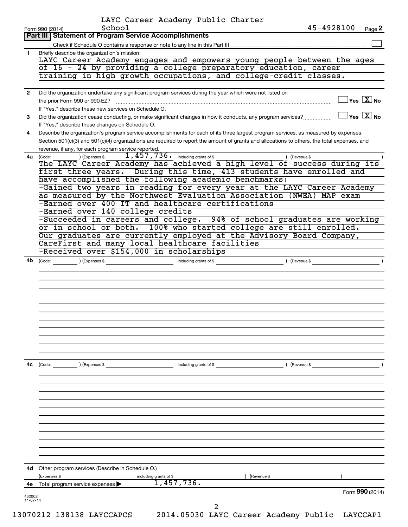|              | LAYC Career Academy Public Charter<br>45-4928100<br>School<br>Page 2<br>Form 990 (2014)                                                             |
|--------------|-----------------------------------------------------------------------------------------------------------------------------------------------------|
|              | Part III   Statement of Program Service Accomplishments                                                                                             |
|              |                                                                                                                                                     |
| 1.           | Briefly describe the organization's mission:                                                                                                        |
|              | LAYC Career Academy engages and empowers young people between the ages<br>of 16 - 24 by providing a college preparatory education, career           |
|              | training in high growth occupations, and college-credit classes.                                                                                    |
|              |                                                                                                                                                     |
| $\mathbf{2}$ | Did the organization undertake any significant program services during the year which were not listed on                                            |
|              | $\overline{\ }$ Yes $\overline{\rm X}$ No<br>the prior Form 990 or 990-EZ?                                                                          |
|              | If "Yes," describe these new services on Schedule O.                                                                                                |
| 3            | $\exists$ Yes $\boxed{\text{X}}$ No<br>Did the organization cease conducting, or make significant changes in how it conducts, any program services? |
|              | If "Yes," describe these changes on Schedule O.                                                                                                     |
| 4            | Describe the organization's program service accomplishments for each of its three largest program services, as measured by expenses.                |
|              | Section 501(c)(3) and 501(c)(4) organizations are required to report the amount of grants and allocations to others, the total expenses, and        |
|              | revenue, if any, for each program service reported.                                                                                                 |
| 4a l         | $1,457,736$ $\cdot$ including grants of \$<br>(Expenses \$<br>) (Revenue \$<br>(Code:                                                               |
|              | The LAYC Career Academy has achieved a high level of success during its                                                                             |
|              | first three years. During this time, 413 students have enrolled and                                                                                 |
|              | have accomplished the following academic benchmarks:<br>-Gained two years in reading for every year at the LAYC Career Academy                      |
|              | as measured by the Northwest Evaluation Association (NWEA) MAP exam                                                                                 |
|              | -Earned over 400 IT and healthcare certifications                                                                                                   |
|              | -Earned over 140 college credits                                                                                                                    |
|              | -Succeeded in careers and college. 94% of school graduates are working                                                                              |
|              | or in school or both. 100% who started college are still enrolled.                                                                                  |
|              | Our graduates are currently employed at the Advisory Board Company,                                                                                 |
|              | CareFirst and many local healthcare facilities                                                                                                      |
|              | -Received over \$154,000 in scholarships                                                                                                            |
| 4b           |                                                                                                                                                     |
|              |                                                                                                                                                     |
|              |                                                                                                                                                     |
|              |                                                                                                                                                     |
|              |                                                                                                                                                     |
|              |                                                                                                                                                     |
|              |                                                                                                                                                     |
|              |                                                                                                                                                     |
|              |                                                                                                                                                     |
|              |                                                                                                                                                     |
|              |                                                                                                                                                     |
|              |                                                                                                                                                     |
| 4с           | ) (Revenue \$<br>$\left(\text{Code:} \right)$ $\left(\text{Expenses $}\right)$<br>including grants of \$                                            |
|              |                                                                                                                                                     |
|              |                                                                                                                                                     |
|              |                                                                                                                                                     |
|              |                                                                                                                                                     |
|              |                                                                                                                                                     |
|              |                                                                                                                                                     |
|              |                                                                                                                                                     |
|              |                                                                                                                                                     |
|              |                                                                                                                                                     |
|              |                                                                                                                                                     |
|              |                                                                                                                                                     |
|              |                                                                                                                                                     |
|              |                                                                                                                                                     |
| 4d           | Other program services (Describe in Schedule O.)                                                                                                    |
|              | (Expenses \$<br>Revenue \$<br>including grants of \$                                                                                                |
| 4e           | 1,457,736.<br>Total program service expenses<br>Form 990 (2014)                                                                                     |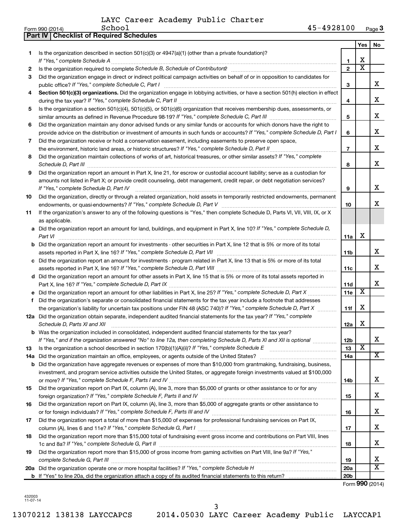|    | Part IV   Checklist of Required Schedules                                                                                                                                                                                           |                 |                         |                         |
|----|-------------------------------------------------------------------------------------------------------------------------------------------------------------------------------------------------------------------------------------|-----------------|-------------------------|-------------------------|
|    |                                                                                                                                                                                                                                     |                 | Yes                     | No                      |
| 1  | Is the organization described in section 501(c)(3) or $4947(a)(1)$ (other than a private foundation)?                                                                                                                               |                 |                         |                         |
|    |                                                                                                                                                                                                                                     | 1               | х                       |                         |
| 2  |                                                                                                                                                                                                                                     | $\overline{2}$  | $\overline{\textbf{x}}$ |                         |
| З  | Did the organization engage in direct or indirect political campaign activities on behalf of or in opposition to candidates for                                                                                                     |                 |                         |                         |
|    |                                                                                                                                                                                                                                     | 3               |                         | x                       |
| 4  | Section 501(c)(3) organizations. Did the organization engage in lobbying activities, or have a section 501(h) election in effect                                                                                                    |                 |                         |                         |
|    |                                                                                                                                                                                                                                     | 4               |                         | x                       |
|    | Is the organization a section 501(c)(4), 501(c)(5), or 501(c)(6) organization that receives membership dues, assessments, or                                                                                                        |                 |                         |                         |
| 5  |                                                                                                                                                                                                                                     |                 |                         | x                       |
|    |                                                                                                                                                                                                                                     | 5               |                         |                         |
| 6  | Did the organization maintain any donor advised funds or any similar funds or accounts for which donors have the right to                                                                                                           |                 |                         |                         |
|    | provide advice on the distribution or investment of amounts in such funds or accounts? If "Yes," complete Schedule D, Part I                                                                                                        | 6               |                         | x                       |
| 7  | Did the organization receive or hold a conservation easement, including easements to preserve open space,                                                                                                                           |                 |                         |                         |
|    | the environment, historic land areas, or historic structures? If "Yes," complete Schedule D, Part II                                                                                                                                | $\overline{7}$  |                         | x                       |
| 8  | Did the organization maintain collections of works of art, historical treasures, or other similar assets? If "Yes," complete                                                                                                        | 8               |                         | x                       |
| 9  | Did the organization report an amount in Part X, line 21, for escrow or custodial account liability; serve as a custodian for                                                                                                       |                 |                         |                         |
|    | amounts not listed in Part X; or provide credit counseling, debt management, credit repair, or debt negotiation services?                                                                                                           |                 |                         |                         |
|    | If "Yes," complete Schedule D, Part IV                                                                                                                                                                                              | 9               |                         | x                       |
| 10 | Did the organization, directly or through a related organization, hold assets in temporarily restricted endowments, permanent                                                                                                       |                 |                         |                         |
|    |                                                                                                                                                                                                                                     | 10              |                         | x                       |
| 11 | If the organization's answer to any of the following questions is "Yes," then complete Schedule D, Parts VI, VII, VIII, IX, or X                                                                                                    |                 |                         |                         |
|    | as applicable.                                                                                                                                                                                                                      |                 |                         |                         |
|    | a Did the organization report an amount for land, buildings, and equipment in Part X, line 10? If "Yes," complete Schedule D,                                                                                                       |                 |                         |                         |
|    |                                                                                                                                                                                                                                     |                 | х                       |                         |
|    | Part VI                                                                                                                                                                                                                             | 11a             |                         |                         |
|    | <b>b</b> Did the organization report an amount for investments - other securities in Part X, line 12 that is 5% or more of its total                                                                                                |                 |                         | х                       |
|    |                                                                                                                                                                                                                                     | 11 <sub>b</sub> |                         |                         |
|    | c Did the organization report an amount for investments - program related in Part X, line 13 that is 5% or more of its total                                                                                                        |                 |                         |                         |
|    |                                                                                                                                                                                                                                     | 11c             |                         | х                       |
|    | d Did the organization report an amount for other assets in Part X, line 15 that is 5% or more of its total assets reported in                                                                                                      |                 |                         |                         |
|    |                                                                                                                                                                                                                                     | 11d             |                         | х                       |
|    | e Did the organization report an amount for other liabilities in Part X, line 25? If "Yes," complete Schedule D, Part X                                                                                                             | 11e             | $\overline{\textbf{x}}$ |                         |
| f  | Did the organization's separate or consolidated financial statements for the tax year include a footnote that addresses                                                                                                             |                 |                         |                         |
|    | the organization's liability for uncertain tax positions under FIN 48 (ASC 740)? If "Yes," complete Schedule D, Part X                                                                                                              | 11f             | X                       |                         |
|    | 12a Did the organization obtain separate, independent audited financial statements for the tax year? If "Yes," complete                                                                                                             |                 |                         |                         |
|    | Schedule D, Parts XI and XII <b>continuum continuum continuum continuum continuum continuum continuum continuum</b> continuum continuum continuum continuum continuum continuum continuum continuum continuum continuum continuum c | 12a             | х                       |                         |
|    | b Was the organization included in consolidated, independent audited financial statements for the tax year?                                                                                                                         |                 |                         |                         |
|    | If "Yes," and if the organization answered "No" to line 12a, then completing Schedule D, Parts XI and XII is optional                                                                                                               | 12 <sub>b</sub> |                         | х                       |
| 13 |                                                                                                                                                                                                                                     | 13              | X                       |                         |
|    | 14a Did the organization maintain an office, employees, or agents outside of the United States?                                                                                                                                     | 14a             |                         | x                       |
|    | <b>b</b> Did the organization have aggregate revenues or expenses of more than \$10,000 from grantmaking, fundraising, business,                                                                                                    |                 |                         |                         |
|    | investment, and program service activities outside the United States, or aggregate foreign investments valued at \$100,000                                                                                                          |                 |                         |                         |
|    |                                                                                                                                                                                                                                     | 14 <sub>b</sub> |                         | x                       |
| 15 | Did the organization report on Part IX, column (A), line 3, more than \$5,000 of grants or other assistance to or for any                                                                                                           |                 |                         |                         |
|    |                                                                                                                                                                                                                                     | 15              |                         | x                       |
| 16 | Did the organization report on Part IX, column (A), line 3, more than \$5,000 of aggregate grants or other assistance to                                                                                                            |                 |                         |                         |
|    |                                                                                                                                                                                                                                     | 16              |                         | х                       |
| 17 | Did the organization report a total of more than \$15,000 of expenses for professional fundraising services on Part IX,                                                                                                             |                 |                         |                         |
|    |                                                                                                                                                                                                                                     | 17              |                         | x                       |
| 18 | Did the organization report more than \$15,000 total of fundraising event gross income and contributions on Part VIII, lines                                                                                                        |                 |                         |                         |
|    |                                                                                                                                                                                                                                     | 18              |                         | x                       |
| 19 | Did the organization report more than \$15,000 of gross income from gaming activities on Part VIII, line 9a? If "Yes,"                                                                                                              |                 |                         |                         |
|    |                                                                                                                                                                                                                                     | 19              |                         | x                       |
|    | 20a Did the organization operate one or more hospital facilities? If "Yes," complete Schedule H                                                                                                                                     | 20a             |                         | $\overline{\textbf{X}}$ |
|    |                                                                                                                                                                                                                                     | 20 <sub>b</sub> |                         |                         |
|    |                                                                                                                                                                                                                                     |                 |                         |                         |

Form (2014) **990**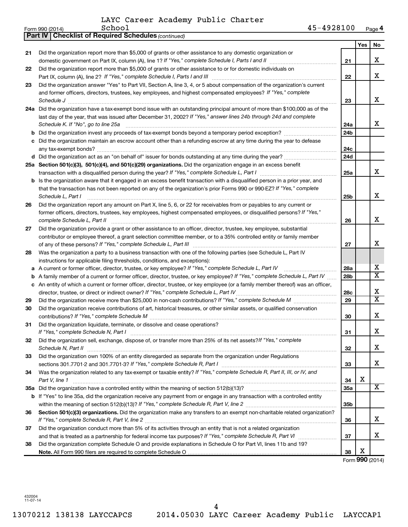| 45-4928100<br>-<br>School<br>Form 990 (2014) | Page 4 |
|----------------------------------------------|--------|

|    | <b>Part IV   Checklist of Required Schedules (continued)</b>                                                                        |                 |     |                         |
|----|-------------------------------------------------------------------------------------------------------------------------------------|-----------------|-----|-------------------------|
|    |                                                                                                                                     |                 | Yes | No                      |
| 21 | Did the organization report more than \$5,000 of grants or other assistance to any domestic organization or                         |                 |     |                         |
|    | domestic government on Part IX, column (A), line 1? If "Yes," complete Schedule I, Parts I and II [[[[[[[[[[[                       | 21              |     | x                       |
| 22 | Did the organization report more than \$5,000 of grants or other assistance to or for domestic individuals on                       |                 |     |                         |
|    |                                                                                                                                     | 22              |     | x                       |
| 23 | Did the organization answer "Yes" to Part VII, Section A, line 3, 4, or 5 about compensation of the organization's current          |                 |     |                         |
|    | and former officers, directors, trustees, key employees, and highest compensated employees? If "Yes," complete                      |                 |     |                         |
|    | Schedule J <b>Execute Schedule J Execute Schedule J</b>                                                                             | 23              |     | x                       |
|    | 24a Did the organization have a tax-exempt bond issue with an outstanding principal amount of more than \$100,000 as of the         |                 |     |                         |
|    | last day of the year, that was issued after December 31, 2002? If "Yes," answer lines 24b through 24d and complete                  |                 |     |                         |
|    | Schedule K. If "No", go to line 25a                                                                                                 | 24a             |     | x                       |
|    |                                                                                                                                     | 24 <sub>b</sub> |     |                         |
|    | c Did the organization maintain an escrow account other than a refunding escrow at any time during the year to defease              |                 |     |                         |
|    |                                                                                                                                     | 24c             |     |                         |
|    |                                                                                                                                     | 24d             |     |                         |
|    | 25a Section 501(c)(3), 501(c)(4), and 501(c)(29) organizations. Did the organization engage in an excess benefit                    |                 |     |                         |
|    |                                                                                                                                     | 25a             |     | x                       |
|    | <b>b</b> Is the organization aware that it engaged in an excess benefit transaction with a disqualified person in a prior year, and |                 |     |                         |
|    | that the transaction has not been reported on any of the organization's prior Forms 990 or 990-EZ? If "Yes," complete               |                 |     |                         |
|    | Schedule L, Part I                                                                                                                  | 25 <sub>b</sub> |     | x                       |
| 26 | Did the organization report any amount on Part X, line 5, 6, or 22 for receivables from or payables to any current or               |                 |     |                         |
|    | former officers, directors, trustees, key employees, highest compensated employees, or disqualified persons? If "Yes,"              |                 |     |                         |
|    | complete Schedule L, Part II                                                                                                        | 26              |     | x                       |
| 27 | Did the organization provide a grant or other assistance to an officer, director, trustee, key employee, substantial                |                 |     |                         |
|    | contributor or employee thereof, a grant selection committee member, or to a 35% controlled entity or family member                 |                 |     |                         |
|    |                                                                                                                                     | 27              |     | x                       |
| 28 | Was the organization a party to a business transaction with one of the following parties (see Schedule L, Part IV                   |                 |     |                         |
|    | instructions for applicable filing thresholds, conditions, and exceptions):                                                         |                 |     |                         |
|    | a A current or former officer, director, trustee, or key employee? If "Yes," complete Schedule L, Part IV                           | 28a             |     | x                       |
|    | <b>b</b> A family member of a current or former officer, director, trustee, or key employee? If "Yes," complete Schedule L, Part IV | 28 <sub>b</sub> |     | $\overline{\texttt{x}}$ |
|    | c An entity of which a current or former officer, director, trustee, or key employee (or a family member thereof) was an officer,   |                 |     |                         |
|    |                                                                                                                                     | <b>28c</b>      |     | х                       |
| 29 |                                                                                                                                     | 29              |     | $\overline{\texttt{x}}$ |
| 30 | Did the organization receive contributions of art, historical treasures, or other similar assets, or qualified conservation         |                 |     |                         |
|    |                                                                                                                                     | 30              |     | x                       |
| 31 | Did the organization liquidate, terminate, or dissolve and cease operations?                                                        |                 |     |                         |
|    | If "Yes," complete Schedule N, Part I                                                                                               | 31              |     | X                       |
| 32 | Did the organization sell, exchange, dispose of, or transfer more than 25% of its net assets? If "Yes," complete                    |                 |     | x                       |
|    | Schedule N, Part II                                                                                                                 | 32              |     |                         |
| 33 | Did the organization own 100% of an entity disregarded as separate from the organization under Regulations                          |                 |     | х                       |
|    |                                                                                                                                     | 33              |     |                         |
| 34 | Was the organization related to any tax-exempt or taxable entity? If "Yes," complete Schedule R, Part II, III, or IV, and           |                 | х   |                         |
|    | Part V, line 1                                                                                                                      | 34              |     | x                       |
|    |                                                                                                                                     | <b>35a</b>      |     |                         |
|    | b If "Yes" to line 35a, did the organization receive any payment from or engage in any transaction with a controlled entity         |                 |     |                         |
|    |                                                                                                                                     | 35 <sub>b</sub> |     |                         |
| 36 | Section 501(c)(3) organizations. Did the organization make any transfers to an exempt non-charitable related organization?          |                 |     | x                       |
|    | Did the organization conduct more than 5% of its activities through an entity that is not a related organization                    | 36              |     |                         |
| 37 | and that is treated as a partnership for federal income tax purposes? If "Yes," complete Schedule R, Part VI                        | 37              |     | х                       |
| 38 | Did the organization complete Schedule O and provide explanations in Schedule O for Part VI, lines 11b and 19?                      |                 |     |                         |
|    |                                                                                                                                     | 38              | х   |                         |
|    |                                                                                                                                     |                 |     |                         |

Form (2014) **990**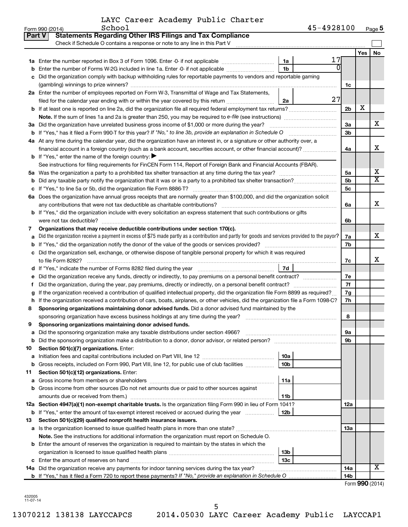|  | LAYC Career Academy Public Charter |  |
|--|------------------------------------|--|
|  |                                    |  |

|               | School<br>Form 990 (2014)                                                                                                                       | 45-4928100           |                |     | Page 5                  |
|---------------|-------------------------------------------------------------------------------------------------------------------------------------------------|----------------------|----------------|-----|-------------------------|
| <b>Part V</b> | <b>Statements Regarding Other IRS Filings and Tax Compliance</b>                                                                                |                      |                |     |                         |
|               | Check if Schedule O contains a response or note to any line in this Part V                                                                      |                      |                |     |                         |
|               |                                                                                                                                                 |                      |                | Yes | <b>No</b>               |
|               |                                                                                                                                                 | 17<br>1a             |                |     |                         |
| b             | Enter the number of Forms W-2G included in line 1a. Enter -0- if not applicable <i>manumumumum</i>                                              | ΩI<br>1 <sub>b</sub> |                |     |                         |
| с             | Did the organization comply with backup withholding rules for reportable payments to vendors and reportable gaming                              |                      |                |     |                         |
|               |                                                                                                                                                 |                      | 1c             |     |                         |
|               | 2a Enter the number of employees reported on Form W-3, Transmittal of Wage and Tax Statements,                                                  |                      |                |     |                         |
|               | filed for the calendar year ending with or within the year covered by this return                                                               | 27<br>2a             |                |     |                         |
|               | <b>b</b> If at least one is reported on line 2a, did the organization file all required federal employment tax returns?                         |                      | 2 <sub>b</sub> | х   |                         |
|               | Note. If the sum of lines 1a and 2a is greater than 250, you may be required to e-file (see instructions)                                       |                      |                |     |                         |
|               | 3a Did the organization have unrelated business gross income of \$1,000 or more during the year?                                                |                      | 3a             |     | x                       |
|               | b If "Yes," has it filed a Form 990-T for this year? If "No," to line 3b, provide an explanation in Schedule O                                  |                      | 3 <sub>b</sub> |     |                         |
|               | 4a At any time during the calendar year, did the organization have an interest in, or a signature or other authority over, a                    |                      |                |     |                         |
|               | financial account in a foreign country (such as a bank account, securities account, or other financial account)?                                |                      | 4a             |     | x                       |
|               | <b>b</b> If "Yes," enter the name of the foreign country: $\blacktriangleright$                                                                 |                      |                |     |                         |
|               | See instructions for filing requirements for FinCEN Form 114, Report of Foreign Bank and Financial Accounts (FBAR).                             |                      |                |     |                         |
|               |                                                                                                                                                 |                      | 5a             |     | х                       |
|               | <b>b</b> Did any taxable party notify the organization that it was or is a party to a prohibited tax shelter transaction?                       |                      | 5 <sub>b</sub> |     | $\overline{\textbf{x}}$ |
|               |                                                                                                                                                 |                      | 5 <sub>c</sub> |     |                         |
|               | 6a Does the organization have annual gross receipts that are normally greater than \$100,000, and did the organization solicit                  |                      |                |     |                         |
|               | any contributions that were not tax deductible as charitable contributions?                                                                     |                      | 6а             |     | x                       |
|               | b If "Yes," did the organization include with every solicitation an express statement that such contributions or gifts                          |                      |                |     |                         |
|               |                                                                                                                                                 |                      | 6b             |     |                         |
| 7             | Organizations that may receive deductible contributions under section 170(c).                                                                   |                      |                |     |                         |
| a             | Did the organization receive a payment in excess of \$75 made partly as a contribution and partly for goods and services provided to the payor? |                      | 7а             |     | x                       |
| b             |                                                                                                                                                 |                      | 7b             |     |                         |
|               | c Did the organization sell, exchange, or otherwise dispose of tangible personal property for which it was required                             |                      |                |     |                         |
|               | to file Form 8282?                                                                                                                              |                      | 7c             |     | X                       |
|               | d If "Yes," indicate the number of Forms 8282 filed during the year manufacture intervent contains the New Yes                                  | 7d                   |                |     |                         |
| е             | Did the organization receive any funds, directly or indirectly, to pay premiums on a personal benefit contract?                                 |                      | 7e             |     |                         |
| Ť.            | Did the organization, during the year, pay premiums, directly or indirectly, on a personal benefit contract?                                    |                      | 7f             |     |                         |
| g             | If the organization received a contribution of qualified intellectual property, did the organization file Form 8899 as required?                |                      | 7g             |     |                         |
|               | h If the organization received a contribution of cars, boats, airplanes, or other vehicles, did the organization file a Form 1098-C?            |                      | 7h             |     |                         |
| 8             | Sponsoring organizations maintaining donor advised funds. Did a donor advised fund maintained by the                                            |                      |                |     |                         |
|               | sponsoring organization have excess business holdings at any time during the year?                                                              |                      | 8              |     |                         |
| 9             | Sponsoring organizations maintaining donor advised funds.                                                                                       |                      |                |     |                         |
| а             | Did the sponsoring organization make any taxable distributions under section 4966?                                                              |                      | 9а             |     |                         |
| b             |                                                                                                                                                 |                      | 9b             |     |                         |
| 10            | Section 501(c)(7) organizations. Enter:                                                                                                         |                      |                |     |                         |
| а             |                                                                                                                                                 | 10a                  |                |     |                         |
| b             | Gross receipts, included on Form 990, Part VIII, line 12, for public use of club facilities                                                     | 10 <sub>b</sub>      |                |     |                         |
| 11            | Section 501(c)(12) organizations. Enter:                                                                                                        |                      |                |     |                         |
| а             |                                                                                                                                                 | 11a                  |                |     |                         |
| b             | Gross income from other sources (Do not net amounts due or paid to other sources against                                                        |                      |                |     |                         |
|               |                                                                                                                                                 | 11b                  |                |     |                         |
|               | 12a Section 4947(a)(1) non-exempt charitable trusts. Is the organization filing Form 990 in lieu of Form 1041?                                  |                      | 12a            |     |                         |
|               | <b>b</b> If "Yes," enter the amount of tax-exempt interest received or accrued during the year                                                  | 12b                  |                |     |                         |
| 13            | Section 501(c)(29) qualified nonprofit health insurance issuers.                                                                                |                      |                |     |                         |
|               | a Is the organization licensed to issue qualified health plans in more than one state?                                                          |                      | 1За            |     |                         |
|               | <b>Note.</b> See the instructions for additional information the organization must report on Schedule O.                                        |                      |                |     |                         |
|               | <b>b</b> Enter the amount of reserves the organization is required to maintain by the states in which the                                       |                      |                |     |                         |
|               |                                                                                                                                                 | 13 <sub>b</sub>      |                |     |                         |
|               |                                                                                                                                                 | 13с                  |                |     |                         |
|               | 14a Did the organization receive any payments for indoor tanning services during the tax year?                                                  |                      | 14a            |     | х                       |
|               |                                                                                                                                                 |                      | 14b            |     |                         |

| Form 990 (2014) |  |
|-----------------|--|
|-----------------|--|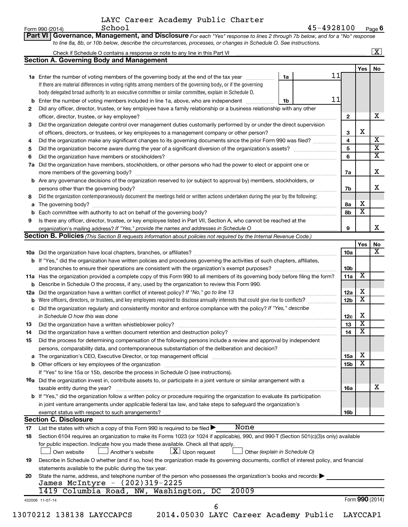|     | LAYC Career Academy Public Charter<br>School<br>Form 990 (2014)                                                                                                                                                                                           |    | 45-4928100 |                        |                         | Page 6                  |
|-----|-----------------------------------------------------------------------------------------------------------------------------------------------------------------------------------------------------------------------------------------------------------|----|------------|------------------------|-------------------------|-------------------------|
|     | Governance, Management, and Disclosure For each "Yes" response to lines 2 through 7b below, and for a "No" response<br><b>Part VI</b>                                                                                                                     |    |            |                        |                         |                         |
|     | to line 8a, 8b, or 10b below, describe the circumstances, processes, or changes in Schedule O. See instructions.                                                                                                                                          |    |            |                        |                         |                         |
|     |                                                                                                                                                                                                                                                           |    |            |                        |                         | $\boxed{\text{X}}$      |
|     | <b>Section A. Governing Body and Management</b>                                                                                                                                                                                                           |    |            |                        |                         |                         |
|     |                                                                                                                                                                                                                                                           |    |            |                        | Yes                     | No                      |
|     | <b>1a</b> Enter the number of voting members of the governing body at the end of the tax year                                                                                                                                                             | 1a | 11         |                        |                         |                         |
|     | If there are material differences in voting rights among members of the governing body, or if the governing                                                                                                                                               |    |            |                        |                         |                         |
|     | body delegated broad authority to an executive committee or similar committee, explain in Schedule O.                                                                                                                                                     |    |            |                        |                         |                         |
| b   | Enter the number of voting members included in line 1a, above, who are independent                                                                                                                                                                        | 1b | 11         |                        |                         |                         |
| 2   | Did any officer, director, trustee, or key employee have a family relationship or a business relationship with any other                                                                                                                                  |    |            |                        |                         |                         |
|     | officer, director, trustee, or key employee?                                                                                                                                                                                                              |    |            | $\mathbf{2}$           |                         | x.                      |
| 3   | Did the organization delegate control over management duties customarily performed by or under the direct supervision                                                                                                                                     |    |            |                        |                         |                         |
|     |                                                                                                                                                                                                                                                           |    |            | 3                      | X                       |                         |
| 4   | Did the organization make any significant changes to its governing documents since the prior Form 990 was filed?                                                                                                                                          |    |            | 4                      |                         | $\overline{\textbf{X}}$ |
| 5   |                                                                                                                                                                                                                                                           |    |            | 5                      |                         | $\overline{\mathbf{x}}$ |
| 6   |                                                                                                                                                                                                                                                           |    |            | 6                      |                         | $\overline{\textbf{x}}$ |
| 7a  | Did the organization have members, stockholders, or other persons who had the power to elect or appoint one or                                                                                                                                            |    |            |                        |                         |                         |
|     |                                                                                                                                                                                                                                                           |    |            | 7a                     |                         | x                       |
|     | <b>b</b> Are any governance decisions of the organization reserved to (or subject to approval by) members, stockholders, or                                                                                                                               |    |            |                        |                         |                         |
|     |                                                                                                                                                                                                                                                           |    |            | 7b                     |                         | x                       |
| 8   | Did the organization contemporaneously document the meetings held or written actions undertaken during the year by the following:                                                                                                                         |    |            |                        |                         |                         |
| a   |                                                                                                                                                                                                                                                           |    |            | 8a                     | х                       |                         |
| b   | Each committee with authority to act on behalf of the governing body?                                                                                                                                                                                     |    |            | 8b                     | $\overline{\mathbf{x}}$ |                         |
| 9   | Is there any officer, director, trustee, or key employee listed in Part VII, Section A, who cannot be reached at the                                                                                                                                      |    |            |                        |                         |                         |
|     | organization's mailing address? If "Yes," provide the names and addresses in Schedule O                                                                                                                                                                   |    |            | 9                      |                         | x                       |
|     | Section B. Policies (This Section B requests information about policies not required by the Internal Revenue Code.)                                                                                                                                       |    |            |                        |                         |                         |
|     |                                                                                                                                                                                                                                                           |    |            |                        | Yes                     | No<br>X                 |
|     |                                                                                                                                                                                                                                                           |    |            | 10a                    |                         |                         |
|     | <b>b</b> If "Yes," did the organization have written policies and procedures governing the activities of such chapters, affiliates,                                                                                                                       |    |            |                        |                         |                         |
|     | and branches to ensure their operations are consistent with the organization's exempt purposes?                                                                                                                                                           |    |            | 10b                    | $\overline{\mathbf{X}}$ |                         |
|     | 11a Has the organization provided a complete copy of this Form 990 to all members of its governing body before filing the form?                                                                                                                           |    |            | 11a                    |                         |                         |
| b   | Describe in Schedule O the process, if any, used by the organization to review this Form 990.                                                                                                                                                             |    |            |                        | х                       |                         |
| 12a | Did the organization have a written conflict of interest policy? If "No," go to line 13                                                                                                                                                                   |    |            | 12a<br>12 <sub>b</sub> | $\overline{\mathbf{X}}$ |                         |
| b   | Were officers, directors, or trustees, and key employees required to disclose annually interests that could give rise to conflicts?<br>Did the organization regularly and consistently monitor and enforce compliance with the policy? If "Yes," describe |    |            |                        |                         |                         |
| с   |                                                                                                                                                                                                                                                           |    |            | 12c                    | X                       |                         |
| 13  | in Schedule O how this was done manufactured and an architecture of the state of the state of the state of the<br>Did the organization have a written whistleblower policy?                                                                               |    |            | 13                     | $\overline{\textbf{x}}$ |                         |
| 14  | Did the organization have a written document retention and destruction policy?                                                                                                                                                                            |    |            | 14                     | $\overline{\text{x}}$   |                         |
|     |                                                                                                                                                                                                                                                           |    |            |                        |                         |                         |

#### exempt status with respect to such arrangements? **Section C. Disclosure**

|    | oconon o. Disolosuic                                                                                                                      |
|----|-------------------------------------------------------------------------------------------------------------------------------------------|
| 17 | None<br>List the states with which a copy of this Form 990 is required to be filed $\blacktriangleright$                                  |
| 18 | Section 6104 requires an organization to make its Forms 1023 (or 1024 if applicable), 990, and 990-T (Section 501(c)(3)s only) available  |
|    | for public inspection. Indicate how you made these available. Check all that apply.                                                       |
|    | $\bar{X}$ Upon request<br>Another's website<br>Other (explain in Schedule O)<br>Own website                                               |
| 19 | Describe in Schedule O whether (and if so, how) the organization made its governing documents, conflict of interest policy, and financial |
|    | statements available to the public during the tax year.                                                                                   |
| 20 | State the name, address, and telephone number of the person who possesses the organization's books and records:                           |
|    | James McIntyre - (202)319-2225                                                                                                            |
|    | 1419 Columbia Road, NW, Washington, DC<br>20009                                                                                           |
|    | Form 990 (2014)<br>432006 11-07-14                                                                                                        |
|    | h                                                                                                                                         |

13070212 138138 LAYCCAPCS 2014.05030 LAYC Career Academy Public LAYCCAP1

**15** Did the process for determining compensation of the following persons include a review and approval by independent

**16a** Did the organization invest in, contribute assets to, or participate in a joint venture or similar arrangement with a

in joint venture arrangements under applicable federal tax law, and take steps to safeguard the organization's

persons, comparability data, and contemporaneous substantiation of the deliberation and decision?

If "Yes" to line 15a or 15b, describe the process in Schedule O (see instructions).

**b** If "Yes," did the organization follow a written policy or procedure requiring the organization to evaluate its participation

**a** The organization's CEO, Executive Director, or top management official www.community.community.community.com **b** Other officers or key employees of the organization ~~~~~~~~~~~~~~~~~~~~~~~~~~~~~~~~~~~~

taxable entity during the year? ~~~~~~~~~~~~~~~~~~~~~~~~~~~~~~~~~~~~~~~~~~~~~~

**15a 15b**

X X

X

**16a**

**16b**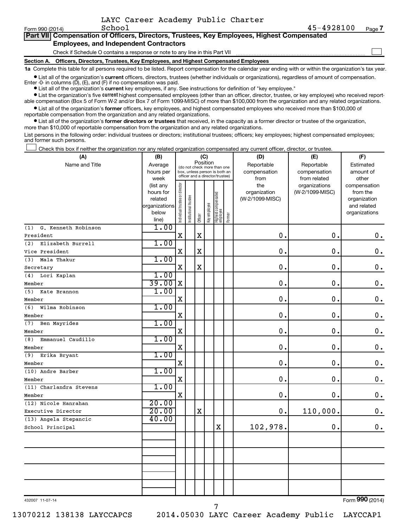|  | LAYC Career Academy Public Charter |  |
|--|------------------------------------|--|
|  |                                    |  |

| Form 990 (2014) |                                               | School |  | 45-4928100                                                                                 | Page |
|-----------------|-----------------------------------------------|--------|--|--------------------------------------------------------------------------------------------|------|
|                 |                                               |        |  | Part VII Compensation of Officers, Directors, Trustees, Key Employees, Highest Compensated |      |
|                 | <b>Employees, and Independent Contractors</b> |        |  |                                                                                            |      |

Check if Schedule O contains a response or note to any line in this Part VII

**Section A. Officers, Directors, Trustees, Key Employees, and Highest Compensated Employees**

**1a**  Complete this table for all persons required to be listed. Report compensation for the calendar year ending with or within the organization's tax year.

**•** List all of the organization's current officers, directors, trustees (whether individuals or organizations), regardless of amount of compensation. Enter -0- in columns  $(D)$ ,  $(E)$ , and  $(F)$  if no compensation was paid.

**•** List all of the organization's **current** key employees, if any. See instructions for definition of "key employee."

**•** List the organization's five current highest compensated employees (other than an officer, director, trustee, or key employee) who received reportable compensation (Box 5 of Form W-2 and/or Box 7 of Form 1099-MISC) of more than \$100,000 from the organization and any related organizations.

**•** List all of the organization's former officers, key employees, and highest compensated employees who received more than \$100,000 of reportable compensation from the organization and any related organizations.

**•** List all of the organization's former directors or trustees that received, in the capacity as a former director or trustee of the organization, more than \$10,000 of reportable compensation from the organization and any related organizations.

List persons in the following order: individual trustees or directors; institutional trustees; officers; key employees; highest compensated employees; and former such persons.

Check this box if neither the organization nor any related organization compensated any current officer, director, or trustee.  $\Box$ 

| (A)                        | (B)                    | (C)                                     |                                                                  |             |              |                                   |        | (D)             | (E)                              | (F)                      |  |  |
|----------------------------|------------------------|-----------------------------------------|------------------------------------------------------------------|-------------|--------------|-----------------------------------|--------|-----------------|----------------------------------|--------------------------|--|--|
| Name and Title             | Average                | Position<br>(do not check more than one |                                                                  |             |              |                                   |        | Reportable      | Reportable                       | Estimated                |  |  |
|                            | hours per              |                                         | box, unless person is both an<br>officer and a director/trustee) |             |              |                                   |        | compensation    | compensation                     | amount of                |  |  |
|                            | week                   |                                         |                                                                  |             |              |                                   |        | from<br>the     | from related                     | other                    |  |  |
|                            | (list any<br>hours for |                                         |                                                                  |             |              |                                   |        | organization    | organizations<br>(W-2/1099-MISC) | compensation<br>from the |  |  |
|                            | related                |                                         |                                                                  |             |              |                                   |        | (W-2/1099-MISC) |                                  | organization             |  |  |
|                            | organizations          |                                         |                                                                  |             |              |                                   |        |                 |                                  | and related              |  |  |
|                            | below                  | Individual trustee or director          | Institutional trustee                                            |             | Key employee |                                   |        |                 |                                  | organizations            |  |  |
|                            | line)                  |                                         |                                                                  | Officer     |              | Highest compensated<br>  employee | Former |                 |                                  |                          |  |  |
| G. Kenneth Robinson<br>(1) | 1.00                   |                                         |                                                                  |             |              |                                   |        |                 |                                  |                          |  |  |
| President                  |                        | $\mathbf X$                             |                                                                  | $\mathbf X$ |              |                                   |        | 0.              | 0.                               | $\mathbf 0$ .            |  |  |
| (2)<br>Elizabeth Burrell   | 1.00                   |                                         |                                                                  |             |              |                                   |        |                 |                                  |                          |  |  |
| Vice President             |                        | $\mathbf X$                             |                                                                  | $\rm X$     |              |                                   |        | 0.              | $\mathbf 0$ .                    | $\mathbf 0$ .            |  |  |
| (3)<br>Mala Thakur         | 1.00                   |                                         |                                                                  |             |              |                                   |        |                 |                                  |                          |  |  |
| Secretary                  |                        | X                                       |                                                                  | $\mathbf X$ |              |                                   |        | $\mathbf 0$ .   | $\mathbf 0$ .                    | $\boldsymbol{0}$ .       |  |  |
| (4)<br>Lori Kaplan         | 1.00                   |                                         |                                                                  |             |              |                                   |        |                 |                                  |                          |  |  |
| Member                     | 39.00                  | X                                       |                                                                  |             |              |                                   |        | $\mathbf 0$ .   | $\mathbf 0$ .                    | $\mathbf 0$ .            |  |  |
| (5)<br>Kate Brannon        | 1.00                   |                                         |                                                                  |             |              |                                   |        |                 |                                  |                          |  |  |
| Member                     |                        | X                                       |                                                                  |             |              |                                   |        | $\mathbf 0$ .   | $\mathbf 0$ .                    | $\mathbf 0$ .            |  |  |
| (6)<br>Wilma Robinson      | 1.00                   |                                         |                                                                  |             |              |                                   |        |                 |                                  |                          |  |  |
| Member                     |                        | $\mathbf X$                             |                                                                  |             |              |                                   |        | $\mathbf 0$     | $\mathbf 0$ .                    | $\mathbf 0$ .            |  |  |
| Ben Mayrides<br>(7)        | 1.00                   |                                         |                                                                  |             |              |                                   |        |                 |                                  |                          |  |  |
| Member                     |                        | $\mathbf X$                             |                                                                  |             |              |                                   |        | $\mathbf 0$ .   | $\mathbf 0$ .                    | $\mathbf 0$ .            |  |  |
| Emmanuel Caudillo<br>(8)   | 1.00                   |                                         |                                                                  |             |              |                                   |        |                 |                                  |                          |  |  |
| Member                     |                        | $\mathbf X$                             |                                                                  |             |              |                                   |        | 0.              | $\mathbf 0$ .                    | $\mathbf 0$ .            |  |  |
| (9)<br>Erika Bryant        | 1.00                   |                                         |                                                                  |             |              |                                   |        |                 |                                  |                          |  |  |
| Member                     |                        | $\mathbf X$                             |                                                                  |             |              |                                   |        | $\mathbf 0$     | $\mathbf 0$ .                    | $\mathbf 0$ .            |  |  |
| (10) Andre Barber          | 1.00                   |                                         |                                                                  |             |              |                                   |        |                 |                                  |                          |  |  |
| Member                     |                        | $\rm X$                                 |                                                                  |             |              |                                   |        | $\mathbf 0$     | $\mathbf 0$ .                    | $\mathbf 0$ .            |  |  |
| (11) Charlandra Stevens    | 1.00                   |                                         |                                                                  |             |              |                                   |        |                 |                                  |                          |  |  |
| Member                     |                        | $\mathbf X$                             |                                                                  |             |              |                                   |        | $\mathbf 0$ .   | $\mathbf 0$ .                    | $\mathbf 0$ .            |  |  |
| (12) Nicole Hanrahan       | 20.00                  |                                         |                                                                  |             |              |                                   |        |                 |                                  |                          |  |  |
| Executive Director         | 20.00                  |                                         |                                                                  | $\mathbf X$ |              |                                   |        | 0.              | 110,000.                         | 0.                       |  |  |
| (13) Angela Stepancic      | 40.00                  |                                         |                                                                  |             |              |                                   |        |                 |                                  |                          |  |  |
| School Principal           |                        |                                         |                                                                  |             |              | $\mathbf X$                       |        | 102,978.        | О.                               | 0.                       |  |  |
|                            |                        |                                         |                                                                  |             |              |                                   |        |                 |                                  |                          |  |  |
|                            |                        |                                         |                                                                  |             |              |                                   |        |                 |                                  |                          |  |  |
|                            |                        |                                         |                                                                  |             |              |                                   |        |                 |                                  |                          |  |  |
|                            |                        |                                         |                                                                  |             |              |                                   |        |                 |                                  |                          |  |  |
|                            |                        |                                         |                                                                  |             |              |                                   |        |                 |                                  |                          |  |  |
|                            |                        |                                         |                                                                  |             |              |                                   |        |                 |                                  |                          |  |  |
|                            |                        |                                         |                                                                  |             |              |                                   |        |                 |                                  |                          |  |  |
|                            |                        |                                         |                                                                  |             |              |                                   |        |                 |                                  |                          |  |  |

7

432007 11-07-14

Form (2014) **990**

**7**

 $\Box$ 

13070212 138138 LAYCCAPCS 2014.05030 LAYC Career Academy Public LAYCCAP1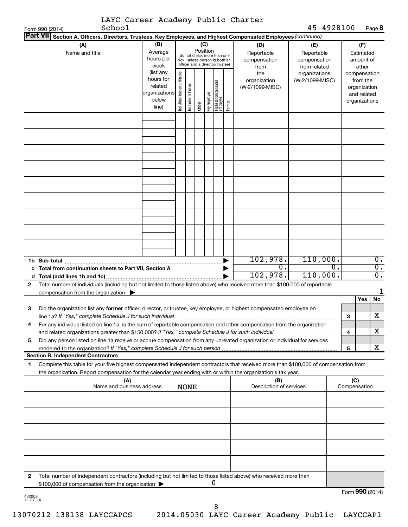|                    | LAYC Career Academy Public Charter                                                                                                                                                                                                                     |                                                                      |                                |                                                                                                             |         |              |                                 |        |                                        |                                            |    |                     |                                                                          |                  |
|--------------------|--------------------------------------------------------------------------------------------------------------------------------------------------------------------------------------------------------------------------------------------------------|----------------------------------------------------------------------|--------------------------------|-------------------------------------------------------------------------------------------------------------|---------|--------------|---------------------------------|--------|----------------------------------------|--------------------------------------------|----|---------------------|--------------------------------------------------------------------------|------------------|
|                    | School<br>Form 990 (2014)<br><b>Part VII</b>                                                                                                                                                                                                           |                                                                      |                                |                                                                                                             |         |              |                                 |        |                                        | 45-4928100                                 |    |                     |                                                                          | Page 8           |
|                    | Section A. Officers, Directors, Trustees, Key Employees, and Highest Compensated Employees (continued)<br>(A)                                                                                                                                          | (B)                                                                  |                                |                                                                                                             | (C)     |              |                                 |        | (D)                                    | (E)                                        |    |                     | (F)                                                                      |                  |
|                    | Name and title                                                                                                                                                                                                                                         | Average<br>hours per<br>week                                         |                                | Position<br>(do not check more than one<br>box, unless person is both an<br>officer and a director/trustee) |         |              |                                 |        | Reportable<br>compensation<br>from     | Reportable<br>compensation<br>from related |    |                     | Estimated<br>amount of<br>other                                          |                  |
|                    |                                                                                                                                                                                                                                                        | (list any<br>hours for<br>related<br>organizations<br>below<br>line) | Individual trustee or director | Institutional trustee                                                                                       | Officer | Key employee | Highest compensated<br>employee | Former | the<br>organization<br>(W-2/1099-MISC) | organizations<br>(W-2/1099-MISC)           |    |                     | compensation<br>from the<br>organization<br>and related<br>organizations |                  |
|                    |                                                                                                                                                                                                                                                        |                                                                      |                                |                                                                                                             |         |              |                                 |        |                                        |                                            |    |                     |                                                                          |                  |
|                    |                                                                                                                                                                                                                                                        |                                                                      |                                |                                                                                                             |         |              |                                 |        |                                        |                                            |    |                     |                                                                          |                  |
|                    |                                                                                                                                                                                                                                                        |                                                                      |                                |                                                                                                             |         |              |                                 |        |                                        |                                            |    |                     |                                                                          |                  |
|                    |                                                                                                                                                                                                                                                        |                                                                      |                                |                                                                                                             |         |              |                                 |        |                                        |                                            |    |                     |                                                                          |                  |
|                    |                                                                                                                                                                                                                                                        |                                                                      |                                |                                                                                                             |         |              |                                 |        | 102,978.                               | 110,000.                                   |    |                     |                                                                          | $\overline{0}$ . |
|                    | 1b Sub-total<br>c Total from continuation sheets to Part VII, Section A                                                                                                                                                                                |                                                                      |                                |                                                                                                             |         |              |                                 |        | σ.                                     |                                            | σ. |                     |                                                                          | $\overline{0}$ . |
|                    |                                                                                                                                                                                                                                                        |                                                                      |                                |                                                                                                             |         |              |                                 |        | 102,978.                               | 110,000.                                   |    |                     |                                                                          | $\overline{0}$ . |
| 2                  | Total number of individuals (including but not limited to those listed above) who received more than \$100,000 of reportable                                                                                                                           |                                                                      |                                |                                                                                                             |         |              |                                 |        |                                        |                                            |    |                     |                                                                          |                  |
|                    | compensation from the organization $\blacktriangleright$                                                                                                                                                                                               |                                                                      |                                |                                                                                                             |         |              |                                 |        |                                        |                                            |    |                     |                                                                          | 1                |
| З                  | Did the organization list any former officer, director, or trustee, key employee, or highest compensated employee on                                                                                                                                   |                                                                      |                                |                                                                                                             |         |              |                                 |        |                                        |                                            |    |                     | Yes                                                                      | No               |
| 4                  | line 1a? If "Yes," complete Schedule J for such individual<br>For any individual listed on line 1a, is the sum of reportable compensation and other compensation from the organization                                                                 |                                                                      |                                |                                                                                                             |         |              |                                 |        |                                        |                                            |    | 3                   |                                                                          | X                |
|                    | and related organizations greater than \$150,000? If "Yes," complete Schedule J for such individual                                                                                                                                                    |                                                                      |                                |                                                                                                             |         |              |                                 |        |                                        |                                            |    | 4                   |                                                                          | x                |
| 5                  | Did any person listed on line 1a receive or accrue compensation from any unrelated organization or individual for services                                                                                                                             |                                                                      |                                |                                                                                                             |         |              |                                 |        |                                        |                                            |    |                     |                                                                          |                  |
|                    | rendered to the organization? If "Yes," complete Schedule J for such person manufactured to the organization? If "Yes," complete Schedule J for such person manufactured and the organization?<br><b>Section B. Independent Contractors</b>            |                                                                      |                                |                                                                                                             |         |              |                                 |        |                                        |                                            |    | 5                   |                                                                          | x                |
| 1                  | Complete this table for your five highest compensated independent contractors that received more than \$100,000 of compensation from<br>the organization. Report compensation for the calendar year ending with or within the organization's tax year. |                                                                      |                                |                                                                                                             |         |              |                                 |        |                                        |                                            |    |                     |                                                                          |                  |
|                    | (A)<br>Name and business address                                                                                                                                                                                                                       |                                                                      |                                | <b>NONE</b>                                                                                                 |         |              |                                 |        | (B)<br>Description of services         |                                            |    | (C)<br>Compensation |                                                                          |                  |
|                    |                                                                                                                                                                                                                                                        |                                                                      |                                |                                                                                                             |         |              |                                 |        |                                        |                                            |    |                     |                                                                          |                  |
|                    |                                                                                                                                                                                                                                                        |                                                                      |                                |                                                                                                             |         |              |                                 |        |                                        |                                            |    |                     |                                                                          |                  |
|                    |                                                                                                                                                                                                                                                        |                                                                      |                                |                                                                                                             |         |              |                                 |        |                                        |                                            |    |                     |                                                                          |                  |
|                    |                                                                                                                                                                                                                                                        |                                                                      |                                |                                                                                                             |         |              |                                 |        |                                        |                                            |    |                     |                                                                          |                  |
|                    |                                                                                                                                                                                                                                                        |                                                                      |                                |                                                                                                             |         |              |                                 |        |                                        |                                            |    |                     |                                                                          |                  |
| 2                  | Total number of independent contractors (including but not limited to those listed above) who received more than<br>\$100,000 of compensation from the organization                                                                                    |                                                                      |                                |                                                                                                             |         |              | 0                               |        |                                        |                                            |    |                     |                                                                          |                  |
| 432008<br>11-07-14 |                                                                                                                                                                                                                                                        |                                                                      |                                |                                                                                                             |         |              |                                 |        |                                        |                                            |    | Form 990 (2014)     |                                                                          |                  |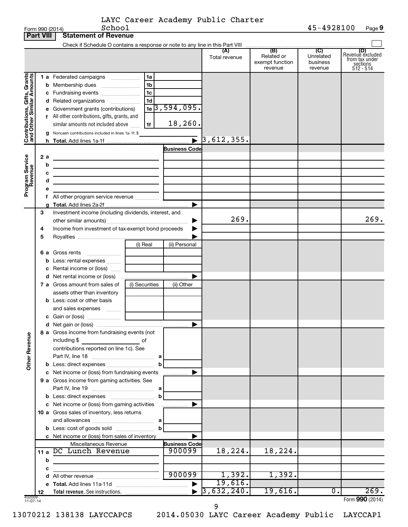|  | LAYC Career Academy Public Charter |  |
|--|------------------------------------|--|
|  |                                    |  |

|                                                           | <b>Part VIII</b> | <b>Statement of Revenue</b>                                                |                |                                |                      |                                                 |                                         |                                                                    |
|-----------------------------------------------------------|------------------|----------------------------------------------------------------------------|----------------|--------------------------------|----------------------|-------------------------------------------------|-----------------------------------------|--------------------------------------------------------------------|
|                                                           |                  |                                                                            |                |                                |                      |                                                 |                                         |                                                                    |
|                                                           |                  |                                                                            |                |                                | (A)<br>Total revenue | (B)<br>Related or<br>exempt function<br>revenue | (C)<br>Unrelated<br>business<br>revenue | (D)<br>Revenue excluded<br>from tax under<br>sections<br>512 - 514 |
|                                                           |                  | 1 a Federated campaigns                                                    | 1a             |                                |                      |                                                 |                                         |                                                                    |
|                                                           |                  | <b>b</b> Membership dues                                                   | 1b             |                                |                      |                                                 |                                         |                                                                    |
|                                                           |                  | c Fundraising events                                                       | 1c             |                                |                      |                                                 |                                         |                                                                    |
|                                                           |                  | d Related organizations                                                    | 1d             |                                |                      |                                                 |                                         |                                                                    |
|                                                           |                  | e Government grants (contributions)                                        |                | $1e$ 3, 594, 095.              |                      |                                                 |                                         |                                                                    |
|                                                           |                  | All other contributions, gifts, grants, and                                |                |                                |                      |                                                 |                                         |                                                                    |
|                                                           |                  | similar amounts not included above                                         | 1f             | 18,260.                        |                      |                                                 |                                         |                                                                    |
| Contributions, Gifts, Grants<br>and Other Similar Amounts |                  | g Noncash contributions included in lines 1a-1f: \$                        |                |                                |                      |                                                 |                                         |                                                                    |
|                                                           |                  |                                                                            |                |                                | 3,612,355.           |                                                 |                                         |                                                                    |
|                                                           |                  |                                                                            |                | <b>Business Code</b>           |                      |                                                 |                                         |                                                                    |
|                                                           | 2a               | <u> 1980 - Johann Barn, mars an t-Amerikaansk politiker (</u>              |                |                                |                      |                                                 |                                         |                                                                    |
|                                                           | b                | the control of the control of the control of the control of the control of |                |                                |                      |                                                 |                                         |                                                                    |
|                                                           | с                | the control of the control of the control of the control of the control of |                |                                |                      |                                                 |                                         |                                                                    |
|                                                           | d                | <u> 1989 - Johann Barn, amerikansk politiker (</u>                         |                |                                |                      |                                                 |                                         |                                                                    |
| Program Service<br>Revenue                                |                  |                                                                            |                |                                |                      |                                                 |                                         |                                                                    |
|                                                           |                  |                                                                            |                |                                |                      |                                                 |                                         |                                                                    |
|                                                           |                  |                                                                            |                |                                |                      |                                                 |                                         |                                                                    |
|                                                           | 3                | Investment income (including dividends, interest, and                      |                |                                | 269.                 |                                                 |                                         | 269.                                                               |
|                                                           |                  |                                                                            |                |                                |                      |                                                 |                                         |                                                                    |
|                                                           | 4                | Income from investment of tax-exempt bond proceeds                         |                |                                |                      |                                                 |                                         |                                                                    |
|                                                           | 5                |                                                                            | (i) Real       |                                |                      |                                                 |                                         |                                                                    |
|                                                           |                  |                                                                            |                | (ii) Personal                  |                      |                                                 |                                         |                                                                    |
|                                                           |                  | 6 a Gross rents<br>Less: rental expenses                                   |                |                                |                      |                                                 |                                         |                                                                    |
|                                                           |                  | Rental income or (loss)                                                    |                |                                |                      |                                                 |                                         |                                                                    |
|                                                           |                  |                                                                            |                |                                |                      |                                                 |                                         |                                                                    |
|                                                           |                  | 7 a Gross amount from sales of                                             | (i) Securities | (ii) Other                     |                      |                                                 |                                         |                                                                    |
|                                                           |                  | assets other than inventory                                                |                |                                |                      |                                                 |                                         |                                                                    |
|                                                           |                  | <b>b</b> Less: cost or other basis                                         |                |                                |                      |                                                 |                                         |                                                                    |
|                                                           |                  | and sales expenses                                                         |                |                                |                      |                                                 |                                         |                                                                    |
|                                                           |                  |                                                                            |                |                                |                      |                                                 |                                         |                                                                    |
|                                                           |                  |                                                                            |                |                                |                      |                                                 |                                         |                                                                    |
|                                                           |                  | 8 a Gross income from fundraising events (not                              |                |                                |                      |                                                 |                                         |                                                                    |
| <b>Other Revenue</b>                                      |                  | including \$                                                               | оf             |                                |                      |                                                 |                                         |                                                                    |
|                                                           |                  | contributions reported on line 1c). See                                    |                |                                |                      |                                                 |                                         |                                                                    |
|                                                           |                  |                                                                            |                |                                |                      |                                                 |                                         |                                                                    |
|                                                           |                  |                                                                            |                |                                |                      |                                                 |                                         |                                                                    |
|                                                           |                  | c Net income or (loss) from fundraising events                             |                | .                              |                      |                                                 |                                         |                                                                    |
|                                                           |                  | 9 a Gross income from gaming activities. See                               |                |                                |                      |                                                 |                                         |                                                                    |
|                                                           |                  |                                                                            |                |                                |                      |                                                 |                                         |                                                                    |
|                                                           |                  |                                                                            | b              |                                |                      |                                                 |                                         |                                                                    |
|                                                           |                  | c Net income or (loss) from gaming activities                              |                |                                |                      |                                                 |                                         |                                                                    |
|                                                           |                  | 10 a Gross sales of inventory, less returns                                |                |                                |                      |                                                 |                                         |                                                                    |
|                                                           |                  |                                                                            |                |                                |                      |                                                 |                                         |                                                                    |
|                                                           |                  | <b>b</b> Less: cost of goods sold                                          | b              |                                |                      |                                                 |                                         |                                                                    |
|                                                           |                  | c Net income or (loss) from sales of inventory                             |                |                                |                      |                                                 |                                         |                                                                    |
|                                                           | 11 a             | Miscellaneous Revenue<br>DC Lunch Revenue                                  |                | <b>Business Code</b><br>900099 | 18,224.              | 18,224.                                         |                                         |                                                                    |
|                                                           | b                |                                                                            |                |                                |                      |                                                 |                                         |                                                                    |
|                                                           | с                |                                                                            |                |                                |                      |                                                 |                                         |                                                                    |
|                                                           | d                |                                                                            |                | 900099                         | 1,392.               | 1,392.                                          |                                         |                                                                    |
|                                                           |                  |                                                                            |                |                                | 19,616.              |                                                 |                                         |                                                                    |
|                                                           | 12               |                                                                            |                |                                | 3,632,240.           | 19,616.                                         | $\overline{0}$ .                        | 269.                                                               |
| 432009<br>$11-07-14$                                      |                  |                                                                            |                |                                |                      |                                                 |                                         | Form 990 (2014)                                                    |

9

13070212 138138 LAYCCAPCS 2014.05030 LAYC Career Academy Public LAYCCAP1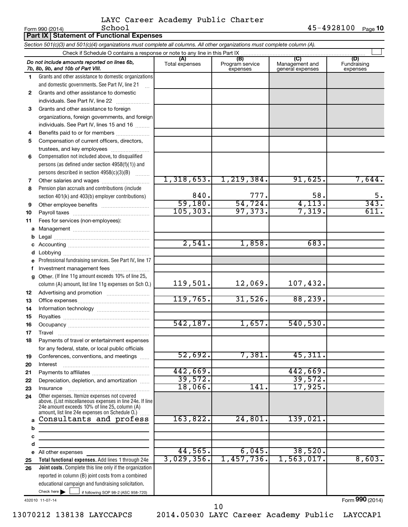Form 990 (2014) Page **10** School 45-4928100

|              | Part IX Statement of Functional Expenses                                                                                                                                                                    |                       |                                    |                                                      |                                |
|--------------|-------------------------------------------------------------------------------------------------------------------------------------------------------------------------------------------------------------|-----------------------|------------------------------------|------------------------------------------------------|--------------------------------|
|              | Section 501(c)(3) and 501(c)(4) organizations must complete all columns. All other organizations must complete column (A).                                                                                  |                       |                                    |                                                      |                                |
|              |                                                                                                                                                                                                             |                       |                                    |                                                      |                                |
|              | Do not include amounts reported on lines 6b,<br>7b, 8b, 9b, and 10b of Part VIII.                                                                                                                           | (A)<br>Total expenses | (B)<br>Program service<br>expenses | $\overline{C}$<br>Management and<br>general expenses | (D)<br>Fundraising<br>expenses |
| 1            | Grants and other assistance to domestic organizations                                                                                                                                                       |                       |                                    |                                                      |                                |
|              | and domestic governments. See Part IV, line 21                                                                                                                                                              |                       |                                    |                                                      |                                |
| $\mathbf{2}$ | Grants and other assistance to domestic                                                                                                                                                                     |                       |                                    |                                                      |                                |
|              | individuals. See Part IV, line 22                                                                                                                                                                           |                       |                                    |                                                      |                                |
| 3            | Grants and other assistance to foreign                                                                                                                                                                      |                       |                                    |                                                      |                                |
|              | organizations, foreign governments, and foreign                                                                                                                                                             |                       |                                    |                                                      |                                |
|              | individuals. See Part IV, lines 15 and 16                                                                                                                                                                   |                       |                                    |                                                      |                                |
| 4            | Benefits paid to or for members                                                                                                                                                                             |                       |                                    |                                                      |                                |
| 5            | Compensation of current officers, directors,                                                                                                                                                                |                       |                                    |                                                      |                                |
|              | trustees, and key employees                                                                                                                                                                                 |                       |                                    |                                                      |                                |
| 6            | Compensation not included above, to disqualified                                                                                                                                                            |                       |                                    |                                                      |                                |
|              | persons (as defined under section 4958(f)(1)) and                                                                                                                                                           |                       |                                    |                                                      |                                |
|              | persons described in section 4958(c)(3)(B)                                                                                                                                                                  |                       |                                    |                                                      |                                |
| 7            | Other salaries and wages                                                                                                                                                                                    | 1,318,653.            | 1, 219, 384.                       | 91,625.                                              | 7,644.                         |
| 8            | Pension plan accruals and contributions (include                                                                                                                                                            |                       |                                    |                                                      |                                |
|              | section 401(k) and 403(b) employer contributions)                                                                                                                                                           | 840.                  | 777.                               | 58.                                                  | 5.                             |
| 9            | Other employee benefits                                                                                                                                                                                     | 59,180.               | 54,724.                            | 4,113.                                               | 343.                           |
| 10           |                                                                                                                                                                                                             | 105, 303.             | 97, 373.                           | 7,319.                                               | 611.                           |
| 11           | Fees for services (non-employees):                                                                                                                                                                          |                       |                                    |                                                      |                                |
| a            |                                                                                                                                                                                                             |                       |                                    |                                                      |                                |
| b            |                                                                                                                                                                                                             |                       |                                    |                                                      |                                |
|              |                                                                                                                                                                                                             | 2,541.                | 1,858.                             | 683.                                                 |                                |
| d            |                                                                                                                                                                                                             |                       |                                    |                                                      |                                |
|              | Professional fundraising services. See Part IV, line 17                                                                                                                                                     |                       |                                    |                                                      |                                |
| f            | Investment management fees                                                                                                                                                                                  |                       |                                    |                                                      |                                |
| g            | Other. (If line 11g amount exceeds 10% of line 25,                                                                                                                                                          |                       |                                    |                                                      |                                |
|              | column (A) amount, list line 11g expenses on Sch O.)                                                                                                                                                        | 119,501.              | 12,069.                            | 107,432.                                             |                                |
| 12           |                                                                                                                                                                                                             |                       |                                    |                                                      |                                |
| 13           |                                                                                                                                                                                                             | 119,765.              | 31,526.                            | 88, 239.                                             |                                |
| 14           |                                                                                                                                                                                                             |                       |                                    |                                                      |                                |
| 15           |                                                                                                                                                                                                             |                       |                                    |                                                      |                                |
| 16           |                                                                                                                                                                                                             | 542, 187.             | 1,657.                             | 540, 530.                                            |                                |
| 17           | Travel                                                                                                                                                                                                      |                       |                                    |                                                      |                                |
| 18           | Payments of travel or entertainment expenses                                                                                                                                                                |                       |                                    |                                                      |                                |
|              | for any federal, state, or local public officials                                                                                                                                                           |                       |                                    |                                                      |                                |
| 19           | Conferences, conventions, and meetings                                                                                                                                                                      | 52,692.               | 7,381.                             | 45,311.                                              |                                |
| 20           | Interest                                                                                                                                                                                                    |                       |                                    |                                                      |                                |
| 21           |                                                                                                                                                                                                             | 442,669.              |                                    | 442,669.                                             |                                |
| 22           | Depreciation, depletion, and amortization                                                                                                                                                                   | 39,572.               |                                    | 39,572.                                              |                                |
| 23           | Insurance                                                                                                                                                                                                   | 18,066.               | 141.                               | 17,925.                                              |                                |
| 24           | Other expenses. Itemize expenses not covered<br>above. (List miscellaneous expenses in line 24e. If line<br>24e amount exceeds 10% of line 25, column (A)<br>amount, list line 24e expenses on Schedule O.) |                       |                                    |                                                      |                                |
|              | Consultants and profess                                                                                                                                                                                     | 163,822.              | 24,801.                            | 139,021.                                             |                                |
| b            |                                                                                                                                                                                                             |                       |                                    |                                                      |                                |
| с            |                                                                                                                                                                                                             |                       |                                    |                                                      |                                |
| d            |                                                                                                                                                                                                             |                       |                                    |                                                      |                                |
|              | e All other expenses                                                                                                                                                                                        | 44,565.               | 6,045.                             | 38,520.                                              |                                |
| 25           | Total functional expenses. Add lines 1 through 24e                                                                                                                                                          | 3,029,356.            | 1,457,736.                         | 1,563,017.                                           | 8,603.                         |
| 26           | Joint costs. Complete this line only if the organization                                                                                                                                                    |                       |                                    |                                                      |                                |
|              | reported in column (B) joint costs from a combined                                                                                                                                                          |                       |                                    |                                                      |                                |
|              | educational campaign and fundraising solicitation.                                                                                                                                                          |                       |                                    |                                                      |                                |
|              | Check here $\blacktriangleright$<br>if following SOP 98-2 (ASC 958-720)                                                                                                                                     |                       |                                    |                                                      |                                |

432010 11-07-14

Form (2014) **990**

13070212 138138 LAYCCAPCS 2014.05030 LAYC Career Academy Public LAYCCAP1

10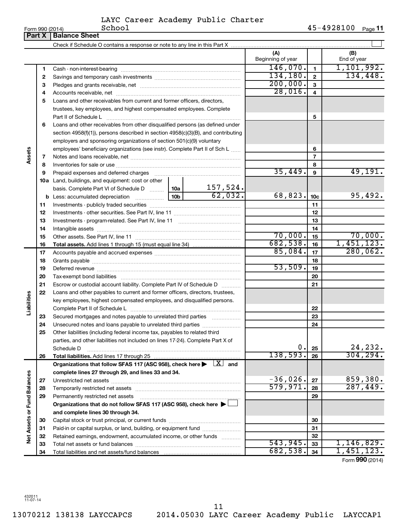| Form 990 $(2014)$ |  |  |
|-------------------|--|--|

|                             | Part X | <b>Balance Sheet</b>                                                                                                         |           |                          |                          |                 |                    |
|-----------------------------|--------|------------------------------------------------------------------------------------------------------------------------------|-----------|--------------------------|--------------------------|-----------------|--------------------|
|                             |        |                                                                                                                              |           |                          |                          |                 |                    |
|                             |        |                                                                                                                              |           |                          | (A)<br>Beginning of year |                 | (B)<br>End of year |
|                             | 1      |                                                                                                                              | 146,070.  | $\mathbf{1}$             | 1,101,992.               |                 |                    |
|                             | 2      |                                                                                                                              | 134, 180. | $\mathbf{2}$             | 134,448.                 |                 |                    |
|                             | З      |                                                                                                                              | 200,000.  | $\overline{3}$           |                          |                 |                    |
|                             | 4      |                                                                                                                              | 28,016.   | 4                        |                          |                 |                    |
|                             | 5      | Loans and other receivables from current and former officers, directors,                                                     |           |                          |                          |                 |                    |
|                             |        | trustees, key employees, and highest compensated employees. Complete                                                         |           |                          |                          |                 |                    |
|                             |        |                                                                                                                              |           |                          |                          | 5               |                    |
|                             | 6      | Loans and other receivables from other disqualified persons (as defined under                                                |           |                          |                          |                 |                    |
|                             |        | section 4958(f)(1)), persons described in section 4958(c)(3)(B), and contributing                                            |           |                          |                          |                 |                    |
|                             |        | employers and sponsoring organizations of section 501(c)(9) voluntary                                                        |           |                          |                          |                 |                    |
|                             |        | employees' beneficiary organizations (see instr). Complete Part II of Sch L                                                  |           |                          |                          | 6               |                    |
| Assets                      | 7      |                                                                                                                              |           |                          |                          | $\overline{7}$  |                    |
|                             | 8      |                                                                                                                              |           |                          |                          | 8               |                    |
|                             | 9      | Prepaid expenses and deferred charges                                                                                        |           |                          | 35,449.                  | 9               | 49,191.            |
|                             |        | <b>10a</b> Land, buildings, and equipment: cost or other                                                                     |           |                          |                          |                 |                    |
|                             |        | basis. Complete Part VI of Schedule D  10a                                                                                   |           |                          |                          |                 |                    |
|                             |        |                                                                                                                              |           | $\frac{157,524}{62,032}$ | 68,823.                  | 10 <sub>c</sub> | 95,492.            |
|                             | 11     |                                                                                                                              |           |                          |                          | 11              |                    |
|                             | 12     |                                                                                                                              |           |                          | 12                       |                 |                    |
|                             | 13     |                                                                                                                              |           | 13                       |                          |                 |                    |
|                             | 14     |                                                                                                                              |           | 14                       |                          |                 |                    |
|                             | 15     |                                                                                                                              | 70,000.   | 15                       | 70,000.                  |                 |                    |
|                             | 16     |                                                                                                                              |           |                          | 682,538.                 | 16              | 1,451,123.         |
|                             | 17     |                                                                                                                              |           | 85,084.                  | 17                       | 280,062.        |                    |
|                             | 18     |                                                                                                                              |           |                          |                          | 18              |                    |
|                             | 19     |                                                                                                                              |           |                          | 53,509.                  | 19              |                    |
|                             | 20     |                                                                                                                              |           |                          |                          | 20              |                    |
|                             | 21     | Escrow or custodial account liability. Complete Part IV of Schedule D                                                        |           |                          |                          | 21              |                    |
|                             | 22     | Loans and other payables to current and former officers, directors, trustees,                                                |           |                          |                          |                 |                    |
|                             |        | key employees, highest compensated employees, and disqualified persons.                                                      |           |                          |                          |                 |                    |
| Liabilities                 |        |                                                                                                                              |           |                          |                          | 22              |                    |
|                             | 23     | Secured mortgages and notes payable to unrelated third parties                                                               |           |                          |                          | 23              |                    |
|                             | 24     | Unsecured notes and loans payable to unrelated third parties                                                                 |           |                          |                          | 24              |                    |
|                             | 25     | Other liabilities (including federal income tax, payables to related third                                                   |           |                          |                          |                 |                    |
|                             |        | parties, and other liabilities not included on lines 17-24). Complete Part X of                                              |           |                          |                          |                 |                    |
|                             |        | Schedule D                                                                                                                   |           |                          | 0.                       | 25              | 24,232.            |
|                             | 26     | Total liabilities. Add lines 17 through 25                                                                                   |           |                          | 138,593.                 | 26              | 304, 294.          |
|                             |        | Organizations that follow SFAS 117 (ASC 958), check here $\blacktriangleright \begin{array}{c} \boxed{X} \\ \end{array}$ and |           |                          |                          |                 |                    |
|                             |        | complete lines 27 through 29, and lines 33 and 34.                                                                           |           |                          |                          |                 |                    |
|                             | 27     |                                                                                                                              |           |                          | $-36,026$ .              | 27              | 859,380.           |
|                             | 28     |                                                                                                                              |           |                          | 579,971.                 | 28              | 287,449.           |
|                             | 29     | Permanently restricted net assets                                                                                            |           |                          |                          | 29              |                    |
|                             |        | Organizations that do not follow SFAS 117 (ASC 958), check here $\blacktriangleright$                                        |           |                          |                          |                 |                    |
| Net Assets or Fund Balances |        | and complete lines 30 through 34.                                                                                            |           |                          |                          |                 |                    |
|                             | 30     |                                                                                                                              |           |                          |                          | 30              |                    |
|                             | 31     | Paid-in or capital surplus, or land, building, or equipment fund                                                             |           |                          |                          | 31              |                    |
|                             | 32     | Retained earnings, endowment, accumulated income, or other funds                                                             |           |                          |                          | 32              |                    |
|                             | 33     |                                                                                                                              |           |                          | 543,945.                 | 33              | 1,146,829.         |
|                             | 34     |                                                                                                                              |           |                          | 682,538.                 | 34              | 1,451,123.         |

Form (2014) **990**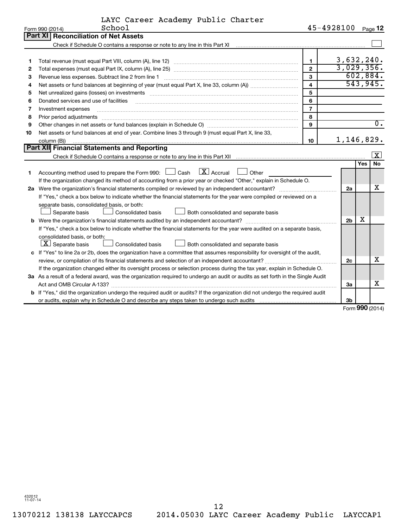| LAYC Career Academy Public Charter<br>45-4928100 Page 12<br>School<br>Form 990 (2014)                                                                                |                         |  |  |  |  |  |
|----------------------------------------------------------------------------------------------------------------------------------------------------------------------|-------------------------|--|--|--|--|--|
|                                                                                                                                                                      |                         |  |  |  |  |  |
| Part XI   Reconciliation of Net Assets                                                                                                                               |                         |  |  |  |  |  |
|                                                                                                                                                                      |                         |  |  |  |  |  |
|                                                                                                                                                                      |                         |  |  |  |  |  |
| 3,632,240.<br>$\mathbf{1}$<br>1                                                                                                                                      |                         |  |  |  |  |  |
| 3,029,356.<br>$\mathbf{2}$<br>2                                                                                                                                      |                         |  |  |  |  |  |
| 3<br>з<br>Revenue less expenses. Subtract line 2 from line 1                                                                                                         | 602,884.                |  |  |  |  |  |
| $\overline{\mathbf{4}}$<br>4                                                                                                                                         | 543,945.                |  |  |  |  |  |
| 5<br>5                                                                                                                                                               |                         |  |  |  |  |  |
| 6<br>Donated services and use of facilities<br>6                                                                                                                     |                         |  |  |  |  |  |
| $\overline{7}$<br>7<br>Investment expenses                                                                                                                           |                         |  |  |  |  |  |
| 8<br>8<br>Prior period adjustments                                                                                                                                   |                         |  |  |  |  |  |
| $\mathbf{Q}$<br>Other changes in net assets or fund balances (explain in Schedule O) manufacture changes in net assets or fund balances (explain in Schedule O)<br>9 | 0.                      |  |  |  |  |  |
| Net assets or fund balances at end of year. Combine lines 3 through 9 (must equal Part X, line 33,<br>10                                                             |                         |  |  |  |  |  |
| 1,146,829.<br>10<br>column (B))                                                                                                                                      |                         |  |  |  |  |  |
| Part XII Financial Statements and Reporting                                                                                                                          |                         |  |  |  |  |  |
|                                                                                                                                                                      | $\overline{\mathbf{X}}$ |  |  |  |  |  |
| Yes                                                                                                                                                                  | <b>No</b>               |  |  |  |  |  |
| $\boxed{\text{X}}$ Accrual<br>Accounting method used to prepare the Form 990: [130] Cash<br>Other<br>1                                                               |                         |  |  |  |  |  |
| If the organization changed its method of accounting from a prior year or checked "Other," explain in Schedule O.                                                    |                         |  |  |  |  |  |
| 2a                                                                                                                                                                   | x                       |  |  |  |  |  |
| If "Yes," check a box below to indicate whether the financial statements for the year were compiled or reviewed on a                                                 |                         |  |  |  |  |  |
| separate basis, consolidated basis, or both:                                                                                                                         |                         |  |  |  |  |  |
| Consolidated basis<br>Both consolidated and separate basis<br>Separate basis                                                                                         |                         |  |  |  |  |  |
| x<br>2 <sub>b</sub><br><b>b</b> Were the organization's financial statements audited by an independent accountant?                                                   |                         |  |  |  |  |  |
| If "Yes," check a box below to indicate whether the financial statements for the year were audited on a separate basis,                                              |                         |  |  |  |  |  |
| consolidated basis, or both:                                                                                                                                         |                         |  |  |  |  |  |
| $ \mathbf{X} $ Separate basis<br>Consolidated basis<br>Both consolidated and separate basis                                                                          |                         |  |  |  |  |  |
| c If "Yes" to line 2a or 2b, does the organization have a committee that assumes responsibility for oversight of the audit,                                          |                         |  |  |  |  |  |
| 2c                                                                                                                                                                   | x                       |  |  |  |  |  |
| If the organization changed either its oversight process or selection process during the tax year, explain in Schedule O.                                            |                         |  |  |  |  |  |
| 3a As a result of a federal award, was the organization required to undergo an audit or audits as set forth in the Single Audit                                      |                         |  |  |  |  |  |
| За                                                                                                                                                                   | x                       |  |  |  |  |  |
| b If "Yes," did the organization undergo the required audit or audits? If the organization did not undergo the required audit                                        |                         |  |  |  |  |  |
| 3b                                                                                                                                                                   | $000 \, \text{m}$       |  |  |  |  |  |

Form (2014) **990**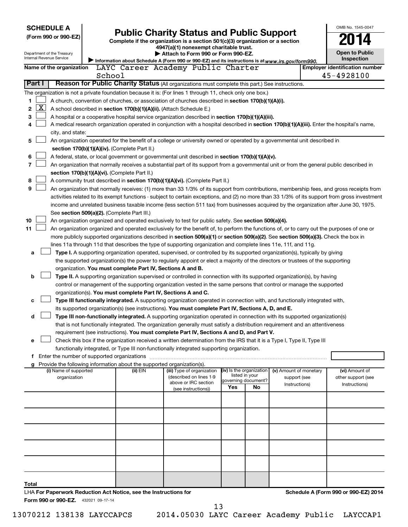|                          | <b>SCHEDULE A</b><br>(Form 990 or 990-EZ)                                                                                                                                                                                                            | <b>Public Charity Status and Public Support</b><br>Complete if the organization is a section 501(c)(3) organization or a section |                                                                                      | OMB No. 1545-0047                                                                                                                             |                                       |    |                        |  |                                            |  |  |  |
|--------------------------|------------------------------------------------------------------------------------------------------------------------------------------------------------------------------------------------------------------------------------------------------|----------------------------------------------------------------------------------------------------------------------------------|--------------------------------------------------------------------------------------|-----------------------------------------------------------------------------------------------------------------------------------------------|---------------------------------------|----|------------------------|--|--------------------------------------------|--|--|--|
| Internal Revenue Service | Department of the Treasury                                                                                                                                                                                                                           |                                                                                                                                  |                                                                                      | Attach to Form 990 or Form 990-EZ.<br>Information about Schedule A (Form 990 or 990-EZ) and its instructions is at www.irs.gov/form990.       |                                       |    |                        |  | <b>Open to Public</b><br><b>Inspection</b> |  |  |  |
|                          | Name of the organization                                                                                                                                                                                                                             |                                                                                                                                  |                                                                                      | LAYC Career Academy Public Charter                                                                                                            |                                       |    |                        |  | <b>Employer identification number</b>      |  |  |  |
|                          |                                                                                                                                                                                                                                                      | School                                                                                                                           |                                                                                      |                                                                                                                                               |                                       |    |                        |  | 45-4928100                                 |  |  |  |
| <b>Part I</b>            |                                                                                                                                                                                                                                                      |                                                                                                                                  |                                                                                      | Reason for Public Charity Status (All organizations must complete this part.) See instructions.                                               |                                       |    |                        |  |                                            |  |  |  |
|                          |                                                                                                                                                                                                                                                      |                                                                                                                                  |                                                                                      | The organization is not a private foundation because it is: (For lines 1 through 11, check only one box.)                                     |                                       |    |                        |  |                                            |  |  |  |
| 1                        |                                                                                                                                                                                                                                                      |                                                                                                                                  |                                                                                      | A church, convention of churches, or association of churches described in section 170(b)(1)(A)(i).                                            |                                       |    |                        |  |                                            |  |  |  |
| X <br>2                  | A school described in section 170(b)(1)(A)(ii). (Attach Schedule E.)                                                                                                                                                                                 |                                                                                                                                  |                                                                                      |                                                                                                                                               |                                       |    |                        |  |                                            |  |  |  |
| 3                        | A hospital or a cooperative hospital service organization described in section 170(b)(1)(A)(iii).<br>A medical research organization operated in conjunction with a hospital described in section 170(b)(1)(A)(iii). Enter the hospital's name,<br>4 |                                                                                                                                  |                                                                                      |                                                                                                                                               |                                       |    |                        |  |                                            |  |  |  |
|                          | city, and state:                                                                                                                                                                                                                                     |                                                                                                                                  |                                                                                      |                                                                                                                                               |                                       |    |                        |  |                                            |  |  |  |
| 5                        |                                                                                                                                                                                                                                                      |                                                                                                                                  |                                                                                      | An organization operated for the benefit of a college or university owned or operated by a governmental unit described in                     |                                       |    |                        |  |                                            |  |  |  |
|                          |                                                                                                                                                                                                                                                      |                                                                                                                                  | section 170(b)(1)(A)(iv). (Complete Part II.)                                        |                                                                                                                                               |                                       |    |                        |  |                                            |  |  |  |
| 6                        |                                                                                                                                                                                                                                                      |                                                                                                                                  |                                                                                      | A federal, state, or local government or governmental unit described in section 170(b)(1)(A)(v).                                              |                                       |    |                        |  |                                            |  |  |  |
| 7                        |                                                                                                                                                                                                                                                      |                                                                                                                                  |                                                                                      | An organization that normally receives a substantial part of its support from a governmental unit or from the general public described in     |                                       |    |                        |  |                                            |  |  |  |
|                          |                                                                                                                                                                                                                                                      |                                                                                                                                  | section 170(b)(1)(A)(vi). (Complete Part II.)                                        |                                                                                                                                               |                                       |    |                        |  |                                            |  |  |  |
| 8                        |                                                                                                                                                                                                                                                      |                                                                                                                                  |                                                                                      | A community trust described in section 170(b)(1)(A)(vi). (Complete Part II.)                                                                  |                                       |    |                        |  |                                            |  |  |  |
| 9                        |                                                                                                                                                                                                                                                      |                                                                                                                                  |                                                                                      | An organization that normally receives: (1) more than 33 1/3% of its support from contributions, membership fees, and gross receipts from     |                                       |    |                        |  |                                            |  |  |  |
|                          |                                                                                                                                                                                                                                                      |                                                                                                                                  |                                                                                      | activities related to its exempt functions - subject to certain exceptions, and (2) no more than 33 1/3% of its support from gross investment |                                       |    |                        |  |                                            |  |  |  |
|                          |                                                                                                                                                                                                                                                      |                                                                                                                                  | See section 509(a)(2). (Complete Part III.)                                          | income and unrelated business taxable income (less section 511 tax) from businesses acquired by the organization after June 30, 1975.         |                                       |    |                        |  |                                            |  |  |  |
| 10                       |                                                                                                                                                                                                                                                      |                                                                                                                                  |                                                                                      | An organization organized and operated exclusively to test for public safety. See section 509(a)(4).                                          |                                       |    |                        |  |                                            |  |  |  |
| 11                       |                                                                                                                                                                                                                                                      |                                                                                                                                  |                                                                                      | An organization organized and operated exclusively for the benefit of, to perform the functions of, or to carry out the purposes of one or    |                                       |    |                        |  |                                            |  |  |  |
|                          |                                                                                                                                                                                                                                                      |                                                                                                                                  |                                                                                      | more publicly supported organizations described in section 509(a)(1) or section 509(a)(2). See section 509(a)(3). Check the box in            |                                       |    |                        |  |                                            |  |  |  |
|                          |                                                                                                                                                                                                                                                      |                                                                                                                                  |                                                                                      | lines 11a through 11d that describes the type of supporting organization and complete lines 11e, 11f, and 11g.                                |                                       |    |                        |  |                                            |  |  |  |
| а                        |                                                                                                                                                                                                                                                      |                                                                                                                                  |                                                                                      | Type I. A supporting organization operated, supervised, or controlled by its supported organization(s), typically by giving                   |                                       |    |                        |  |                                            |  |  |  |
|                          |                                                                                                                                                                                                                                                      |                                                                                                                                  |                                                                                      | the supported organization(s) the power to regularly appoint or elect a majority of the directors or trustees of the supporting               |                                       |    |                        |  |                                            |  |  |  |
|                          |                                                                                                                                                                                                                                                      |                                                                                                                                  | organization. You must complete Part IV, Sections A and B.                           |                                                                                                                                               |                                       |    |                        |  |                                            |  |  |  |
| b                        |                                                                                                                                                                                                                                                      |                                                                                                                                  |                                                                                      | Type II. A supporting organization supervised or controlled in connection with its supported organization(s), by having                       |                                       |    |                        |  |                                            |  |  |  |
|                          |                                                                                                                                                                                                                                                      |                                                                                                                                  | organization(s). You must complete Part IV, Sections A and C.                        | control or management of the supporting organization vested in the same persons that control or manage the supported                          |                                       |    |                        |  |                                            |  |  |  |
| c                        |                                                                                                                                                                                                                                                      |                                                                                                                                  |                                                                                      | Type III functionally integrated. A supporting organization operated in connection with, and functionally integrated with,                    |                                       |    |                        |  |                                            |  |  |  |
|                          |                                                                                                                                                                                                                                                      |                                                                                                                                  |                                                                                      | its supported organization(s) (see instructions). You must complete Part IV, Sections A, D, and E.                                            |                                       |    |                        |  |                                            |  |  |  |
| d                        |                                                                                                                                                                                                                                                      |                                                                                                                                  |                                                                                      | Type III non-functionally integrated. A supporting organization operated in connection with its supported organization(s)                     |                                       |    |                        |  |                                            |  |  |  |
|                          |                                                                                                                                                                                                                                                      |                                                                                                                                  |                                                                                      | that is not functionally integrated. The organization generally must satisfy a distribution requirement and an attentiveness                  |                                       |    |                        |  |                                            |  |  |  |
|                          |                                                                                                                                                                                                                                                      |                                                                                                                                  |                                                                                      | requirement (see instructions). You must complete Part IV, Sections A and D, and Part V.                                                      |                                       |    |                        |  |                                            |  |  |  |
| е                        |                                                                                                                                                                                                                                                      |                                                                                                                                  |                                                                                      | Check this box if the organization received a written determination from the IRS that it is a Type I, Type II, Type III                       |                                       |    |                        |  |                                            |  |  |  |
|                          |                                                                                                                                                                                                                                                      |                                                                                                                                  |                                                                                      | functionally integrated, or Type III non-functionally integrated supporting organization.                                                     |                                       |    |                        |  |                                            |  |  |  |
|                          |                                                                                                                                                                                                                                                      |                                                                                                                                  |                                                                                      |                                                                                                                                               |                                       |    |                        |  |                                            |  |  |  |
|                          | (i) Name of supported                                                                                                                                                                                                                                |                                                                                                                                  | g Provide the following information about the supported organization(s).<br>(ii) EIN | (iii) Type of organization                                                                                                                    | (iv) Is the organization              |    | (v) Amount of monetary |  | (vi) Amount of                             |  |  |  |
|                          | organization                                                                                                                                                                                                                                         |                                                                                                                                  |                                                                                      | (described on lines 1-9                                                                                                                       | listed in your<br>governing document? |    | support (see           |  | other support (see                         |  |  |  |
|                          |                                                                                                                                                                                                                                                      |                                                                                                                                  |                                                                                      | above or IRC section<br>(see instructions))                                                                                                   | Yes                                   | No | Instructions)          |  | Instructions)                              |  |  |  |
|                          |                                                                                                                                                                                                                                                      |                                                                                                                                  |                                                                                      |                                                                                                                                               |                                       |    |                        |  |                                            |  |  |  |
|                          |                                                                                                                                                                                                                                                      |                                                                                                                                  |                                                                                      |                                                                                                                                               |                                       |    |                        |  |                                            |  |  |  |
|                          |                                                                                                                                                                                                                                                      |                                                                                                                                  |                                                                                      |                                                                                                                                               |                                       |    |                        |  |                                            |  |  |  |
|                          |                                                                                                                                                                                                                                                      |                                                                                                                                  |                                                                                      |                                                                                                                                               |                                       |    |                        |  |                                            |  |  |  |
|                          |                                                                                                                                                                                                                                                      |                                                                                                                                  |                                                                                      |                                                                                                                                               |                                       |    |                        |  |                                            |  |  |  |
|                          |                                                                                                                                                                                                                                                      |                                                                                                                                  |                                                                                      |                                                                                                                                               |                                       |    |                        |  |                                            |  |  |  |
|                          |                                                                                                                                                                                                                                                      |                                                                                                                                  |                                                                                      |                                                                                                                                               |                                       |    |                        |  |                                            |  |  |  |
|                          |                                                                                                                                                                                                                                                      |                                                                                                                                  |                                                                                      |                                                                                                                                               |                                       |    |                        |  |                                            |  |  |  |
|                          |                                                                                                                                                                                                                                                      |                                                                                                                                  |                                                                                      |                                                                                                                                               |                                       |    |                        |  |                                            |  |  |  |
|                          |                                                                                                                                                                                                                                                      |                                                                                                                                  |                                                                                      |                                                                                                                                               |                                       |    |                        |  |                                            |  |  |  |
| Total                    |                                                                                                                                                                                                                                                      |                                                                                                                                  |                                                                                      |                                                                                                                                               |                                       |    |                        |  |                                            |  |  |  |
|                          | Form 990 or 990-EZ. 432021 09-17-14                                                                                                                                                                                                                  |                                                                                                                                  | LHA For Paperwork Reduction Act Notice, see the Instructions for                     |                                                                                                                                               |                                       |    |                        |  | Schedule A (Form 990 or 990-EZ) 2014       |  |  |  |

13

13070212 138138 LAYCCAPCS 2014.05030 LAYC Career Academy Public LAYCCAP1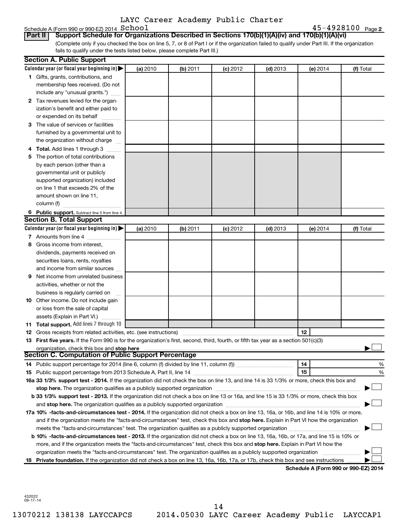# Schedule A (Form 990 or 990-EZ) 2014  $School$

**2** School 45-4928100

(Complete only if you checked the box on line 5, 7, or 8 of Part I or if the organization failed to qualify under Part III. If the organization fails to qualify under the tests listed below, please complete Part III.) **Part II Support Schedule for Organizations Described in Sections 170(b)(1)(A)(iv) and 170(b)(1)(A)(vi)**

|     | <b>Section A. Public Support</b>                                                                                                                                                                                               |          |          |            |            |                                      |           |
|-----|--------------------------------------------------------------------------------------------------------------------------------------------------------------------------------------------------------------------------------|----------|----------|------------|------------|--------------------------------------|-----------|
|     | Calendar year (or fiscal year beginning in) $\blacktriangleright$                                                                                                                                                              | (a) 2010 | (b) 2011 | (c) 2012   | $(d)$ 2013 | $(e)$ 2014                           | (f) Total |
|     | 1 Gifts, grants, contributions, and                                                                                                                                                                                            |          |          |            |            |                                      |           |
|     | membership fees received. (Do not                                                                                                                                                                                              |          |          |            |            |                                      |           |
|     | include any "unusual grants.")                                                                                                                                                                                                 |          |          |            |            |                                      |           |
|     | 2 Tax revenues levied for the organ-                                                                                                                                                                                           |          |          |            |            |                                      |           |
|     | ization's benefit and either paid to                                                                                                                                                                                           |          |          |            |            |                                      |           |
|     | or expended on its behalf                                                                                                                                                                                                      |          |          |            |            |                                      |           |
|     | 3 The value of services or facilities                                                                                                                                                                                          |          |          |            |            |                                      |           |
|     | furnished by a governmental unit to                                                                                                                                                                                            |          |          |            |            |                                      |           |
|     | the organization without charge                                                                                                                                                                                                |          |          |            |            |                                      |           |
|     | 4 Total. Add lines 1 through 3                                                                                                                                                                                                 |          |          |            |            |                                      |           |
| 5.  | The portion of total contributions                                                                                                                                                                                             |          |          |            |            |                                      |           |
|     | by each person (other than a                                                                                                                                                                                                   |          |          |            |            |                                      |           |
|     | governmental unit or publicly                                                                                                                                                                                                  |          |          |            |            |                                      |           |
|     | supported organization) included                                                                                                                                                                                               |          |          |            |            |                                      |           |
|     | on line 1 that exceeds 2% of the                                                                                                                                                                                               |          |          |            |            |                                      |           |
|     | amount shown on line 11,                                                                                                                                                                                                       |          |          |            |            |                                      |           |
|     | column (f)                                                                                                                                                                                                                     |          |          |            |            |                                      |           |
|     | 6 Public support. Subtract line 5 from line 4.                                                                                                                                                                                 |          |          |            |            |                                      |           |
|     | <b>Section B. Total Support</b>                                                                                                                                                                                                |          |          |            |            |                                      |           |
|     | Calendar year (or fiscal year beginning in) $\blacktriangleright$                                                                                                                                                              | (a) 2010 | (b) 2011 | $(c)$ 2012 | $(d)$ 2013 | (e) 2014                             | (f) Total |
|     | 7 Amounts from line 4                                                                                                                                                                                                          |          |          |            |            |                                      |           |
| 8   | Gross income from interest,                                                                                                                                                                                                    |          |          |            |            |                                      |           |
|     | dividends, payments received on                                                                                                                                                                                                |          |          |            |            |                                      |           |
|     | securities loans, rents, royalties                                                                                                                                                                                             |          |          |            |            |                                      |           |
|     | and income from similar sources                                                                                                                                                                                                |          |          |            |            |                                      |           |
| 9   | Net income from unrelated business                                                                                                                                                                                             |          |          |            |            |                                      |           |
|     | activities, whether or not the                                                                                                                                                                                                 |          |          |            |            |                                      |           |
|     | business is regularly carried on                                                                                                                                                                                               |          |          |            |            |                                      |           |
|     | 10 Other income. Do not include gain                                                                                                                                                                                           |          |          |            |            |                                      |           |
|     | or loss from the sale of capital                                                                                                                                                                                               |          |          |            |            |                                      |           |
|     | assets (Explain in Part VI.)                                                                                                                                                                                                   |          |          |            |            |                                      |           |
|     | 11 Total support. Add lines 7 through 10                                                                                                                                                                                       |          |          |            |            |                                      |           |
|     | <b>12</b> Gross receipts from related activities, etc. (see instructions)                                                                                                                                                      |          |          |            |            | 12                                   |           |
|     | 13 First five years. If the Form 990 is for the organization's first, second, third, fourth, or fifth tax year as a section 501(c)(3)                                                                                          |          |          |            |            |                                      |           |
|     | organization, check this box and stop here                                                                                                                                                                                     |          |          |            |            |                                      |           |
|     | <b>Section C. Computation of Public Support Percentage</b>                                                                                                                                                                     |          |          |            |            |                                      |           |
|     |                                                                                                                                                                                                                                |          |          |            |            | 14                                   | %         |
|     |                                                                                                                                                                                                                                |          |          |            |            | 15                                   | %         |
|     | 16a 33 1/3% support test - 2014. If the organization did not check the box on line 13, and line 14 is 33 1/3% or more, check this box and                                                                                      |          |          |            |            |                                      |           |
|     | stop here. The organization qualifies as a publicly supported organization manufaction manufacture or manufacture or the organization manufacture or the organization of the state of the state of the state of the state of t |          |          |            |            |                                      |           |
|     | b 33 1/3% support test - 2013. If the organization did not check a box on line 13 or 16a, and line 15 is 33 1/3% or more, check this box                                                                                       |          |          |            |            |                                      |           |
|     |                                                                                                                                                                                                                                |          |          |            |            |                                      |           |
|     | 17a 10% -facts-and-circumstances test - 2014. If the organization did not check a box on line 13, 16a, or 16b, and line 14 is 10% or more,                                                                                     |          |          |            |            |                                      |           |
|     | and if the organization meets the "facts-and-circumstances" test, check this box and stop here. Explain in Part VI how the organization                                                                                        |          |          |            |            |                                      |           |
|     | meets the "facts-and-circumstances" test. The organization qualifies as a publicly supported organization                                                                                                                      |          |          |            |            |                                      |           |
|     | b 10% -facts-and-circumstances test - 2013. If the organization did not check a box on line 13, 16a, 16b, or 17a, and line 15 is 10% or                                                                                        |          |          |            |            |                                      |           |
|     | more, and if the organization meets the "facts-and-circumstances" test, check this box and stop here. Explain in Part VI how the                                                                                               |          |          |            |            |                                      |           |
|     | organization meets the "facts-and-circumstances" test. The organization qualifies as a publicly supported organization                                                                                                         |          |          |            |            |                                      |           |
| 18. | Private foundation. If the organization did not check a box on line 13, 16a, 16b, 17a, or 17b, check this box and see instructions                                                                                             |          |          |            |            |                                      |           |
|     |                                                                                                                                                                                                                                |          |          |            |            | Schedule A (Form 990 or 990-EZ) 2014 |           |

432022 09-17-14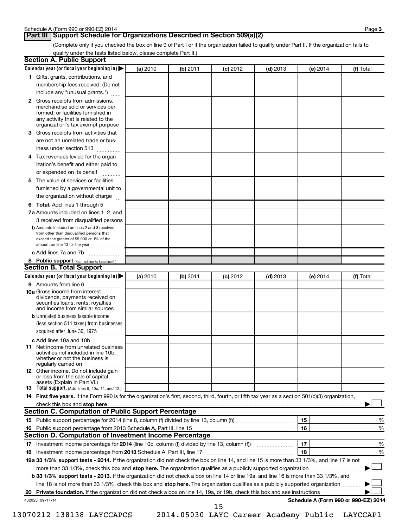### **Part III Support Schedule for Organizations Described in Section 509(a)(2)**

(Complete only if you checked the box on line 9 of Part I or if the organization failed to qualify under Part II. If the organization fails to qualify under the tests listed below, please complete Part II.)

| <b>Section A. Public Support</b>                                                                                                                                                                                         |          |          |            |            |          |                                      |
|--------------------------------------------------------------------------------------------------------------------------------------------------------------------------------------------------------------------------|----------|----------|------------|------------|----------|--------------------------------------|
| Calendar year (or fiscal year beginning in)                                                                                                                                                                              | (a) 2010 | (b) 2011 | $(c)$ 2012 | $(d)$ 2013 | (e) 2014 | (f) Total                            |
| 1 Gifts, grants, contributions, and                                                                                                                                                                                      |          |          |            |            |          |                                      |
| membership fees received. (Do not                                                                                                                                                                                        |          |          |            |            |          |                                      |
| include any "unusual grants.")                                                                                                                                                                                           |          |          |            |            |          |                                      |
| 2 Gross receipts from admissions,<br>merchandise sold or services per-<br>formed, or facilities furnished in<br>any activity that is related to the                                                                      |          |          |            |            |          |                                      |
| organization's tax-exempt purpose<br>3 Gross receipts from activities that                                                                                                                                               |          |          |            |            |          |                                      |
| are not an unrelated trade or bus-                                                                                                                                                                                       |          |          |            |            |          |                                      |
| iness under section 513                                                                                                                                                                                                  |          |          |            |            |          |                                      |
|                                                                                                                                                                                                                          |          |          |            |            |          |                                      |
| 4 Tax revenues levied for the organ-                                                                                                                                                                                     |          |          |            |            |          |                                      |
| ization's benefit and either paid to                                                                                                                                                                                     |          |          |            |            |          |                                      |
| or expended on its behalf<br>.                                                                                                                                                                                           |          |          |            |            |          |                                      |
| 5 The value of services or facilities                                                                                                                                                                                    |          |          |            |            |          |                                      |
| furnished by a governmental unit to                                                                                                                                                                                      |          |          |            |            |          |                                      |
| the organization without charge                                                                                                                                                                                          |          |          |            |            |          |                                      |
| 6 Total. Add lines 1 through 5                                                                                                                                                                                           |          |          |            |            |          |                                      |
| 7a Amounts included on lines 1, 2, and                                                                                                                                                                                   |          |          |            |            |          |                                      |
| 3 received from disqualified persons<br><b>b</b> Amounts included on lines 2 and 3 received<br>from other than disqualified persons that<br>exceed the greater of \$5,000 or 1% of the<br>amount on line 13 for the year |          |          |            |            |          |                                      |
| c Add lines 7a and 7b                                                                                                                                                                                                    |          |          |            |            |          |                                      |
| 8 Public support (Subtract line 7c from line 6.)                                                                                                                                                                         |          |          |            |            |          |                                      |
| <b>Section B. Total Support</b>                                                                                                                                                                                          |          |          |            |            |          |                                      |
| Calendar year (or fiscal year beginning in)                                                                                                                                                                              | (a) 2010 | (b) 2011 | $(c)$ 2012 | $(d)$ 2013 | (e) 2014 | (f) Total                            |
| 9 Amounts from line 6                                                                                                                                                                                                    |          |          |            |            |          |                                      |
| <b>10a</b> Gross income from interest,<br>dividends, payments received on<br>securities loans, rents, royalties<br>and income from similar sources                                                                       |          |          |            |            |          |                                      |
| <b>b</b> Unrelated business taxable income                                                                                                                                                                               |          |          |            |            |          |                                      |
| (less section 511 taxes) from businesses                                                                                                                                                                                 |          |          |            |            |          |                                      |
| acquired after June 30, 1975<br>$\overline{\phantom{a}}$                                                                                                                                                                 |          |          |            |            |          |                                      |
| c Add lines 10a and 10b                                                                                                                                                                                                  |          |          |            |            |          |                                      |
| <b>11</b> Net income from unrelated business<br>activities not included in line 10b.<br>whether or not the business is<br>regularly carried on                                                                           |          |          |            |            |          |                                      |
| 12 Other income. Do not include gain<br>or loss from the sale of capital<br>assets (Explain in Part VI.)                                                                                                                 |          |          |            |            |          |                                      |
| <b>13</b> Total support. (Add lines 9, 10c, 11, and 12.)                                                                                                                                                                 |          |          |            |            |          |                                      |
| 14 First five years. If the Form 990 is for the organization's first, second, third, fourth, or fifth tax year as a section 501(c)(3) organization,                                                                      |          |          |            |            |          |                                      |
| check this box and stop here                                                                                                                                                                                             |          |          |            |            |          |                                      |
| <b>Section C. Computation of Public Support Percentage</b>                                                                                                                                                               |          |          |            |            |          |                                      |
|                                                                                                                                                                                                                          |          |          |            |            | 15       | %                                    |
|                                                                                                                                                                                                                          |          |          |            |            | 16       | %                                    |
| Section D. Computation of Investment Income Percentage                                                                                                                                                                   |          |          |            |            |          |                                      |
|                                                                                                                                                                                                                          |          |          |            |            | 17       | %                                    |
| 18 Investment income percentage from 2013 Schedule A, Part III, line 17                                                                                                                                                  |          |          |            |            | 18       | %                                    |
| 19a 33 1/3% support tests - 2014. If the organization did not check the box on line 14, and line 15 is more than 33 1/3%, and line 17 is not                                                                             |          |          |            |            |          |                                      |
| more than 33 1/3%, check this box and stop here. The organization qualifies as a publicly supported organization                                                                                                         |          |          |            |            |          |                                      |
| b 33 1/3% support tests - 2013. If the organization did not check a box on line 14 or line 19a, and line 16 is more than 33 1/3%, and                                                                                    |          |          |            |            |          |                                      |
| line 18 is not more than 33 1/3%, check this box and stop here. The organization qualifies as a publicly supported organization <i></i>                                                                                  |          |          |            |            |          |                                      |
|                                                                                                                                                                                                                          |          |          |            |            |          |                                      |
| 432023 09-17-14                                                                                                                                                                                                          |          |          | 15         |            |          | Schedule A (Form 990 or 990-EZ) 2014 |
|                                                                                                                                                                                                                          |          |          |            |            |          |                                      |

13070212 138138 LAYCCAPCS 2014.05030 LAYC Career Academy Public LAYCCAP1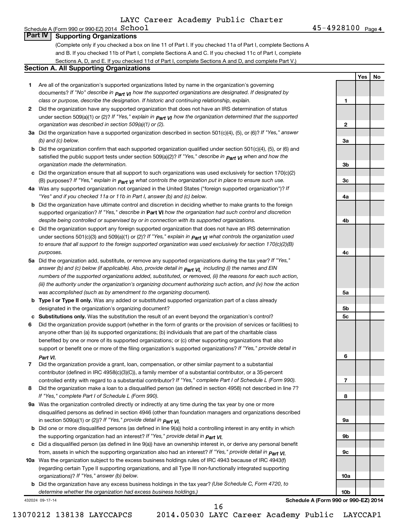(Complete only if you checked a box on line 11 of Part I. If you checked 11a of Part I, complete Sections A and B. If you checked 11b of Part I, complete Sections A and C. If you checked 11c of Part I, complete Sections A, D, and E. If you checked 11d of Part I, complete Sections A and D, and complete Part V.)

### **Section A. All Supporting Organizations**

- **1** Are all of the organization's supported organizations listed by name in the organization's governing documents? If "No" describe in  $_{\mathsf{Part}}$   $_{\mathsf{V}}$  how the supported organizations are designated. If designated by *class or purpose, describe the designation. If historic and continuing relationship, explain.*
- **2** Did the organization have any supported organization that does not have an IRS determination of status under section 509(a)(1) or (2)? If "Yes," explain in  $_{\sf Part}$   $_{\sf VI}$  how the organization determined that the supported *organization was described in section 509(a)(1) or (2).*
- **3a** Did the organization have a supported organization described in section 501(c)(4), (5), or (6)? If "Yes," answer *(b) and (c) below.*
- **b** Did the organization confirm that each supported organization qualified under section 501(c)(4), (5), or (6) and satisfied the public support tests under section 509(a)(2)? If "Yes," describe in  $_{\rm Part}$   $_{\rm VI}$  when and how the *organization made the determination.*
- **c** Did the organization ensure that all support to such organizations was used exclusively for section 170(c)(2) (B) purposes? If "Yes," explain in  $_{\mathsf{Part}}$   $_{\mathsf{V}}$  what controls the organization put in place to ensure such use.
- **4 a** *If* Was any supported organization not organized in the United States ("foreign supported organization")? *"Yes" and if you checked 11a or 11b in Part I, answer (b) and (c) below.*
- **b** Did the organization have ultimate control and discretion in deciding whether to make grants to the foreign supported organization? If "Yes," describe in Part VI how the organization had such control and discretion *despite being controlled or supervised by or in connection with its supported organizations.*
- **c** Did the organization support any foreign supported organization that does not have an IRS determination under sections 501(c)(3) and 509(a)(1) or (2)? If "Yes," ex*plain in*  $_{\sf Part}$  *v*J what controls the organization used *to ensure that all support to the foreign supported organization was used exclusively for section 170(c)(2)(B) purposes.*
- **5a** Did the organization add, substitute, or remove any supported organizations during the tax year? If "Yes," answer (b) and (c) below (if applicable). Also, provide detail in  $_{\mathsf{Part}}$   $_{\mathsf{V{\mathsf{I}}}}$ , including (i) the names and EIN *numbers of the supported organizations added, substituted, or removed, (ii) the reasons for each such action, (iii) the authority under the organization's organizing document authorizing such action, and (iv) how the action was accomplished (such as by amendment to the organizing document).*
- **b** Type I or Type II only. Was any added or substituted supported organization part of a class already designated in the organization's organizing document?
- **c Substitutions only.**  Was the substitution the result of an event beyond the organization's control?
- **6** Did the organization provide support (whether in the form of grants or the provision of services or facilities) to support or benefit one or more of the filing organization's supported organizations? If "Yes," provide detail in anyone other than (a) its supported organizations; (b) individuals that are part of the charitable class benefited by one or more of its supported organizations; or (c) other supporting organizations that also *Part VI.*
- **7** Did the organization provide a grant, loan, compensation, or other similar payment to a substantial controlled entity with regard to a substantial contributor? If "Yes," complete Part I of Schedule L (Form 990). contributor (defined in IRC 4958(c)(3)(C)), a family member of a substantial contributor, or a 35-percent
- **8** Did the organization make a loan to a disqualified person (as defined in section 4958) not described in line 7? *If "Yes," complete Part I of Schedule L (Form 990).*
- **9 a** Was the organization controlled directly or indirectly at any time during the tax year by one or more *If "Yes," provide detail in*  in section 509(a)(1) or (2))? *Part VI.* disqualified persons as defined in section 4946 (other than foundation managers and organizations described
- **b** Did one or more disqualified persons (as defined in line 9(a)) hold a controlling interest in any entity in which  *If "Yes," provide detail in*  the supporting organization had an interest? *Part VI.*
- **c** Did a disqualified person (as defined in line 9(a)) have an ownership interest in, or derive any personal benefit from, assets in which the supporting organization also had an interest? If "Yes," *provide detail in Part VI.*
- **10 a** Was the organization subject to the excess business holdings rules of IRC 4943 because of IRC 4943(f)  *If "Yes," answer (b) below.* organizations)? (regarding certain Type II supporting organizations, and all Type III non-functionally integrated supporting
- **b** Did the organization have any excess business holdings in the tax year? (Use Schedule C, Form 4720, to *determine whether the organization had excess business holdings.)*

432024 09-17-14

**Schedule A (Form 990 or 990-EZ) 2014**

16

**Yes No**

**1**

**2**

**3a**

**3b**

**3c**

**4a**

**4b**

**4c**

**5a**

**5b 5c**

**6**

**7**

**8**

**9a**

**9b**

**9c**

**10a**

**10b**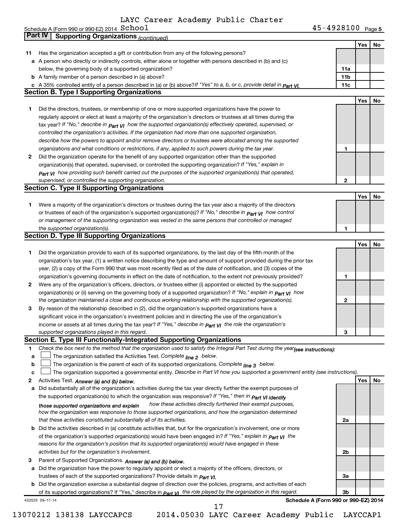|    | Schedule A (Form 990 or 990-EZ) 2014 $\,$ $\rm School$                                                                                                                         | $45 - 4928100$ Page 5                |            |    |
|----|--------------------------------------------------------------------------------------------------------------------------------------------------------------------------------|--------------------------------------|------------|----|
|    | <b>Part IV</b><br><b>Supporting Organizations (continued)</b>                                                                                                                  |                                      |            |    |
|    |                                                                                                                                                                                |                                      | <b>Yes</b> | No |
| 11 | Has the organization accepted a gift or contribution from any of the following persons?                                                                                        |                                      |            |    |
|    | a A person who directly or indirectly controls, either alone or together with persons described in (b) and (c)                                                                 |                                      |            |    |
|    | below, the governing body of a supported organization?                                                                                                                         | 11a                                  |            |    |
|    | <b>b</b> A family member of a person described in (a) above?                                                                                                                   | 11 <sub>b</sub>                      |            |    |
|    |                                                                                                                                                                                | 11c                                  |            |    |
|    | c A 35% controlled entity of a person described in (a) or (b) above? If "Yes" to a, b, or c, provide detail in $Part$ VI.<br><b>Section B. Type I Supporting Organizations</b> |                                      |            |    |
|    |                                                                                                                                                                                |                                      |            |    |
|    |                                                                                                                                                                                |                                      | <b>Yes</b> | No |
| 1  | Did the directors, trustees, or membership of one or more supported organizations have the power to                                                                            |                                      |            |    |
|    | regularly appoint or elect at least a majority of the organization's directors or trustees at all times during the                                                             |                                      |            |    |
|    | tax year? If "No," describe in part VI how the supported organization(s) effectively operated, supervised, or                                                                  |                                      |            |    |
|    | controlled the organization's activities. If the organization had more than one supported organization,                                                                        |                                      |            |    |
|    | describe how the powers to appoint and/or remove directors or trustees were allocated among the supported                                                                      |                                      |            |    |
|    | organizations and what conditions or restrictions, if any, applied to such powers during the tax year.                                                                         | 1                                    |            |    |
| 2  | Did the organization operate for the benefit of any supported organization other than the supported                                                                            |                                      |            |    |
|    | organization(s) that operated, supervised, or controlled the supporting organization? If "Yes," explain in                                                                     |                                      |            |    |
|    | Part VI how providing such benefit carried out the purposes of the supported organization(s) that operated,                                                                    |                                      |            |    |
|    | supervised, or controlled the supporting organization.                                                                                                                         | 2                                    |            |    |
|    | <b>Section C. Type II Supporting Organizations</b>                                                                                                                             |                                      |            |    |
|    |                                                                                                                                                                                |                                      | Yes        | No |
| 1. | Were a majority of the organization's directors or trustees during the tax year also a majority of the directors                                                               |                                      |            |    |
|    | or trustees of each of the organization's supported organization(s)? If "No," describe in $P_{\text{art}}$ $V_I$ how control                                                   |                                      |            |    |
|    | or management of the supporting organization was vested in the same persons that controlled or managed                                                                         |                                      |            |    |
|    | the supported organization(s).                                                                                                                                                 | 1                                    |            |    |
|    | <b>Section D. Type III Supporting Organizations</b>                                                                                                                            |                                      |            |    |
|    |                                                                                                                                                                                |                                      | Yes        | No |
|    | Did the organization provide to each of its supported organizations, by the last day of the fifth month of the                                                                 |                                      |            |    |
| 1. |                                                                                                                                                                                |                                      |            |    |
|    | organization's tax year, (1) a written notice describing the type and amount of support provided during the prior tax                                                          |                                      |            |    |
|    | year, (2) a copy of the Form 990 that was most recently filed as of the date of notification, and (3) copies of the                                                            |                                      |            |    |
|    | organization's governing documents in effect on the date of notification, to the extent not previously provided?                                                               | 1                                    |            |    |
| 2  | Were any of the organization's officers, directors, or trustees either (i) appointed or elected by the supported                                                               |                                      |            |    |
|    | organization(s) or (ii) serving on the governing body of a supported organization? If "No," explain in part VI how                                                             |                                      |            |    |
|    | the organization maintained a close and continuous working relationship with the supported organization(s).                                                                    | 2                                    |            |    |
| 3  | By reason of the relationship described in (2), did the organization's supported organizations have a                                                                          |                                      |            |    |
|    | significant voice in the organization's investment policies and in directing the use of the organization's                                                                     |                                      |            |    |
|    | income or assets at all times during the tax year? If "Yes," describe in part VI the role the organization's                                                                   |                                      |            |    |
|    | supported organizations played in this regard.                                                                                                                                 | З                                    |            |    |
|    | Section E. Type III Functionally-Integrated Supporting Organizations                                                                                                           |                                      |            |    |
| 1  | Check the box next to the method that the organization used to satisfy the Integral Part Test during the year(see instructions):                                               |                                      |            |    |
| a  | The organization satisfied the Activities Test. Complete line 2 below.                                                                                                         |                                      |            |    |
| b  | The organization is the parent of each of its supported organizations. Complete $_{\text{line 3}}$ below.                                                                      |                                      |            |    |
| с  | The organization supported a governmental entity. Describe in Part VI how you supported a government entity (see instructions).                                                |                                      |            |    |
| 2  | Activities Test. Answer (a) and (b) below.                                                                                                                                     |                                      | Yes        | No |
| а  | Did substantially all of the organization's activities during the tax year directly further the exempt purposes of                                                             |                                      |            |    |
|    | the supported organization(s) to which the organization was responsive? If "Yes," then in Part VI identify                                                                     |                                      |            |    |
|    | how these activities directly furthered their exempt purposes,<br>those supported organizations and explain                                                                    |                                      |            |    |
|    | how the organization was responsive to those supported organizations, and how the organization determined                                                                      |                                      |            |    |
|    | that these activities constituted substantially all of its activities.                                                                                                         | 2a                                   |            |    |
| b  | Did the activities described in (a) constitute activities that, but for the organization's involvement, one or more                                                            |                                      |            |    |
|    | of the organization's supported organization(s) would have been engaged in? If "Yes," explain in <b>Part VI</b> the                                                            |                                      |            |    |
|    | reasons for the organization's position that its supported organization(s) would have engaged in these                                                                         |                                      |            |    |
|    | activities but for the organization's involvement.                                                                                                                             | 2b                                   |            |    |
| 3  |                                                                                                                                                                                |                                      |            |    |
|    | Parent of Supported Organizations. Answer (a) and (b) below.                                                                                                                   |                                      |            |    |
| а  | Did the organization have the power to regularly appoint or elect a majority of the officers, directors, or                                                                    |                                      |            |    |
|    | trustees of each of the supported organizations? Provide details in <i>Part VI.</i>                                                                                            | За                                   |            |    |
|    | <b>b</b> Did the organization exercise a substantial degree of direction over the policies, programs, and activities of each                                                   |                                      |            |    |
|    | of its supported organizations? If "Yes," describe in $Part$ $VI$ the role played by the organization in this regard.                                                          | Зb                                   |            |    |
|    | 432025 09-17-14<br>17                                                                                                                                                          | Schedule A (Form 990 or 990-EZ) 2014 |            |    |
|    |                                                                                                                                                                                |                                      |            |    |

<sup>13070212 138138</sup> LAYCCAPCS 2014.05030 LAYC Career Academy Public LAYCCAP1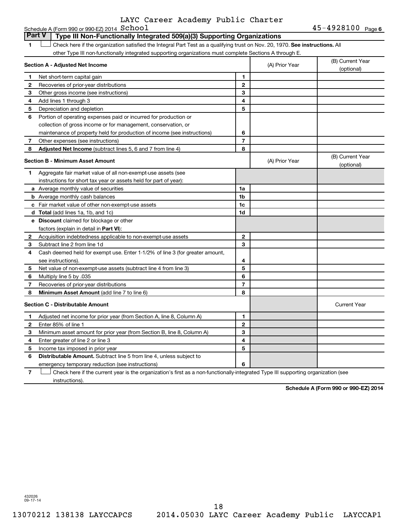|  | LAYC Career Academy Public Charter |  |
|--|------------------------------------|--|
|  |                                    |  |

|              | Schedule A (Form 990 or 990-EZ) 2014 $School$                                                                                 |                |                | $45 - 4928100$ Page 6          |
|--------------|-------------------------------------------------------------------------------------------------------------------------------|----------------|----------------|--------------------------------|
|              | <b>Part V</b><br>Type III Non-Functionally Integrated 509(a)(3) Supporting Organizations                                      |                |                |                                |
| 1            | Check here if the organization satisfied the Integral Part Test as a qualifying trust on Nov. 20, 1970. See instructions. All |                |                |                                |
|              | other Type III non-functionally integrated supporting organizations must complete Sections A through E.                       |                |                |                                |
|              | Section A - Adjusted Net Income                                                                                               |                | (A) Prior Year | (B) Current Year<br>(optional) |
| 1            | Net short-term capital gain                                                                                                   | 1              |                |                                |
| 2            | Recoveries of prior-year distributions                                                                                        | $\mathbf{2}$   |                |                                |
| 3            | Other gross income (see instructions)                                                                                         | 3              |                |                                |
| 4            | Add lines 1 through 3                                                                                                         | 4              |                |                                |
| 5            | Depreciation and depletion                                                                                                    | 5              |                |                                |
| 6            | Portion of operating expenses paid or incurred for production or                                                              |                |                |                                |
|              | collection of gross income or for management, conservation, or                                                                |                |                |                                |
|              | maintenance of property held for production of income (see instructions)                                                      | 6              |                |                                |
| 7            | Other expenses (see instructions)                                                                                             | $\overline{7}$ |                |                                |
| 8            | Adjusted Net Income (subtract lines 5, 6 and 7 from line 4)                                                                   | 8              |                |                                |
|              | <b>Section B - Minimum Asset Amount</b>                                                                                       |                | (A) Prior Year | (B) Current Year<br>(optional) |
| 1            | Aggregate fair market value of all non-exempt-use assets (see                                                                 |                |                |                                |
|              | instructions for short tax year or assets held for part of year):                                                             |                |                |                                |
|              | <b>a</b> Average monthly value of securities                                                                                  | 1a             |                |                                |
|              | <b>b</b> Average monthly cash balances                                                                                        | 1 <sub>b</sub> |                |                                |
|              | <b>c</b> Fair market value of other non-exempt-use assets                                                                     | 1 <sub>c</sub> |                |                                |
|              | d Total (add lines 1a, 1b, and 1c)                                                                                            | 1d             |                |                                |
|              | <b>e</b> Discount claimed for blockage or other                                                                               |                |                |                                |
|              | factors (explain in detail in <b>Part VI</b> ):                                                                               |                |                |                                |
| 2            | Acquisition indebtedness applicable to non-exempt-use assets                                                                  | $\mathbf{2}$   |                |                                |
| З            | Subtract line 2 from line 1d                                                                                                  | 3              |                |                                |
| 4            | Cash deemed held for exempt use. Enter 1-1/2% of line 3 (for greater amount,                                                  |                |                |                                |
|              | see instructions).                                                                                                            | 4              |                |                                |
| 5            | Net value of non-exempt-use assets (subtract line 4 from line 3)                                                              | 5              |                |                                |
| 6            | Multiply line 5 by .035                                                                                                       | 6              |                |                                |
| 7            | Recoveries of prior-year distributions                                                                                        | $\overline{7}$ |                |                                |
| 8            | Minimum Asset Amount (add line 7 to line 6)                                                                                   | 8              |                |                                |
|              | <b>Section C - Distributable Amount</b>                                                                                       |                |                | <b>Current Year</b>            |
| 1            | Adjusted net income for prior year (from Section A, line 8, Column A)                                                         | 1              |                |                                |
| $\mathbf{2}$ | Enter 85% of line 1                                                                                                           | $\mathbf{2}$   |                |                                |
| З            | Minimum asset amount for prior year (from Section B, line 8, Column A)                                                        | 3              |                |                                |
| 4            | Enter greater of line 2 or line 3                                                                                             | 4              |                |                                |
| 5            | Income tax imposed in prior year                                                                                              | 5              |                |                                |
| 6            | <b>Distributable Amount.</b> Subtract line 5 from line 4, unless subject to                                                   |                |                |                                |
|              | emergency temporary reduction (see instructions)                                                                              | 6              |                |                                |

**7** Let Check here if the current year is the organization's first as a non-functionally-integrated Type III supporting organization (see instructions).

**Schedule A (Form 990 or 990-EZ) 2014**

432026 09-17-14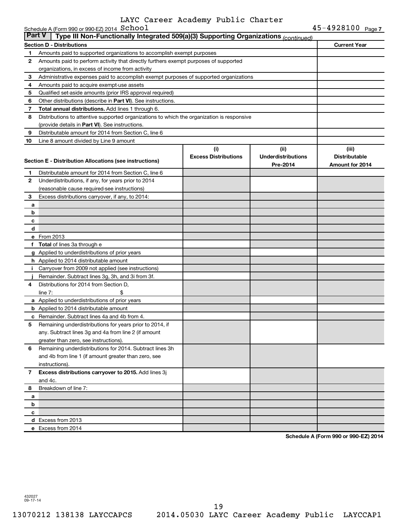|               | Schedule A (Form 990 or 990-EZ) 2014 School                                                |                             |                           | 45-4928100 Page 7    |
|---------------|--------------------------------------------------------------------------------------------|-----------------------------|---------------------------|----------------------|
| <b>Part V</b> | Type III Non-Functionally Integrated 509(a)(3) Supporting Organizations (continued)        |                             |                           |                      |
|               | <b>Section D - Distributions</b>                                                           |                             |                           | <b>Current Year</b>  |
| 1             | Amounts paid to supported organizations to accomplish exempt purposes                      |                             |                           |                      |
| 2             | Amounts paid to perform activity that directly furthers exempt purposes of supported       |                             |                           |                      |
|               | organizations, in excess of income from activity                                           |                             |                           |                      |
| 3             | Administrative expenses paid to accomplish exempt purposes of supported organizations      |                             |                           |                      |
| 4             | Amounts paid to acquire exempt-use assets                                                  |                             |                           |                      |
| 5             | Qualified set-aside amounts (prior IRS approval required)                                  |                             |                           |                      |
| 6             | Other distributions (describe in Part VI). See instructions.                               |                             |                           |                      |
| 7             | Total annual distributions. Add lines 1 through 6.                                         |                             |                           |                      |
| 8             | Distributions to attentive supported organizations to which the organization is responsive |                             |                           |                      |
|               | (provide details in Part VI). See instructions.                                            |                             |                           |                      |
| 9             | Distributable amount for 2014 from Section C, line 6                                       |                             |                           |                      |
| 10            | Line 8 amount divided by Line 9 amount                                                     |                             |                           |                      |
|               |                                                                                            | (i)                         | (ii)                      | (iii)                |
|               | Section E - Distribution Allocations (see instructions)                                    | <b>Excess Distributions</b> | <b>Underdistributions</b> | <b>Distributable</b> |
|               |                                                                                            |                             | Pre-2014                  | Amount for 2014      |
| 1             | Distributable amount for 2014 from Section C, line 6                                       |                             |                           |                      |
| $\mathbf{2}$  | Underdistributions, if any, for years prior to 2014                                        |                             |                           |                      |
|               | (reasonable cause required-see instructions)                                               |                             |                           |                      |
| 3             | Excess distributions carryover, if any, to 2014:                                           |                             |                           |                      |
| a             |                                                                                            |                             |                           |                      |
| b             |                                                                                            |                             |                           |                      |
| c             |                                                                                            |                             |                           |                      |
| d             |                                                                                            |                             |                           |                      |
|               | e From 2013                                                                                |                             |                           |                      |
|               | f Total of lines 3a through e                                                              |                             |                           |                      |
|               | g Applied to underdistributions of prior years                                             |                             |                           |                      |
|               | <b>h</b> Applied to 2014 distributable amount                                              |                             |                           |                      |
| i.            | Carryover from 2009 not applied (see instructions)                                         |                             |                           |                      |
|               | Remainder. Subtract lines 3g, 3h, and 3i from 3f.                                          |                             |                           |                      |
| 4             | Distributions for 2014 from Section D,                                                     |                             |                           |                      |
|               | \$<br>line $7:$                                                                            |                             |                           |                      |
|               | a Applied to underdistributions of prior years                                             |                             |                           |                      |
|               | <b>b</b> Applied to 2014 distributable amount                                              |                             |                           |                      |
|               | c Remainder. Subtract lines 4a and 4b from 4.                                              |                             |                           |                      |
| 5             | Remaining underdistributions for years prior to 2014, if                                   |                             |                           |                      |
|               | any. Subtract lines 3g and 4a from line 2 (if amount                                       |                             |                           |                      |
|               | greater than zero, see instructions).                                                      |                             |                           |                      |
| 6             | Remaining underdistributions for 2014. Subtract lines 3h                                   |                             |                           |                      |
|               | and 4b from line 1 (if amount greater than zero, see                                       |                             |                           |                      |
|               | instructions).                                                                             |                             |                           |                      |
| $\mathbf{7}$  | Excess distributions carryover to 2015. Add lines 3j                                       |                             |                           |                      |
|               | and 4c.                                                                                    |                             |                           |                      |
| 8             | Breakdown of line 7:                                                                       |                             |                           |                      |
| a             |                                                                                            |                             |                           |                      |
| b             |                                                                                            |                             |                           |                      |
| с             |                                                                                            |                             |                           |                      |
|               | d Excess from 2013                                                                         |                             |                           |                      |
|               | e Excess from 2014                                                                         |                             |                           |                      |
|               |                                                                                            |                             |                           |                      |

**Schedule A (Form 990 or 990-EZ) 2014**

432027 09-17-14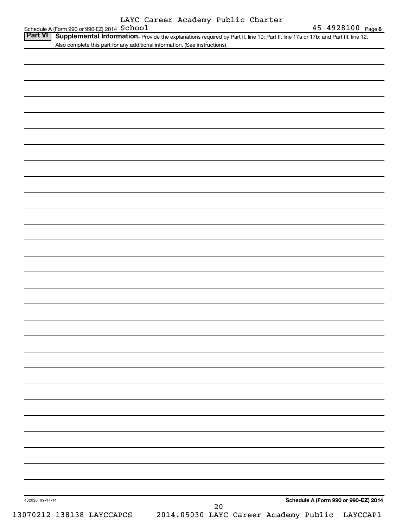|                                               |  | LAYC Career Academy Public Charter |  |
|-----------------------------------------------|--|------------------------------------|--|
| Schedule A (Form 990 or 990-EZ) 2014 $School$ |  |                                    |  |

| Also complete this part for any additional information. (See instructions). |                                      |  |
|-----------------------------------------------------------------------------|--------------------------------------|--|
|                                                                             |                                      |  |
|                                                                             |                                      |  |
|                                                                             |                                      |  |
|                                                                             |                                      |  |
|                                                                             |                                      |  |
|                                                                             |                                      |  |
|                                                                             |                                      |  |
|                                                                             |                                      |  |
|                                                                             |                                      |  |
|                                                                             |                                      |  |
|                                                                             |                                      |  |
|                                                                             |                                      |  |
|                                                                             |                                      |  |
|                                                                             |                                      |  |
|                                                                             |                                      |  |
|                                                                             |                                      |  |
|                                                                             |                                      |  |
|                                                                             |                                      |  |
|                                                                             |                                      |  |
|                                                                             |                                      |  |
|                                                                             |                                      |  |
|                                                                             |                                      |  |
|                                                                             |                                      |  |
|                                                                             |                                      |  |
|                                                                             |                                      |  |
|                                                                             |                                      |  |
|                                                                             |                                      |  |
|                                                                             |                                      |  |
|                                                                             |                                      |  |
|                                                                             |                                      |  |
|                                                                             |                                      |  |
|                                                                             |                                      |  |
|                                                                             |                                      |  |
|                                                                             |                                      |  |
|                                                                             |                                      |  |
|                                                                             |                                      |  |
|                                                                             |                                      |  |
| 432028 09-17-14                                                             | Schedule A (Form 990 or 990-EZ) 2014 |  |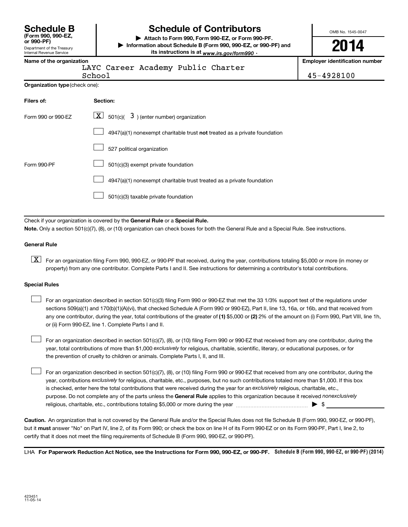| <b>Schedule B</b>  |  |
|--------------------|--|
| (Form 990, 990-EZ, |  |
| $or$ 990-PF)       |  |

### Department of the Treasury Internal Revenue Service

# **Schedule of Contributors**

**or 990-PF) | Attach to Form 990, Form 990-EZ, or Form 990-PF. | Information about Schedule B (Form 990, 990-EZ, or 990-PF) and** its instructions is at <sub>www.irs.gov/form990  $\cdot$ </sub>

OMB No. 1545-0047

**2014**

**Name of the organization Employer identification number**

|        | PAIC CALEEL ACA |  |
|--------|-----------------|--|
| Schon1 |                 |  |

LAYC Career Academy Public Charter

School 45-4928100

| <b>Organization type (check one):</b> |
|---------------------------------------|
|                                       |

| Filers of:         | Section:                                                                  |
|--------------------|---------------------------------------------------------------------------|
| Form 990 or 990-EZ | $\lfloor x \rfloor$ 501(c)( 3) (enter number) organization                |
|                    | 4947(a)(1) nonexempt charitable trust not treated as a private foundation |
|                    | 527 political organization                                                |
| Form 990-PF        | 501(c)(3) exempt private foundation                                       |
|                    | 4947(a)(1) nonexempt charitable trust treated as a private foundation     |
|                    | 501(c)(3) taxable private foundation                                      |

Check if your organization is covered by the General Rule or a Special Rule.

**Note.**  Only a section 501(c)(7), (8), or (10) organization can check boxes for both the General Rule and a Special Rule. See instructions.

### **General Rule**

**K** For an organization filing Form 990, 990-EZ, or 990-PF that received, during the year, contributions totaling \$5,000 or more (in money or property) from any one contributor. Complete Parts I and II. See instructions for determining a contributor's total contributions.

#### **Special Rules**

 $\Box$ 

any one contributor, during the year, total contributions of the greater of **(1)** \$5,000 or **(2)** 2% of the amount on (i) Form 990, Part VIII, line 1h, For an organization described in section 501(c)(3) filing Form 990 or 990-EZ that met the 33 1/3% support test of the regulations under sections 509(a)(1) and 170(b)(1)(A)(vi), that checked Schedule A (Form 990 or 990-EZ), Part II, line 13, 16a, or 16b, and that received from or (ii) Form 990-EZ, line 1. Complete Parts I and II.  $\Box$ 

year, total contributions of more than \$1,000 *exclusively* for religious, charitable, scientific, literary, or educational purposes, or for For an organization described in section 501(c)(7), (8), or (10) filing Form 990 or 990-EZ that received from any one contributor, during the the prevention of cruelty to children or animals. Complete Parts I, II, and III.  $\Box$ 

purpose. Do not complete any of the parts unless the General Rule applies to this organization because it received nonexclusively year, contributions exclusively for religious, charitable, etc., purposes, but no such contributions totaled more than \$1,000. If this box is checked, enter here the total contributions that were received during the year for an exclusively religious, charitable, etc., For an organization described in section 501(c)(7), (8), or (10) filing Form 990 or 990-EZ that received from any one contributor, during the religious, charitable, etc., contributions totaling \$5,000 or more during the year  $\ldots$  $\ldots$  $\ldots$  $\ldots$  $\ldots$  $\ldots$ 

**Caution.** An organization that is not covered by the General Rule and/or the Special Rules does not file Schedule B (Form 990, 990-EZ, or 990-PF),  **must** but it answer "No" on Part IV, line 2, of its Form 990; or check the box on line H of its Form 990-EZ or on its Form 990-PF, Part I, line 2, to certify that it does not meet the filing requirements of Schedule B (Form 990, 990-EZ, or 990-PF).

LHA For Paperwork Reduction Act Notice, see the Instructions for Form 990, 990-EZ, or 990-PF. Schedule B (Form 990, 990-EZ, or 990-PF) (2014)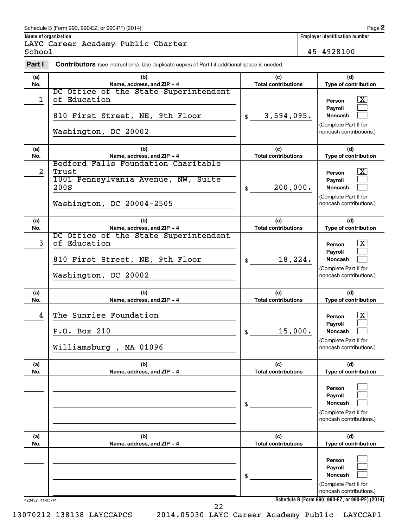### Schedule B (Form 990, 990-EZ, or 990-PF) (2014)

LAYC Career Academy Public Charter

School 45-4928100

| Part I     | <b>Contributors</b> (see instructions). Use duplicate copies of Part I if additional space is needed.                    |                                   |                                                                                                                                     |
|------------|--------------------------------------------------------------------------------------------------------------------------|-----------------------------------|-------------------------------------------------------------------------------------------------------------------------------------|
| (a)<br>No. | (b)<br>Name, address, and ZIP + 4                                                                                        | (c)<br><b>Total contributions</b> | (d)<br>Type of contribution                                                                                                         |
| 1          | DC Office of the State Superintendent<br>of Education<br>810 First Street, NE, 9th Floor<br>Washington, DC 20002         | 3,594,095.<br>\$                  | $\mathbf{X}$<br>Person<br>Payroll<br><b>Noncash</b><br>(Complete Part II for<br>noncash contributions.)                             |
| (a)<br>No. | (b)<br>Name, address, and ZIP + 4                                                                                        | (c)<br><b>Total contributions</b> | (d)<br>Type of contribution                                                                                                         |
| 2          | Bedford Falls Foundation Charitable<br>Trust<br>1001 Pennsylvania Avenue, NW, Suite<br>200S<br>Washington, DC 20004-2505 | 200,000.<br>\$                    | $\mathbf{X}$<br>Person<br><b>Payroll</b><br><b>Noncash</b><br>(Complete Part II for<br>noncash contributions.)                      |
| (a)<br>No. | (b)<br>Name, address, and ZIP + 4                                                                                        | (c)<br><b>Total contributions</b> | (d)<br>Type of contribution                                                                                                         |
| 3          | DC Office of the State Superintendent<br>of Education<br>810 First Street, NE, 9th Floor<br>Washington, DC 20002         | 18,224.<br>\$                     | $\mathbf{X}$<br>Person<br>Payroll<br><b>Noncash</b><br>(Complete Part II for<br>noncash contributions.)                             |
|            |                                                                                                                          |                                   |                                                                                                                                     |
| (a)<br>No. | (b)<br>Name, address, and ZIP + 4                                                                                        | (c)<br><b>Total contributions</b> | (d)<br>Type of contribution                                                                                                         |
| 4          | The Sunrise Foundation<br>P.O. Box 210<br>Williamsburg, MA 01096                                                         | 15,000.<br>\$                     | $\mathbf{X}$<br>Person<br><b>Payroll</b><br><b>Noncash</b><br>(Complete Part II for<br>noncash contributions.)                      |
| (a)<br>No. | (b)<br>Name, address, and ZIP + 4                                                                                        | (c)<br><b>Total contributions</b> | (d)<br>Type of contribution                                                                                                         |
|            |                                                                                                                          | \$                                | Person<br>Payroll<br>Noncash<br>(Complete Part II for<br>noncash contributions.)                                                    |
| (a)<br>No. | (b)<br>Name, address, and ZIP + 4                                                                                        | (c)<br><b>Total contributions</b> | (d)<br>Type of contribution                                                                                                         |
|            |                                                                                                                          | \$                                | Person<br>Payroll<br>Noncash<br>(Complete Part II for<br>noncash contributions.)<br>Schedule B (Form 990, 990-EZ, or 990-PF) (2014) |

13070212 138138 LAYCCAPCS 2014.05030 LAYC Career Academy Public LAYCCAP1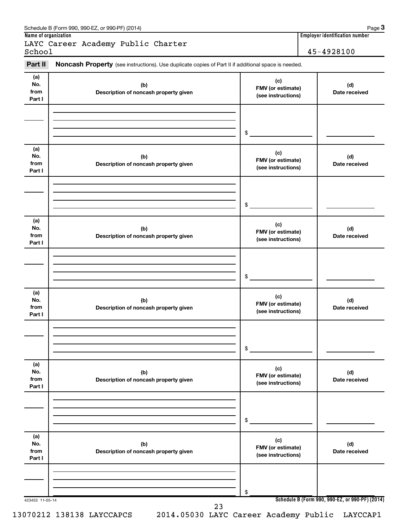| Part II                      | Noncash Property (see instructions). Use duplicate copies of Part II if additional space is needed. |                                                |                      |
|------------------------------|-----------------------------------------------------------------------------------------------------|------------------------------------------------|----------------------|
| (a)<br>No.<br>from<br>Part I | (b)<br>Description of noncash property given                                                        | (c)<br>FMV (or estimate)<br>(see instructions) | (d)<br>Date received |
|                              |                                                                                                     | \$                                             |                      |
| (a)<br>No.<br>from<br>Part I | (b)<br>Description of noncash property given                                                        | (c)<br>FMV (or estimate)<br>(see instructions) | (d)<br>Date received |
|                              |                                                                                                     | \$                                             |                      |
| (a)<br>No.<br>from<br>Part I | (b)<br>Description of noncash property given                                                        | (c)<br>FMV (or estimate)<br>(see instructions) | (d)<br>Date received |
|                              |                                                                                                     | \$                                             |                      |
| (a)<br>No.<br>from<br>Part I | (b)<br>Description of noncash property given                                                        | (c)<br>FMV (or estimate)<br>(see instructions) | (d)<br>Date received |
|                              |                                                                                                     | \$                                             |                      |
| (a)<br>No.<br>from<br>Part I | (b)<br>Description of noncash property given                                                        | (c)<br>FMV (or estimate)<br>(see instructions) | (d)<br>Date received |
|                              |                                                                                                     | \$                                             |                      |
| (a)<br>No.<br>from<br>Part I | (b)<br>Description of noncash property given                                                        | (c)<br>FMV (or estimate)<br>(see instructions) | (d)<br>Date received |
|                              |                                                                                                     | \$                                             |                      |

13070212 138138 LAYCCAPCS 2014.05030 LAYC Career Academy Public LAYCCAP1

Schedule B (Form 990, 990-EZ, or 990-PF) (2014)

**3**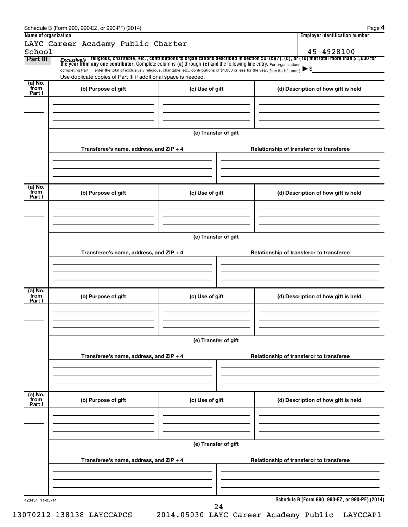|                           | LAYC Career Academy Public Charter                                                                                                                                                                                                      |                      |  | <b>Employer identification number</b>           |  |  |  |  |
|---------------------------|-----------------------------------------------------------------------------------------------------------------------------------------------------------------------------------------------------------------------------------------|----------------------|--|-------------------------------------------------|--|--|--|--|
| School                    |                                                                                                                                                                                                                                         |                      |  | 45-4928100                                      |  |  |  |  |
| Part III                  | <i>Exclusively</i> religious, charitable, etc., contributions to organizations described in section 501(c)(7), (8), or (10) that total more than \$1,000 for<br>the year from any one contributor. Complete columns (a) through (e) and |                      |  |                                                 |  |  |  |  |
|                           | completing Part III, enter the total of exclusively religious, charitable, etc., contributions of \$1,000 or less for the year. (Enter this info. once.)<br>Use duplicate copies of Part III if additional space is needed.             |                      |  | $\blacktriangleright$ \$                        |  |  |  |  |
| (a) No.                   |                                                                                                                                                                                                                                         |                      |  |                                                 |  |  |  |  |
| from<br>Part I            | (b) Purpose of gift                                                                                                                                                                                                                     | (c) Use of gift      |  | (d) Description of how gift is held             |  |  |  |  |
|                           |                                                                                                                                                                                                                                         |                      |  |                                                 |  |  |  |  |
|                           |                                                                                                                                                                                                                                         |                      |  |                                                 |  |  |  |  |
|                           |                                                                                                                                                                                                                                         |                      |  |                                                 |  |  |  |  |
|                           |                                                                                                                                                                                                                                         | (e) Transfer of gift |  |                                                 |  |  |  |  |
|                           | Transferee's name, address, and ZIP + 4                                                                                                                                                                                                 |                      |  | Relationship of transferor to transferee        |  |  |  |  |
|                           |                                                                                                                                                                                                                                         |                      |  |                                                 |  |  |  |  |
|                           |                                                                                                                                                                                                                                         |                      |  |                                                 |  |  |  |  |
| (a) No.                   |                                                                                                                                                                                                                                         |                      |  |                                                 |  |  |  |  |
| from<br>Part I            | (b) Purpose of gift                                                                                                                                                                                                                     | (c) Use of gift      |  | (d) Description of how gift is held             |  |  |  |  |
|                           |                                                                                                                                                                                                                                         |                      |  |                                                 |  |  |  |  |
|                           |                                                                                                                                                                                                                                         |                      |  |                                                 |  |  |  |  |
|                           |                                                                                                                                                                                                                                         | (e) Transfer of gift |  |                                                 |  |  |  |  |
|                           |                                                                                                                                                                                                                                         |                      |  |                                                 |  |  |  |  |
|                           | Transferee's name, address, and ZIP + 4                                                                                                                                                                                                 |                      |  | Relationship of transferor to transferee        |  |  |  |  |
|                           |                                                                                                                                                                                                                                         |                      |  |                                                 |  |  |  |  |
|                           |                                                                                                                                                                                                                                         |                      |  |                                                 |  |  |  |  |
| (a) No.<br>from           | (b) Purpose of gift                                                                                                                                                                                                                     | (c) Use of gift      |  | (d) Description of how gift is held             |  |  |  |  |
| Part I                    |                                                                                                                                                                                                                                         |                      |  |                                                 |  |  |  |  |
|                           |                                                                                                                                                                                                                                         |                      |  |                                                 |  |  |  |  |
|                           |                                                                                                                                                                                                                                         |                      |  |                                                 |  |  |  |  |
|                           |                                                                                                                                                                                                                                         | (e) Transfer of gift |  |                                                 |  |  |  |  |
|                           | Transferee's name, address, and ZIP + 4                                                                                                                                                                                                 |                      |  | Relationship of transferor to transferee        |  |  |  |  |
|                           |                                                                                                                                                                                                                                         |                      |  |                                                 |  |  |  |  |
|                           |                                                                                                                                                                                                                                         |                      |  |                                                 |  |  |  |  |
|                           |                                                                                                                                                                                                                                         |                      |  |                                                 |  |  |  |  |
| (a) No.<br>from<br>Part I | (b) Purpose of gift                                                                                                                                                                                                                     | (c) Use of gift      |  | (d) Description of how gift is held             |  |  |  |  |
|                           |                                                                                                                                                                                                                                         |                      |  |                                                 |  |  |  |  |
|                           |                                                                                                                                                                                                                                         |                      |  |                                                 |  |  |  |  |
|                           |                                                                                                                                                                                                                                         |                      |  |                                                 |  |  |  |  |
|                           |                                                                                                                                                                                                                                         | (e) Transfer of gift |  |                                                 |  |  |  |  |
|                           | Transferee's name, address, and ZIP + 4                                                                                                                                                                                                 |                      |  | Relationship of transferor to transferee        |  |  |  |  |
|                           |                                                                                                                                                                                                                                         |                      |  |                                                 |  |  |  |  |
|                           |                                                                                                                                                                                                                                         |                      |  |                                                 |  |  |  |  |
|                           |                                                                                                                                                                                                                                         |                      |  |                                                 |  |  |  |  |
| 423454 11-05-14           |                                                                                                                                                                                                                                         |                      |  | Schedule B (Form 990, 990-EZ, or 990-PF) (2014) |  |  |  |  |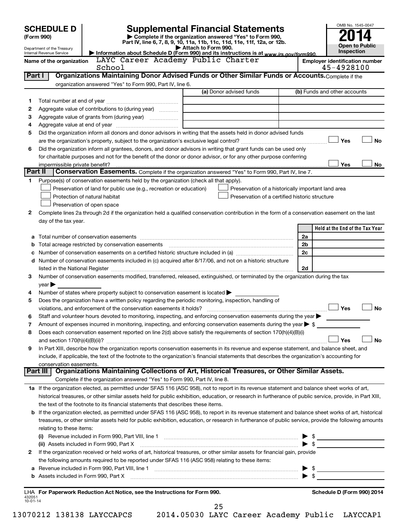|                | <b>SCHEDULE D</b>                                      |                                                                                                        | <b>Supplemental Financial Statements</b>                                                                                                                  |                | OMB No. 1545-0047                     |
|----------------|--------------------------------------------------------|--------------------------------------------------------------------------------------------------------|-----------------------------------------------------------------------------------------------------------------------------------------------------------|----------------|---------------------------------------|
|                | (Form 990)                                             |                                                                                                        | Complete if the organization answered "Yes" to Form 990,<br>Part IV, line 6, 7, 8, 9, 10, 11a, 11b, 11c, 11d, 11e, 11f, 12a, or 12b.                      |                |                                       |
|                | Department of the Treasury<br>Internal Revenue Service |                                                                                                        | Attach to Form 990.<br>Information about Schedule D (Form 990) and its instructions is at www.irs.gov/form990.                                            |                | <b>Open to Public</b><br>Inspection   |
|                | Name of the organization                               | LAYC Career Academy Public Charter                                                                     |                                                                                                                                                           |                | <b>Employer identification number</b> |
|                |                                                        |                                                                                                        | 45-4928100                                                                                                                                                |                |                                       |
| Part I         |                                                        |                                                                                                        | Organizations Maintaining Donor Advised Funds or Other Similar Funds or Accounts. Complete if the                                                         |                |                                       |
|                |                                                        | organization answered "Yes" to Form 990, Part IV, line 6.                                              |                                                                                                                                                           |                |                                       |
|                |                                                        |                                                                                                        | (a) Donor advised funds                                                                                                                                   |                | (b) Funds and other accounts          |
| 1              |                                                        |                                                                                                        |                                                                                                                                                           |                |                                       |
| 2              |                                                        | Aggregate value of contributions to (during year)                                                      |                                                                                                                                                           |                |                                       |
| 3              |                                                        |                                                                                                        |                                                                                                                                                           |                |                                       |
| 4<br>5         |                                                        |                                                                                                        | Did the organization inform all donors and donor advisors in writing that the assets held in donor advised funds                                          |                |                                       |
|                |                                                        |                                                                                                        |                                                                                                                                                           |                | Yes<br><b>No</b>                      |
| 6              |                                                        |                                                                                                        | Did the organization inform all grantees, donors, and donor advisors in writing that grant funds can be used only                                         |                |                                       |
|                |                                                        |                                                                                                        | for charitable purposes and not for the benefit of the donor or donor advisor, or for any other purpose conferring                                        |                |                                       |
|                | impermissible private benefit?                         |                                                                                                        |                                                                                                                                                           |                | Yes<br>No                             |
| Part II        |                                                        |                                                                                                        | Conservation Easements. Complete if the organization answered "Yes" to Form 990, Part IV, line 7.                                                         |                |                                       |
| 1              |                                                        | Purpose(s) of conservation easements held by the organization (check all that apply).                  |                                                                                                                                                           |                |                                       |
|                |                                                        | Preservation of land for public use (e.g., recreation or education)                                    | Preservation of a historically important land area                                                                                                        |                |                                       |
|                |                                                        | Protection of natural habitat                                                                          | Preservation of a certified historic structure                                                                                                            |                |                                       |
|                |                                                        | Preservation of open space                                                                             |                                                                                                                                                           |                |                                       |
| 2              |                                                        |                                                                                                        | Complete lines 2a through 2d if the organization held a qualified conservation contribution in the form of a conservation easement on the last            |                |                                       |
|                | day of the tax year.                                   |                                                                                                        |                                                                                                                                                           |                | Held at the End of the Tax Year       |
|                |                                                        |                                                                                                        |                                                                                                                                                           | 2a             |                                       |
| b              |                                                        | Total acreage restricted by conservation easements                                                     |                                                                                                                                                           | 2 <sub>b</sub> |                                       |
|                |                                                        |                                                                                                        |                                                                                                                                                           | 2c             |                                       |
|                |                                                        |                                                                                                        | d Number of conservation easements included in (c) acquired after 8/17/06, and not on a historic structure                                                |                |                                       |
|                |                                                        |                                                                                                        |                                                                                                                                                           | 2d             |                                       |
| З              |                                                        |                                                                                                        | Number of conservation easements modified, transferred, released, extinguished, or terminated by the organization during the tax                          |                |                                       |
|                | $year \blacktriangleright$                             |                                                                                                        |                                                                                                                                                           |                |                                       |
| 4              |                                                        | Number of states where property subject to conservation easement is located $\blacktriangleright$      |                                                                                                                                                           |                |                                       |
| 5              |                                                        | Does the organization have a written policy regarding the periodic monitoring, inspection, handling of |                                                                                                                                                           |                | Yes<br><b>No</b>                      |
| 6              |                                                        | violations, and enforcement of the conservation easements it holds?                                    | Staff and volunteer hours devoted to monitoring, inspecting, and enforcing conservation easements during the year                                         |                |                                       |
| 7              |                                                        |                                                                                                        | Amount of expenses incurred in monitoring, inspecting, and enforcing conservation easements during the year $\triangleright$ \$                           |                |                                       |
| 8              |                                                        |                                                                                                        | Does each conservation easement reported on line 2(d) above satisfy the requirements of section 170(h)(4)(B)(i)                                           |                |                                       |
|                |                                                        |                                                                                                        |                                                                                                                                                           |                | Yes<br><b>No</b>                      |
| 9              |                                                        |                                                                                                        | In Part XIII, describe how the organization reports conservation easements in its revenue and expense statement, and balance sheet, and                   |                |                                       |
|                |                                                        |                                                                                                        | include, if applicable, the text of the footnote to the organization's financial statements that describes the organization's accounting for              |                |                                       |
|                | conservation easements.                                |                                                                                                        |                                                                                                                                                           |                |                                       |
|                | Part III                                               |                                                                                                        | Organizations Maintaining Collections of Art, Historical Treasures, or Other Similar Assets.                                                              |                |                                       |
|                |                                                        | Complete if the organization answered "Yes" to Form 990, Part IV, line 8.                              |                                                                                                                                                           |                |                                       |
|                |                                                        |                                                                                                        | 1a If the organization elected, as permitted under SFAS 116 (ASC 958), not to report in its revenue statement and balance sheet works of art,             |                |                                       |
|                |                                                        | the text of the footnote to its financial statements that describes these items.                       | historical treasures, or other similar assets held for public exhibition, education, or research in furtherance of public service, provide, in Part XIII, |                |                                       |
|                |                                                        |                                                                                                        | b If the organization elected, as permitted under SFAS 116 (ASC 958), to report in its revenue statement and balance sheet works of art, historical       |                |                                       |
|                |                                                        |                                                                                                        | treasures, or other similar assets held for public exhibition, education, or research in furtherance of public service, provide the following amounts     |                |                                       |
|                | relating to these items:                               |                                                                                                        |                                                                                                                                                           |                |                                       |
|                |                                                        |                                                                                                        |                                                                                                                                                           |                | $\triangleright$ \$                   |
|                |                                                        |                                                                                                        |                                                                                                                                                           |                |                                       |
| 2              |                                                        |                                                                                                        | If the organization received or held works of art, historical treasures, or other similar assets for financial gain, provide                              |                |                                       |
|                |                                                        | the following amounts required to be reported under SFAS 116 (ASC 958) relating to these items:        |                                                                                                                                                           |                |                                       |
| а              |                                                        |                                                                                                        |                                                                                                                                                           |                |                                       |
| b              |                                                        |                                                                                                        |                                                                                                                                                           |                |                                       |
|                |                                                        |                                                                                                        |                                                                                                                                                           |                |                                       |
| 432051         |                                                        | LHA For Paperwork Reduction Act Notice, see the Instructions for Form 990.                             |                                                                                                                                                           |                | Schedule D (Form 990) 2014            |
| $10 - 01 - 14$ |                                                        |                                                                                                        | 25                                                                                                                                                        |                |                                       |

13070212 138138 LAYCCAPCS 2014.05030 LAYC Career Academy Public LAYCCAP1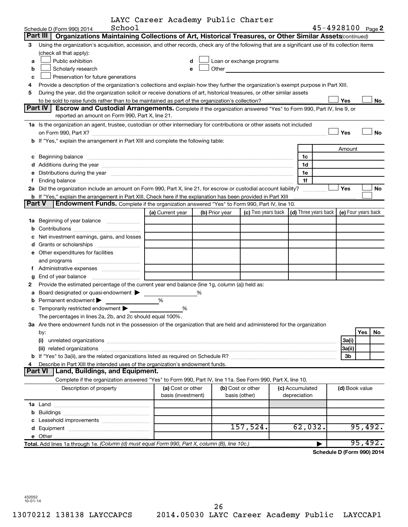|  |  | LAYC Career Academy Public Charter |  |
|--|--|------------------------------------|--|
|  |  |                                    |  |

|               | School                                                                                                                                                                                                                         | LAIC Caleel Academy Public Charler      |   |                |                                    |                                 |        | 45-4928100 Page 2   |
|---------------|--------------------------------------------------------------------------------------------------------------------------------------------------------------------------------------------------------------------------------|-----------------------------------------|---|----------------|------------------------------------|---------------------------------|--------|---------------------|
|               | Schedule D (Form 990) 2014<br>Part III                                                                                                                                                                                         |                                         |   |                |                                    |                                 |        |                     |
|               | Organizations Maintaining Collections of Art, Historical Treasures, or Other Similar Assets (continued)                                                                                                                        |                                         |   |                |                                    |                                 |        |                     |
| З             | Using the organization's acquisition, accession, and other records, check any of the following that are a significant use of its collection items                                                                              |                                         |   |                |                                    |                                 |        |                     |
|               | (check all that apply):                                                                                                                                                                                                        |                                         |   |                |                                    |                                 |        |                     |
| a             | Public exhibition                                                                                                                                                                                                              |                                         | d |                | Loan or exchange programs          |                                 |        |                     |
| b             | Scholarly research                                                                                                                                                                                                             | e                                       |   | Other          |                                    |                                 |        |                     |
| C             | Preservation for future generations                                                                                                                                                                                            |                                         |   |                |                                    |                                 |        |                     |
| 4             | Provide a description of the organization's collections and explain how they further the organization's exempt purpose in Part XIII.                                                                                           |                                         |   |                |                                    |                                 |        |                     |
| 5             | During the year, did the organization solicit or receive donations of art, historical treasures, or other similar assets                                                                                                       |                                         |   |                |                                    |                                 | Yes    |                     |
|               | <b>Part IV</b><br><b>Escrow and Custodial Arrangements.</b> Complete if the organization answered "Yes" to Form 990, Part IV, line 9, or                                                                                       |                                         |   |                |                                    |                                 |        | No                  |
|               | reported an amount on Form 990, Part X, line 21.                                                                                                                                                                               |                                         |   |                |                                    |                                 |        |                     |
|               | 1a Is the organization an agent, trustee, custodian or other intermediary for contributions or other assets not included                                                                                                       |                                         |   |                |                                    |                                 |        |                     |
|               | on Form 990, Part X? [11] matter contracts and contracts and contracts are contracted as a function of the set of the set of the set of the set of the set of the set of the set of the set of the set of the set of the set o |                                         |   |                |                                    |                                 | Yes    | <b>No</b>           |
|               | b If "Yes," explain the arrangement in Part XIII and complete the following table:                                                                                                                                             |                                         |   |                |                                    |                                 |        |                     |
|               |                                                                                                                                                                                                                                |                                         |   |                |                                    |                                 | Amount |                     |
| с             | Beginning balance manufactured and contain an account of the contract of the contained and contain an account of the containing balance manufactured and contain an account of the containing of the containing of the contain |                                         |   |                |                                    | 1c                              |        |                     |
|               |                                                                                                                                                                                                                                |                                         |   |                |                                    | 1d                              |        |                     |
|               | e Distributions during the year manufactured and contained and contained and contained and contained and contained and contained and contained and contained and contained and contained and contained and contained and conta |                                         |   |                |                                    | 1e                              |        |                     |
|               |                                                                                                                                                                                                                                |                                         |   |                |                                    | 1f                              |        |                     |
|               | 2a Did the organization include an amount on Form 990, Part X, line 21, for escrow or custodial account liability?                                                                                                             |                                         |   |                |                                    |                                 | Yes    | No                  |
|               | <b>b</b> If "Yes," explain the arrangement in Part XIII. Check here if the explanation has been provided in Part XIII                                                                                                          |                                         |   |                |                                    |                                 |        |                     |
| <b>Part V</b> | Endowment Funds. Complete if the organization answered "Yes" to Form 990, Part IV, line 10.                                                                                                                                    |                                         |   |                |                                    |                                 |        |                     |
|               |                                                                                                                                                                                                                                | (a) Current year                        |   | (b) Prior year | (c) Two years back                 | (d) Three years back            |        | (e) Four years back |
|               | 1a Beginning of year balance                                                                                                                                                                                                   |                                         |   |                |                                    |                                 |        |                     |
| b             |                                                                                                                                                                                                                                |                                         |   |                |                                    |                                 |        |                     |
|               | Net investment earnings, gains, and losses                                                                                                                                                                                     |                                         |   |                |                                    |                                 |        |                     |
| d             |                                                                                                                                                                                                                                |                                         |   |                |                                    |                                 |        |                     |
|               | <b>e</b> Other expenditures for facilities                                                                                                                                                                                     |                                         |   |                |                                    |                                 |        |                     |
|               |                                                                                                                                                                                                                                |                                         |   |                |                                    |                                 |        |                     |
|               |                                                                                                                                                                                                                                |                                         |   |                |                                    |                                 |        |                     |
| g             |                                                                                                                                                                                                                                |                                         |   |                |                                    |                                 |        |                     |
| 2             | Provide the estimated percentage of the current year end balance (line 1g, column (a)) held as:                                                                                                                                |                                         |   |                |                                    |                                 |        |                     |
|               | Board designated or quasi-endowment                                                                                                                                                                                            |                                         | % |                |                                    |                                 |        |                     |
| b             | Permanent endowment >                                                                                                                                                                                                          | %                                       |   |                |                                    |                                 |        |                     |
|               | <b>c</b> Temporarily restricted endowment $\blacktriangleright$                                                                                                                                                                | %                                       |   |                |                                    |                                 |        |                     |
|               | The percentages in lines 2a, 2b, and 2c should equal 100%.                                                                                                                                                                     |                                         |   |                |                                    |                                 |        |                     |
|               | 3a Are there endowment funds not in the possession of the organization that are held and administered for the organization                                                                                                     |                                         |   |                |                                    |                                 |        |                     |
|               | by:                                                                                                                                                                                                                            |                                         |   |                |                                    |                                 |        | Yes<br>No           |
|               | (i)                                                                                                                                                                                                                            |                                         |   |                |                                    |                                 | 3a(i)  |                     |
|               | (ii) related organizations                                                                                                                                                                                                     |                                         |   |                |                                    |                                 | 3a(ii) |                     |
| b             |                                                                                                                                                                                                                                |                                         |   |                |                                    |                                 | 3b     |                     |
|               | Describe in Part XIII the intended uses of the organization's endowment funds.                                                                                                                                                 |                                         |   |                |                                    |                                 |        |                     |
|               | Land, Buildings, and Equipment.<br>Part VI                                                                                                                                                                                     |                                         |   |                |                                    |                                 |        |                     |
|               | Complete if the organization answered "Yes" to Form 990, Part IV, line 11a. See Form 990, Part X, line 10.                                                                                                                     |                                         |   |                |                                    |                                 |        |                     |
|               | Description of property                                                                                                                                                                                                        | (a) Cost or other<br>basis (investment) |   |                | (b) Cost or other<br>basis (other) | (c) Accumulated<br>depreciation |        | (d) Book value      |
|               |                                                                                                                                                                                                                                |                                         |   |                |                                    |                                 |        |                     |
|               |                                                                                                                                                                                                                                |                                         |   |                |                                    |                                 |        |                     |
|               |                                                                                                                                                                                                                                |                                         |   |                |                                    |                                 |        |                     |
|               |                                                                                                                                                                                                                                |                                         |   |                | 157,524.                           | 62,032.                         |        | 95,492.             |
|               |                                                                                                                                                                                                                                |                                         |   |                |                                    |                                 |        |                     |
|               | Total. Add lines 1a through 1e. (Column (d) must equal Form 990, Part X, column (B), line 10c.)                                                                                                                                |                                         |   |                |                                    |                                 |        | 95,492.             |

**Schedule D (Form 990) 2014**

432052 10-01-14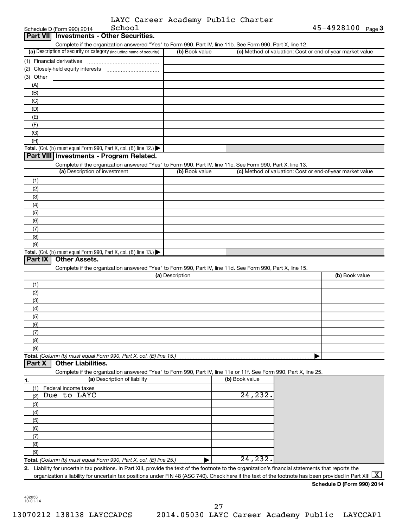|  | LAYC Career Academy Public Charter |  |
|--|------------------------------------|--|
|  |                                    |  |

|                  | School<br>Schedule D (Form 990) 2014                                                                                                                                            |                 |                | 45-4928100 Page 3                                         |
|------------------|---------------------------------------------------------------------------------------------------------------------------------------------------------------------------------|-----------------|----------------|-----------------------------------------------------------|
| <b>Part VIII</b> | <b>Investments - Other Securities.</b>                                                                                                                                          |                 |                |                                                           |
|                  | Complete if the organization answered "Yes" to Form 990, Part IV, line 11b. See Form 990, Part X, line 12.                                                                      |                 |                |                                                           |
|                  | (a) Description of security or category (including name of security)                                                                                                            | (b) Book value  |                | (c) Method of valuation: Cost or end-of-year market value |
|                  |                                                                                                                                                                                 |                 |                |                                                           |
|                  |                                                                                                                                                                                 |                 |                |                                                           |
| (3) Other        |                                                                                                                                                                                 |                 |                |                                                           |
| (A)              |                                                                                                                                                                                 |                 |                |                                                           |
| (B)              |                                                                                                                                                                                 |                 |                |                                                           |
| (C)              |                                                                                                                                                                                 |                 |                |                                                           |
| (D)              |                                                                                                                                                                                 |                 |                |                                                           |
| (E)              |                                                                                                                                                                                 |                 |                |                                                           |
| (F)              |                                                                                                                                                                                 |                 |                |                                                           |
| (G)              |                                                                                                                                                                                 |                 |                |                                                           |
| (H)              |                                                                                                                                                                                 |                 |                |                                                           |
|                  | <b>Total.</b> (Col. (b) must equal Form 990, Part X, col. (B) line 12.) $\blacktriangleright$                                                                                   |                 |                |                                                           |
|                  | Part VIII Investments - Program Related.                                                                                                                                        |                 |                |                                                           |
|                  | Complete if the organization answered "Yes" to Form 990, Part IV, line 11c. See Form 990, Part X, line 13.                                                                      |                 |                |                                                           |
|                  | (a) Description of investment                                                                                                                                                   | (b) Book value  |                | (c) Method of valuation: Cost or end-of-year market value |
| (1)              |                                                                                                                                                                                 |                 |                |                                                           |
| (2)              |                                                                                                                                                                                 |                 |                |                                                           |
| (3)              |                                                                                                                                                                                 |                 |                |                                                           |
| (4)              |                                                                                                                                                                                 |                 |                |                                                           |
| (5)              |                                                                                                                                                                                 |                 |                |                                                           |
| (6)              |                                                                                                                                                                                 |                 |                |                                                           |
| (7)              |                                                                                                                                                                                 |                 |                |                                                           |
| (8)              |                                                                                                                                                                                 |                 |                |                                                           |
| (9)              |                                                                                                                                                                                 |                 |                |                                                           |
|                  | <b>Total.</b> (Col. (b) must equal Form 990, Part X, col. (B) line 13.)                                                                                                         |                 |                |                                                           |
| Part IX          | <b>Other Assets.</b>                                                                                                                                                            |                 |                |                                                           |
|                  | Complete if the organization answered "Yes" to Form 990, Part IV, line 11d. See Form 990, Part X, line 15.                                                                      |                 |                |                                                           |
|                  |                                                                                                                                                                                 | (a) Description |                | (b) Book value                                            |
| (1)              |                                                                                                                                                                                 |                 |                |                                                           |
| (2)              |                                                                                                                                                                                 |                 |                |                                                           |
| (3)              |                                                                                                                                                                                 |                 |                |                                                           |
| (4)              |                                                                                                                                                                                 |                 |                |                                                           |
| (5)              |                                                                                                                                                                                 |                 |                |                                                           |
| (6)              |                                                                                                                                                                                 |                 |                |                                                           |
| (7)              |                                                                                                                                                                                 |                 |                |                                                           |
| (8)              |                                                                                                                                                                                 |                 |                |                                                           |
| (9)              |                                                                                                                                                                                 |                 |                |                                                           |
|                  | Total. (Column (b) must equal Form 990, Part X, col. (B) line 15.)                                                                                                              |                 |                |                                                           |
| Part X           | <b>Other Liabilities.</b>                                                                                                                                                       |                 |                |                                                           |
|                  | Complete if the organization answered "Yes" to Form 990, Part IV, line 11e or 11f. See Form 990, Part X, line 25.                                                               |                 |                |                                                           |
| 1.               | (a) Description of liability                                                                                                                                                    |                 | (b) Book value |                                                           |
| (1)              | Federal income taxes                                                                                                                                                            |                 |                |                                                           |
| (2)              | Due to LAYC                                                                                                                                                                     |                 | 24,232.        |                                                           |
|                  |                                                                                                                                                                                 |                 |                |                                                           |
| (3)              |                                                                                                                                                                                 |                 |                |                                                           |
| (4)              |                                                                                                                                                                                 |                 |                |                                                           |
| (5)              |                                                                                                                                                                                 |                 |                |                                                           |
| (6)              |                                                                                                                                                                                 |                 |                |                                                           |
| (7)              |                                                                                                                                                                                 |                 |                |                                                           |
| (8)              |                                                                                                                                                                                 |                 |                |                                                           |
| (9)              |                                                                                                                                                                                 |                 |                |                                                           |
|                  | Total. (Column (b) must equal Form 990, Part X, col. (B) line 25.)                                                                                                              |                 | 24, 232.       |                                                           |
|                  | 2. Liability for uncertain tax positions. In Part XIII, provide the text of the footnote to the organization's financial statements that reports the                            |                 |                |                                                           |
|                  | organization's liability for uncertain tax positions under FIN 48 (ASC 740). Check here if the text of the footnote has been provided in Part XIII $\lfloor \texttt{X} \rfloor$ |                 |                |                                                           |
|                  |                                                                                                                                                                                 |                 |                | Schedule D (Form 990) 2014                                |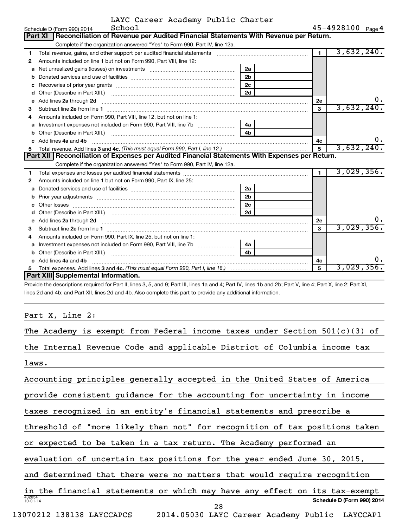|  | LAYC Career Academy Public Charter |  |
|--|------------------------------------|--|
|  |                                    |  |

|    | School<br>Schedule D (Form 990) 2014                                                                                                                                                                                               |                | $45 - 4928100$ Page 4 |            |
|----|------------------------------------------------------------------------------------------------------------------------------------------------------------------------------------------------------------------------------------|----------------|-----------------------|------------|
|    | Reconciliation of Revenue per Audited Financial Statements With Revenue per Return.<br>Part XI                                                                                                                                     |                |                       |            |
|    | Complete if the organization answered "Yes" to Form 990, Part IV, line 12a.                                                                                                                                                        |                |                       |            |
| 1  | Total revenue, gains, and other support per audited financial statements [11, 11] matter controller and the support per audited financial statements [11] matter controller and the support of the statements [11] matter cont     |                | $\blacksquare$        | 3,632,240. |
| 2  | Amounts included on line 1 but not on Form 990, Part VIII, line 12:                                                                                                                                                                |                |                       |            |
| a  |                                                                                                                                                                                                                                    | 2a             |                       |            |
| b  |                                                                                                                                                                                                                                    | 2 <sub>b</sub> |                       |            |
| с  |                                                                                                                                                                                                                                    | 2 <sub>c</sub> |                       |            |
| d  |                                                                                                                                                                                                                                    | 2d             |                       |            |
| е  | Add lines 2a through 2d                                                                                                                                                                                                            |                | 2e                    | υ.         |
| 3  |                                                                                                                                                                                                                                    |                | 3                     | 3,632,240. |
| 4  | Amounts included on Form 990, Part VIII, line 12, but not on line 1:                                                                                                                                                               |                |                       |            |
| а  |                                                                                                                                                                                                                                    | 4a             |                       |            |
| b  |                                                                                                                                                                                                                                    | 4b             |                       |            |
| c  | Add lines 4a and 4b                                                                                                                                                                                                                |                | 4с                    | ο.         |
| 5  |                                                                                                                                                                                                                                    |                | 5                     | 3,632,240. |
|    | Part XII   Reconciliation of Expenses per Audited Financial Statements With Expenses per Return.                                                                                                                                   |                |                       |            |
|    | Complete if the organization answered "Yes" to Form 990, Part IV, line 12a.                                                                                                                                                        |                |                       |            |
| 1  |                                                                                                                                                                                                                                    |                | $\blacksquare$        | 3,029,356. |
| 2  | Amounts included on line 1 but not on Form 990, Part IX, line 25:                                                                                                                                                                  |                |                       |            |
| a  |                                                                                                                                                                                                                                    | 2a             |                       |            |
| b  |                                                                                                                                                                                                                                    | 2 <sub>b</sub> |                       |            |
|    | Other losses                                                                                                                                                                                                                       | 2c             |                       |            |
| d  |                                                                                                                                                                                                                                    | 2d             |                       |            |
| е  | Add lines 2a through 2d <b>contained a contained a contained a contained a</b> contained a contained a contained a contained a contact a contact a contact a contact a contact a contact a contact a contact a contact a contact a |                | <b>2e</b>             | υ.         |
| 3  |                                                                                                                                                                                                                                    |                | 3                     | 3,029,356. |
| 4  | Amounts included on Form 990, Part IX, line 25, but not on line 1:                                                                                                                                                                 |                |                       |            |
| a  |                                                                                                                                                                                                                                    | 4a             |                       |            |
| b  |                                                                                                                                                                                                                                    | 4 <sub>b</sub> |                       |            |
|    | c Add lines 4a and 4b                                                                                                                                                                                                              |                | 4с                    | 0.         |
| 5. |                                                                                                                                                                                                                                    |                |                       | 3,029,356. |
|    | Part XIII Supplemental Information.                                                                                                                                                                                                |                |                       |            |
|    | Provide the descriptions required for Part II, lines 3, 5, and 9; Part III, lines 1a and 4; Part IV, lines 1b and 2b; Part V, line 4; Part X, line 2; Part XI,                                                                     |                |                       |            |
|    | lines 2d and 4b; and Part XII, lines 2d and 4b. Also complete this part to provide any additional information.                                                                                                                     |                |                       |            |
|    |                                                                                                                                                                                                                                    |                |                       |            |

Part X, Line 2:

| The Academy is exempt from Federal income taxes under Section $501(c)(3)$ of |
|------------------------------------------------------------------------------|
| the Internal Revenue Code and applicable District of Columbia income tax     |
| laws.                                                                        |
| Accounting principles generally accepted in the United States of America     |
| provide consistent guidance for the accounting for uncertainty in income     |
| taxes recognized in an entity's financial statements and prescribe a         |
| threshold of "more likely than not" for recognition of tax positions taken   |
| or expected to be taken in a tax return. The Academy performed an            |
| evaluation of uncertain tax positions for the year ended June 30, 2015,      |
| and determined that there were no matters that would require recognition     |
| in the financial statements or which may have any effect on its tax-exempt   |
| 432054<br>Schedule D (Form 990) 2014<br>$10 - 01 - 14$<br>28                 |
| 13070212 138138 LAYCCAPCS<br>2014.05030 LAYC Career Academy Public LAYCCAP1  |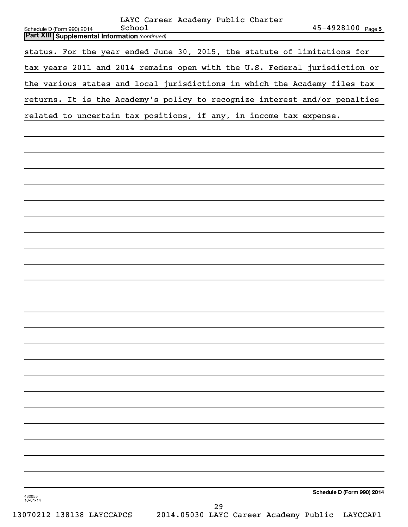|                          | Schedule D (Form 990) 2014 |  |  | School |                                                       |  |    | LAYC Career Academy Public Charter |  |                                                                            | $45 - 4928100$ Page 5      |
|--------------------------|----------------------------|--|--|--------|-------------------------------------------------------|--|----|------------------------------------|--|----------------------------------------------------------------------------|----------------------------|
|                          |                            |  |  |        | <b>Part XIII Supplemental Information (continued)</b> |  |    |                                    |  |                                                                            |                            |
|                          |                            |  |  |        |                                                       |  |    |                                    |  | status. For the year ended June 30, 2015, the statute of limitations for   |                            |
|                          |                            |  |  |        |                                                       |  |    |                                    |  | tax years 2011 and 2014 remains open with the U.S. Federal jurisdiction or |                            |
|                          |                            |  |  |        |                                                       |  |    |                                    |  | the various states and local jurisdictions in which the Academy files tax  |                            |
|                          |                            |  |  |        |                                                       |  |    |                                    |  | returns. It is the Academy's policy to recognize interest and/or penalties |                            |
|                          |                            |  |  |        |                                                       |  |    |                                    |  | related to uncertain tax positions, if any, in income tax expense.         |                            |
|                          |                            |  |  |        |                                                       |  |    |                                    |  |                                                                            |                            |
|                          |                            |  |  |        |                                                       |  |    |                                    |  |                                                                            |                            |
|                          |                            |  |  |        |                                                       |  |    |                                    |  |                                                                            |                            |
|                          |                            |  |  |        |                                                       |  |    |                                    |  |                                                                            |                            |
|                          |                            |  |  |        |                                                       |  |    |                                    |  |                                                                            |                            |
|                          |                            |  |  |        |                                                       |  |    |                                    |  |                                                                            |                            |
|                          |                            |  |  |        |                                                       |  |    |                                    |  |                                                                            |                            |
|                          |                            |  |  |        |                                                       |  |    |                                    |  |                                                                            |                            |
|                          |                            |  |  |        |                                                       |  |    |                                    |  |                                                                            |                            |
|                          |                            |  |  |        |                                                       |  |    |                                    |  |                                                                            |                            |
|                          |                            |  |  |        |                                                       |  |    |                                    |  |                                                                            |                            |
|                          |                            |  |  |        |                                                       |  |    |                                    |  |                                                                            |                            |
|                          |                            |  |  |        |                                                       |  |    |                                    |  |                                                                            |                            |
|                          |                            |  |  |        |                                                       |  |    |                                    |  |                                                                            |                            |
|                          |                            |  |  |        |                                                       |  |    |                                    |  |                                                                            |                            |
|                          |                            |  |  |        |                                                       |  |    |                                    |  |                                                                            |                            |
|                          |                            |  |  |        |                                                       |  |    |                                    |  |                                                                            |                            |
|                          |                            |  |  |        |                                                       |  |    |                                    |  |                                                                            |                            |
|                          |                            |  |  |        |                                                       |  |    |                                    |  |                                                                            |                            |
|                          |                            |  |  |        |                                                       |  |    |                                    |  |                                                                            |                            |
|                          |                            |  |  |        |                                                       |  |    |                                    |  |                                                                            |                            |
|                          |                            |  |  |        |                                                       |  |    |                                    |  |                                                                            |                            |
|                          |                            |  |  |        |                                                       |  |    |                                    |  |                                                                            | Schedule D (Form 990) 2014 |
| 432055<br>$10 - 01 - 14$ |                            |  |  |        |                                                       |  | 29 |                                    |  |                                                                            |                            |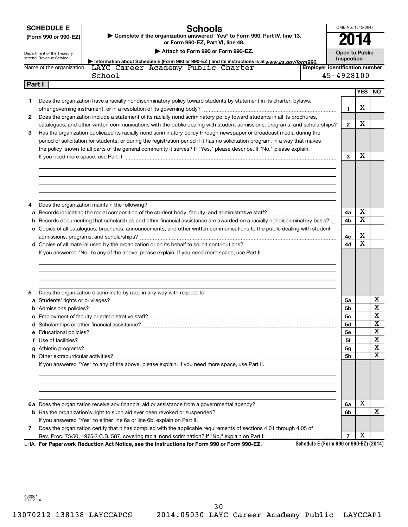**SCHEDULE E**

# **Schools**

OMB No. 1545-0047 **2014**

| (Form 990 or 990-EZ)       | ► Complete if the organization answered "Yes" to Form 990, Part IV, line 13, |
|----------------------------|------------------------------------------------------------------------------|
|                            | or Form 990-EZ. Part VI. line 48.                                            |
| Congriment of the Treasury | Attach to Form 990 or Form 990-EZ.                                           |

**Dublic** 

|   | Internal Revenue Service<br>Information about Schedule E (Form 990 or 990-EZ) and its instructions is at www.irs.gov/form990.    | Inspection     |                         |                       |
|---|----------------------------------------------------------------------------------------------------------------------------------|----------------|-------------------------|-----------------------|
|   | <b>Employer identification number</b><br>LAYC Career Academy Public Charter<br>Name of the organization                          |                |                         |                       |
|   | 45-4928100<br>School                                                                                                             |                |                         |                       |
|   | Part I                                                                                                                           |                |                         |                       |
|   |                                                                                                                                  |                | <b>YES</b>              | <b>NO</b>             |
| 1 | Does the organization have a racially nondiscriminatory policy toward students by statement in its charter, bylaws,              |                |                         |                       |
|   |                                                                                                                                  | 1              | x                       |                       |
| 2 | Does the organization include a statement of its racially nondiscriminatory policy toward students in all its brochures,         |                |                         |                       |
|   | catalogues, and other written communications with the public dealing with student admissions, programs, and scholarships?        | $\mathbf{2}$   | x                       |                       |
| 3 | Has the organization publicized its racially nondiscriminatory policy through newspaper or broadcast media during the            |                |                         |                       |
|   | period of solicitation for students, or during the registration period if it has no solicitation program, in a way that makes    |                |                         |                       |
|   | the policy known to all parts of the general community it serves? If "Yes," please describe. If "No," please explain.            | 3              | x                       |                       |
|   | If you need more space, use Part II measured and contain an according to the state of the state of the space,                    |                |                         |                       |
|   |                                                                                                                                  |                |                         |                       |
|   |                                                                                                                                  |                |                         |                       |
| 4 | Does the organization maintain the following?                                                                                    |                |                         |                       |
|   |                                                                                                                                  | 4a             | x                       |                       |
|   | <b>b</b> Records documenting that scholarships and other financial assistance are awarded on a racially nondiscriminatory basis? | 4b             | х                       |                       |
|   | c Copies of all catalogues, brochures, announcements, and other written communications to the public dealing with student        |                |                         |                       |
|   |                                                                                                                                  | 4c             | х                       |                       |
|   |                                                                                                                                  | 4d             | $\overline{\textbf{x}}$ |                       |
|   |                                                                                                                                  |                |                         |                       |
|   |                                                                                                                                  |                |                         |                       |
|   | Does the organization discriminate by race in any way with respect to:                                                           |                |                         |                       |
|   |                                                                                                                                  | 5a             |                         |                       |
|   |                                                                                                                                  | 5b             |                         |                       |
|   |                                                                                                                                  | 5c             |                         |                       |
|   |                                                                                                                                  | 5d             |                         |                       |
| 5 |                                                                                                                                  | <b>5e</b>      |                         | x<br>X<br>x<br>x<br>X |
|   | f Use of facilities?                                                                                                             | 5f             |                         |                       |
|   |                                                                                                                                  | 5 <sub>g</sub> |                         |                       |
|   |                                                                                                                                  | 5h             |                         |                       |
|   | If you answered "Yes" to any of the above, please explain. If you need more space, use Part II.                                  |                |                         |                       |
|   |                                                                                                                                  |                |                         |                       |
|   |                                                                                                                                  | 6a             | x                       |                       |
|   |                                                                                                                                  | 6b             |                         |                       |
|   | If you answered "Yes" to either line 6a or line 6b, explain on Part II.                                                          |                |                         |                       |
| 7 | Does the organization certify that it has complied with the applicable requirements of sections 4.01 through 4.05 of             | $\overline{7}$ | х                       | X<br>X<br>х<br>X      |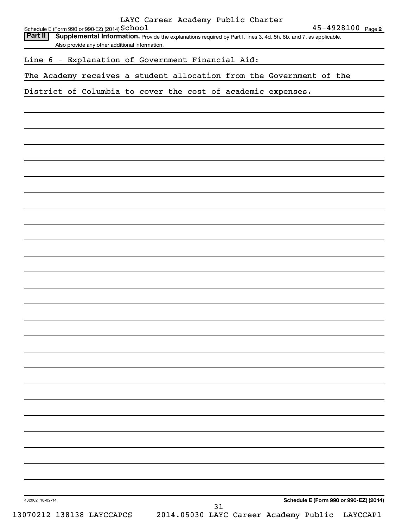| Schedule E (Form 990 or 990-EZ) (2014) School<br>Part II             | Supplemental Information. Provide the explanations required by Part I, lines 3, 4d, 5h, 6b, and 7, as applicable.<br>Also provide any other additional information. | LAYC Career Academy Public Charter |    |  | $45 - 4928100$ Page 2                  |
|----------------------------------------------------------------------|---------------------------------------------------------------------------------------------------------------------------------------------------------------------|------------------------------------|----|--|----------------------------------------|
|                                                                      |                                                                                                                                                                     |                                    |    |  |                                        |
| Line 6 - Explanation of Government Financial Aid:                    |                                                                                                                                                                     |                                    |    |  |                                        |
| The Academy receives a student allocation from the Government of the |                                                                                                                                                                     |                                    |    |  |                                        |
| District of Columbia to cover the cost of academic expenses.         |                                                                                                                                                                     |                                    |    |  |                                        |
|                                                                      |                                                                                                                                                                     |                                    |    |  |                                        |
|                                                                      |                                                                                                                                                                     |                                    |    |  |                                        |
|                                                                      |                                                                                                                                                                     |                                    |    |  |                                        |
|                                                                      |                                                                                                                                                                     |                                    |    |  |                                        |
|                                                                      |                                                                                                                                                                     |                                    |    |  |                                        |
|                                                                      |                                                                                                                                                                     |                                    |    |  |                                        |
|                                                                      |                                                                                                                                                                     |                                    |    |  |                                        |
|                                                                      |                                                                                                                                                                     |                                    |    |  |                                        |
|                                                                      |                                                                                                                                                                     |                                    |    |  |                                        |
|                                                                      |                                                                                                                                                                     |                                    |    |  |                                        |
|                                                                      |                                                                                                                                                                     |                                    |    |  |                                        |
|                                                                      |                                                                                                                                                                     |                                    |    |  |                                        |
|                                                                      |                                                                                                                                                                     |                                    |    |  |                                        |
|                                                                      |                                                                                                                                                                     |                                    |    |  |                                        |
|                                                                      |                                                                                                                                                                     |                                    |    |  |                                        |
|                                                                      |                                                                                                                                                                     |                                    |    |  |                                        |
|                                                                      |                                                                                                                                                                     |                                    |    |  |                                        |
|                                                                      |                                                                                                                                                                     |                                    |    |  |                                        |
|                                                                      |                                                                                                                                                                     |                                    |    |  |                                        |
|                                                                      |                                                                                                                                                                     |                                    |    |  |                                        |
|                                                                      |                                                                                                                                                                     |                                    |    |  |                                        |
|                                                                      |                                                                                                                                                                     |                                    |    |  |                                        |
|                                                                      |                                                                                                                                                                     |                                    |    |  |                                        |
|                                                                      |                                                                                                                                                                     |                                    |    |  |                                        |
|                                                                      |                                                                                                                                                                     |                                    |    |  |                                        |
|                                                                      |                                                                                                                                                                     |                                    |    |  |                                        |
|                                                                      |                                                                                                                                                                     |                                    |    |  |                                        |
|                                                                      |                                                                                                                                                                     |                                    |    |  |                                        |
|                                                                      |                                                                                                                                                                     |                                    |    |  |                                        |
| 432062 10-02-14                                                      |                                                                                                                                                                     |                                    | 31 |  | Schedule E (Form 990 or 990-EZ) (2014) |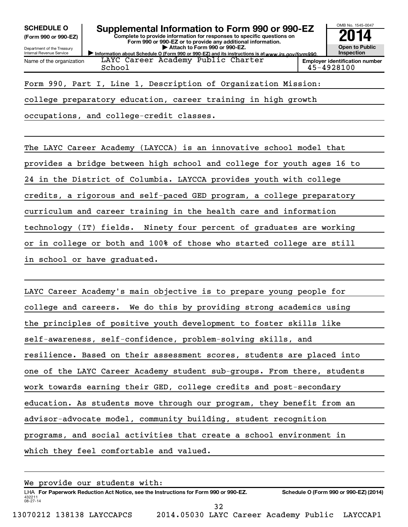**(Form 990 or 990-EZ)**

Department of the Treasury Internal Revenue Service

Name of the organization

**SCHEDULE O Supplemental Information to Form 990 or 990-EZ 2014**<br>(Form 990 or 990-EZ) Complete to provide information for responses to specific questions on

**Complete to provide information for responses to specific questions on Form 990 or 990-EZ or to provide any additional information. | Attach to Form 990 or 990-EZ.**

Information about Schedule O (Form 990 or 990-EZ) and its instructions is at www.irs.gov/form990. LAYC Career Academy Public Charter School 45-4928100



Form 990, Part I, Line 1, Description of Organization Mission:

college preparatory education, career training in high growth

occupations, and college-credit classes.

The LAYC Career Academy (LAYCCA) is an innovative school model that provides a bridge between high school and college for youth ages 16 to 24 in the District of Columbia. LAYCCA provides youth with college credits, a rigorous and self-paced GED program, a college preparatory curriculum and career training in the health care and information technology (IT) fields. Ninety four percent of graduates are working or in college or both and 100% of those who started college are still in school or have graduated.

LAYC Career Academy's main objective is to prepare young people for college and careers. We do this by providing strong academics using the principles of positive youth development to foster skills like self-awareness, self-confidence, problem-solving skills, and resilience. Based on their assessment scores, students are placed into one of the LAYC Career Academy student sub-groups. From there, students work towards earning their GED, college credits and post-secondary education. As students move through our program, they benefit from an advisor-advocate model, community building, student recognition programs, and social activities that create a school environment in which they feel comfortable and valued.

432211 08-27-14 LHA For Paperwork Reduction Act Notice, see the Instructions for Form 990 or 990-EZ. Schedule O (Form 990 or 990-EZ) (2014) We provide our students with: 32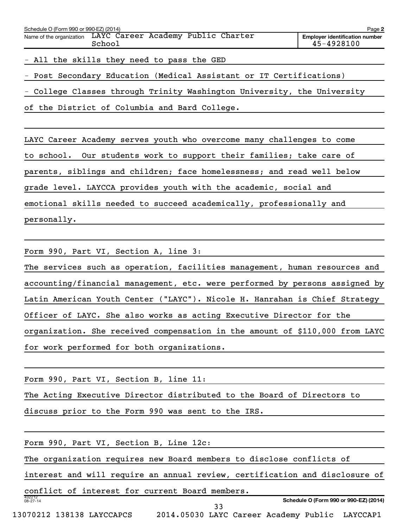| Schedule O (Form 990 or 990-EZ) (2014)<br>Page 2                      |                                                     |  |  |  |  |  |  |  |  |
|-----------------------------------------------------------------------|-----------------------------------------------------|--|--|--|--|--|--|--|--|
| Name of the organization LAYC Career Academy Public Charter<br>School | <b>Employer identification number</b><br>45-4928100 |  |  |  |  |  |  |  |  |
| - All the skills they need to pass the GED                            |                                                     |  |  |  |  |  |  |  |  |
| - Post Secondary Education (Medical Assistant or IT Certifications)   |                                                     |  |  |  |  |  |  |  |  |

- College Classes through Trinity Washington University, the University

of the District of Columbia and Bard College.

LAYC Career Academy serves youth who overcome many challenges to come to school. Our students work to support their families; take care of parents, siblings and children; face homelessness; and read well below grade level. LAYCCA provides youth with the academic, social and emotional skills needed to succeed academically, professionally and personally.

Form 990, Part VI, Section A, line 3:

The services such as operation, facilities management, human resources and accounting/financial management, etc. were performed by persons assigned by Latin American Youth Center ("LAYC"). Nicole H. Hanrahan is Chief Strategy Officer of LAYC. She also works as acting Executive Director for the organization. She received compensation in the amount of \$110,000 from LAYC for work performed for both organizations.

Form 990, Part VI, Section B, line 11:

The Acting Executive Director distributed to the Board of Directors to

discuss prior to the Form 990 was sent to the IRS.

| Form 990, Part VI, Section B, Line 12c:                                     |
|-----------------------------------------------------------------------------|
| The organization requires new Board members to disclose conflicts of        |
| interest and will require an annual review, certification and disclosure of |
| conflict of interest for current Board members.                             |
| 432212<br>Schedule O (Form 990 or 990-EZ) (2014)<br>$08 - 27 - 14$<br>33    |
| 13070212 138138 LAYCCAPCS<br>2014.05030 LAYC Career Academy Public LAYCCAP1 |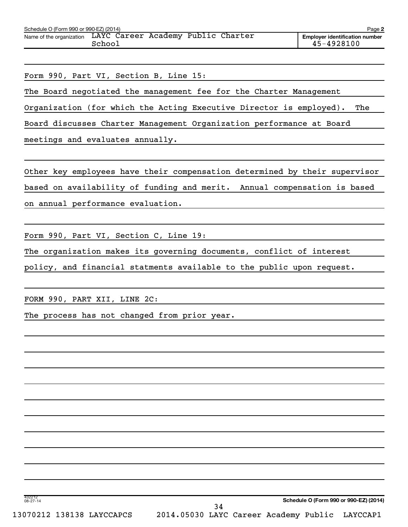| Schedule O (Form 990 or 990-EZ) (2014) |                                              |  | Page 2                                              |
|----------------------------------------|----------------------------------------------|--|-----------------------------------------------------|
| Name of the organization               | LAYC Career Academy Public Charter<br>School |  | <b>Employer identification number</b><br>45-4928100 |

Form 990, Part VI, Section B, Line 15:

The Board negotiated the management fee for the Charter Management

Organization (for which the Acting Executive Director is employed). The

Board discusses Charter Management Organization performance at Board

meetings and evaluates annually.

Other key employees have their compensation determined by their supervisor based on availability of funding and merit. Annual compensation is based on annual performance evaluation.

Form 990, Part VI, Section C, Line 19:

The organization makes its governing documents, conflict of interest

policy, and financial statments available to the public upon request.

FORM 990, PART XII, LINE 2C:

The process has not changed from prior year.

**Schedule O (Form 990 or 990-EZ) (2014)**

432212 08-27-14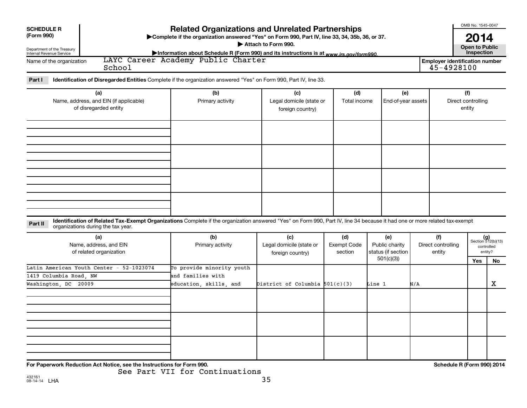| <b>SCHEDULE R</b>                                               |                                                                                                                                                                                                                  | <b>Related Organizations and Unrelated Partnerships</b>                                         |                                              |                        |                                                   |     |                                                     | OMB No. 1545-0047             |                             |
|-----------------------------------------------------------------|------------------------------------------------------------------------------------------------------------------------------------------------------------------------------------------------------------------|-------------------------------------------------------------------------------------------------|----------------------------------------------|------------------------|---------------------------------------------------|-----|-----------------------------------------------------|-------------------------------|-----------------------------|
| (Form 990)                                                      |                                                                                                                                                                                                                  | >Complete if the organization answered "Yes" on Form 990, Part IV, line 33, 34, 35b, 36, or 37. | Attach to Form 990.                          |                        |                                                   |     |                                                     | 2014<br><b>Open to Public</b> |                             |
| Department of the Treasury<br>Internal Revenue Service          |                                                                                                                                                                                                                  | Information about Schedule R (Form 990) and its instructions is at www.irs.gov/form990.         |                                              |                        |                                                   |     |                                                     | Inspection                    |                             |
| Name of the organization                                        | School                                                                                                                                                                                                           | LAYC Career Academy Public Charter                                                              |                                              |                        |                                                   |     | <b>Employer identification number</b><br>45-4928100 |                               |                             |
| Part I                                                          | Identification of Disregarded Entities Complete if the organization answered "Yes" on Form 990, Part IV, line 33.                                                                                                |                                                                                                 |                                              |                        |                                                   |     |                                                     |                               |                             |
|                                                                 | (a)                                                                                                                                                                                                              | (b)                                                                                             | (c)                                          | (d)                    | (e)                                               |     |                                                     | (f)                           |                             |
| Name, address, and EIN (if applicable)<br>of disregarded entity |                                                                                                                                                                                                                  | Primary activity                                                                                | Legal domicile (state or<br>foreign country) | Total income           | End-of-year assets                                |     | Direct controlling<br>entity                        |                               |                             |
|                                                                 |                                                                                                                                                                                                                  |                                                                                                 |                                              |                        |                                                   |     |                                                     |                               |                             |
|                                                                 |                                                                                                                                                                                                                  |                                                                                                 |                                              |                        |                                                   |     |                                                     |                               |                             |
|                                                                 |                                                                                                                                                                                                                  |                                                                                                 |                                              |                        |                                                   |     |                                                     |                               |                             |
|                                                                 |                                                                                                                                                                                                                  |                                                                                                 |                                              |                        |                                                   |     |                                                     |                               |                             |
|                                                                 |                                                                                                                                                                                                                  |                                                                                                 |                                              |                        |                                                   |     |                                                     |                               |                             |
| Part II                                                         | Identification of Related Tax-Exempt Organizations Complete if the organization answered "Yes" on Form 990, Part IV, line 34 because it had one or more related tax-exempt<br>organizations during the tax year. |                                                                                                 |                                              |                        |                                                   |     |                                                     |                               |                             |
|                                                                 | (a)                                                                                                                                                                                                              | (b)                                                                                             | (c)                                          | (d)                    | (e)                                               |     | (f)                                                 |                               | $(g)$<br>Section 512(b)(13) |
|                                                                 | Name, address, and EIN<br>of related organization                                                                                                                                                                | Primary activity                                                                                | Legal domicile (state or<br>foreign country) | Exempt Code<br>section | Public charity<br>status (if section<br>501(c)(3) |     | Direct controlling<br>entity                        |                               | controlled<br>entity?       |
|                                                                 | Latin American Youth Center - 52-1023074                                                                                                                                                                         | To provide minority youth                                                                       |                                              |                        |                                                   |     |                                                     | Yes                           | No                          |
| 1419 Columbia Road, NW                                          |                                                                                                                                                                                                                  | and families with                                                                               |                                              |                        |                                                   |     |                                                     |                               |                             |
| Washington, DC 20009                                            |                                                                                                                                                                                                                  | education, skills, and                                                                          | District of Columbia $501(c)(3)$             |                        | Line 1                                            | N/A |                                                     |                               | X                           |
|                                                                 |                                                                                                                                                                                                                  |                                                                                                 |                                              |                        |                                                   |     |                                                     |                               |                             |
|                                                                 |                                                                                                                                                                                                                  |                                                                                                 |                                              |                        |                                                   |     |                                                     |                               |                             |
|                                                                 |                                                                                                                                                                                                                  |                                                                                                 |                                              |                        |                                                   |     |                                                     |                               |                             |
|                                                                 |                                                                                                                                                                                                                  |                                                                                                 |                                              |                        |                                                   |     |                                                     |                               |                             |
|                                                                 |                                                                                                                                                                                                                  |                                                                                                 |                                              |                        |                                                   |     |                                                     |                               |                             |
|                                                                 | For Paperwork Reduction Act Notice, see the Instructions for Form 990.                                                                                                                                           | See Part VII for Continuations                                                                  |                                              |                        |                                                   |     | Schedule R (Form 990) 2014                          |                               |                             |

432161 08-14-14 LHA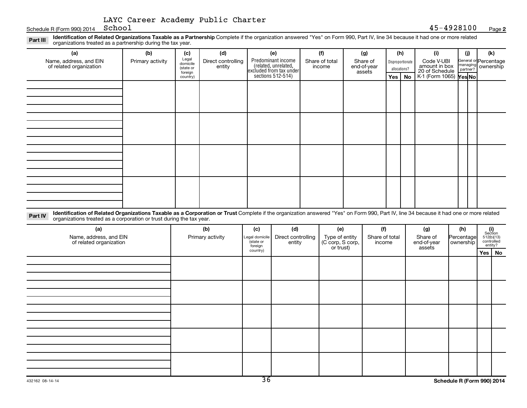|  | LAYC Career Academy Public Charter |  |
|--|------------------------------------|--|
|  |                                    |  |

Schedule R (Form 990) 2014  $School$ 

Part III Identification of Related Organizations Taxable as a Partnership Complete if the organization answered "Yes" on Form 990, Part IV, line 34 because it had one or more related<br>Read to the organizations tracted as a organizations treated as a partnership during the tax year.

| (a)<br>Name, address, and EIN<br>of related organization | (b)<br>Primary activity | (c)<br>Legal<br>domicile<br>(state or<br>foreign<br>country) | (d)<br>Direct controlling<br>entity | (e)<br>Predominant income<br>(related, unrelated,<br>excluded from tax under<br>sections 512-514) | (f)<br>Share of total<br>income | (g)<br>Share of<br>end-of-year<br>assets | (h)<br>Yes $ $ | Disproportionate<br>allocations?<br>No | (i)<br>Code V-UBI<br>amount in box<br>20 of Schedule<br>K-1 (Form 1065) <b>Yes No</b> | (j) | (k)<br>General or Percentage<br>managing ownership |
|----------------------------------------------------------|-------------------------|--------------------------------------------------------------|-------------------------------------|---------------------------------------------------------------------------------------------------|---------------------------------|------------------------------------------|----------------|----------------------------------------|---------------------------------------------------------------------------------------|-----|----------------------------------------------------|
|                                                          |                         |                                                              |                                     |                                                                                                   |                                 |                                          |                |                                        |                                                                                       |     |                                                    |
|                                                          |                         |                                                              |                                     |                                                                                                   |                                 |                                          |                |                                        |                                                                                       |     |                                                    |
|                                                          |                         |                                                              |                                     |                                                                                                   |                                 |                                          |                |                                        |                                                                                       |     |                                                    |
|                                                          |                         |                                                              |                                     |                                                                                                   |                                 |                                          |                |                                        |                                                                                       |     |                                                    |

Part IV Identification of Related Organizations Taxable as a Corporation or Trust Complete if the organization answered "Yes" on Form 990, Part IV, line 34 because it had one or more related<br>Comparison tracted as a comprat organizations treated as a corporation or trust during the tax year.

| (a)<br>Name, address, and EIN<br>of related organization | (b)<br>Primary activity | (c)<br>Legal domicile<br>state or<br>foreign | (d)<br>Direct controlling<br>entity | (e)<br>Type of entity<br>(C corp, S corp,<br>or trust) | (f)<br>Share of total<br>income | (g)<br>Share of<br>end-of-year<br>assets | (h)<br>Percentage<br>ownership |          | $\begin{array}{c} \textbf{(i)}\\ \text{Section}\\ 512 \text{(b)} \text{(13)}\\ \text{controlled}\\ \text{entity?} \end{array}$ |  |  |  |  |  |
|----------------------------------------------------------|-------------------------|----------------------------------------------|-------------------------------------|--------------------------------------------------------|---------------------------------|------------------------------------------|--------------------------------|----------|--------------------------------------------------------------------------------------------------------------------------------|--|--|--|--|--|
|                                                          |                         | country)                                     |                                     |                                                        |                                 |                                          |                                | Yes   No |                                                                                                                                |  |  |  |  |  |
|                                                          |                         |                                              |                                     |                                                        |                                 |                                          |                                |          |                                                                                                                                |  |  |  |  |  |
|                                                          |                         |                                              |                                     |                                                        |                                 |                                          |                                |          |                                                                                                                                |  |  |  |  |  |
|                                                          |                         |                                              |                                     |                                                        |                                 |                                          |                                |          |                                                                                                                                |  |  |  |  |  |
|                                                          |                         |                                              |                                     |                                                        |                                 |                                          |                                |          |                                                                                                                                |  |  |  |  |  |
|                                                          |                         |                                              |                                     |                                                        |                                 |                                          |                                |          |                                                                                                                                |  |  |  |  |  |
|                                                          |                         |                                              |                                     |                                                        |                                 |                                          |                                |          |                                                                                                                                |  |  |  |  |  |
|                                                          |                         |                                              |                                     |                                                        |                                 |                                          |                                |          |                                                                                                                                |  |  |  |  |  |
|                                                          |                         |                                              |                                     |                                                        |                                 |                                          |                                |          |                                                                                                                                |  |  |  |  |  |
|                                                          |                         |                                              |                                     |                                                        |                                 |                                          |                                |          |                                                                                                                                |  |  |  |  |  |
|                                                          |                         |                                              |                                     |                                                        |                                 |                                          |                                |          |                                                                                                                                |  |  |  |  |  |
|                                                          |                         |                                              |                                     |                                                        |                                 |                                          |                                |          |                                                                                                                                |  |  |  |  |  |
|                                                          |                         |                                              |                                     |                                                        |                                 |                                          |                                |          |                                                                                                                                |  |  |  |  |  |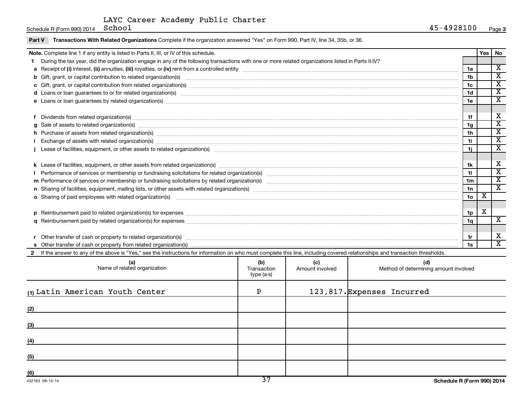Schedule R (Form 990) 2014  $School$ 

Part V Transactions With Related Organizations Complete if the organization answered "Yes" on Form 990, Part IV, line 34, 35b, or 36.

| Note. Complete line 1 if any entity is listed in Parts II, III, or IV of this schedule.                                                                                                                                        |                                  |                        |                                              |                 | Yes                     | No                      |
|--------------------------------------------------------------------------------------------------------------------------------------------------------------------------------------------------------------------------------|----------------------------------|------------------------|----------------------------------------------|-----------------|-------------------------|-------------------------|
| During the tax year, did the organization engage in any of the following transactions with one or more related organizations listed in Parts II-IV?                                                                            |                                  |                        |                                              |                 |                         |                         |
|                                                                                                                                                                                                                                |                                  |                        |                                              | 1a              |                         | $\overline{\mathbf{x}}$ |
|                                                                                                                                                                                                                                |                                  |                        |                                              | 1b              |                         | $\overline{\mathbf{x}}$ |
|                                                                                                                                                                                                                                |                                  |                        |                                              | 1c              |                         | $\overline{\mathbf{x}}$ |
|                                                                                                                                                                                                                                |                                  |                        |                                              | 1 <sub>d</sub>  |                         | $\overline{\texttt{x}}$ |
|                                                                                                                                                                                                                                |                                  |                        |                                              | 1e              |                         | $\overline{\textbf{x}}$ |
|                                                                                                                                                                                                                                |                                  |                        |                                              | 1f              |                         | X                       |
| Sale of assets to related organization(s) www.assemicroscopy.com/news/contract/news/contract/news/contract/news/contract/news/contract/news/contract/news/contract/news/contract/news/contract/news/contract/news/contract/new |                                  |                        |                                              | 1g              |                         | $\overline{\texttt{x}}$ |
| h Purchase of assets from related organization(s) manufactured and content to content the content of assets from related organization(s) manufactured and content and content and content of the content of the content of the |                                  |                        |                                              | 1h              |                         | $\overline{\mathbf{X}}$ |
|                                                                                                                                                                                                                                |                                  |                        |                                              | 1i              |                         | $\overline{\texttt{x}}$ |
|                                                                                                                                                                                                                                |                                  |                        |                                              | 1i l            |                         | $\overline{\texttt{x}}$ |
|                                                                                                                                                                                                                                |                                  |                        |                                              | 1k              |                         | х                       |
|                                                                                                                                                                                                                                |                                  |                        |                                              | 11              |                         | $\overline{\texttt{x}}$ |
|                                                                                                                                                                                                                                |                                  |                        |                                              | 1m              |                         | $\overline{\texttt{x}}$ |
|                                                                                                                                                                                                                                |                                  |                        |                                              | 1n              |                         | $\overline{\texttt{x}}$ |
| o Sharing of paid employees with related organization(s) manufactured and content to the content of the content of the content of the content of the content of the content of the content of the content of the content of th |                                  |                        |                                              | 10 <sub>o</sub> | $\overline{\mathbf{X}}$ |                         |
|                                                                                                                                                                                                                                |                                  |                        |                                              | 1p              | X                       |                         |
|                                                                                                                                                                                                                                |                                  |                        |                                              | 1q              |                         | $\overline{\textbf{x}}$ |
|                                                                                                                                                                                                                                |                                  |                        |                                              |                 |                         |                         |
|                                                                                                                                                                                                                                |                                  |                        |                                              | 1r              |                         | х                       |
|                                                                                                                                                                                                                                |                                  |                        |                                              | 1s              |                         | $\overline{\mathbf{x}}$ |
| If the answer to any of the above is "Yes," see the instructions for information on who must complete this line, including covered relationships and transaction thresholds.                                                   |                                  |                        |                                              |                 |                         |                         |
| (a)<br>Name of related organization                                                                                                                                                                                            | (b)<br>Transaction<br>type (a-s) | (c)<br>Amount involved | (d)<br>Method of determining amount involved |                 |                         |                         |
| (1) Latin American Youth Center                                                                                                                                                                                                | P                                |                        | 123,817. Expenses Incurred                   |                 |                         |                         |

| 100100, 001111 | ד כ | Schodule P (Form 990) 201 |
|----------------|-----|---------------------------|
| (6)            |     |                           |
| (5)            |     |                           |
|                |     |                           |
| (4)            |     |                           |
|                |     |                           |
| (3)            |     |                           |
| (2)            |     |                           |
|                |     |                           |
|                |     |                           |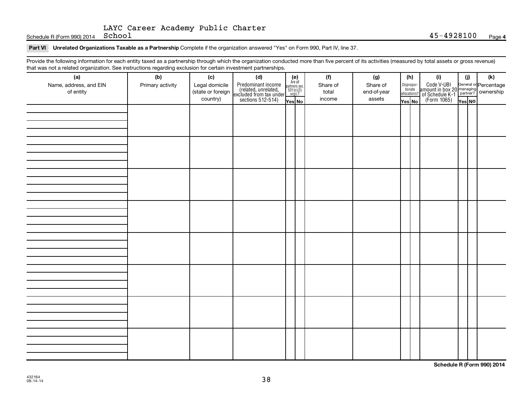Schedule R (Form 990) 2014  $School$ 

#### Part VI Unrelated Organizations Taxable as a Partnership Complete if the organization answered "Yes" on Form 990, Part IV, line 37.

Provide the following information for each entity taxed as a partnership through which the organization conducted more than five percent of its activities (measured by total assets or gross revenue) that was not a related organization. See instructions regarding exclusion for certain investment partnerships.

| that machieve include eigenmation. See motionene regarding exercision for contain invectment partneremper<br>(a) | (b)              | (c) | (d)                                                                                                                                                                                                                       |                                                            | (f)      | (g)         |                                  | (h) | (i)                                                                                                             | (i)    | (k) |
|------------------------------------------------------------------------------------------------------------------|------------------|-----|---------------------------------------------------------------------------------------------------------------------------------------------------------------------------------------------------------------------------|------------------------------------------------------------|----------|-------------|----------------------------------|-----|-----------------------------------------------------------------------------------------------------------------|--------|-----|
| Name, address, and EIN                                                                                           | Primary activity |     |                                                                                                                                                                                                                           | $(e)$<br>Are all<br>partners sec.<br>$501(c)(3)$<br>orgs.? | Share of | Share of    |                                  |     |                                                                                                                 |        |     |
| of entity                                                                                                        |                  |     | Legal domicile<br>(state or foreign<br>(celated, unrelated,<br>country)<br>$\left.\begin{array}{c}\n\text{Predicted, unrelated, unrelated, unrelated, non-exculated from tax undersections 512-514)\n\end{array}\right\}$ |                                                            | total    | end-of-year | Disproportionate<br>allocations? |     | Code V-UBI<br>amount in box 20 managing<br>2 of Schedule K-1<br>Person of The Press No<br>(Form 1065)<br>Tes No |        |     |
|                                                                                                                  |                  |     |                                                                                                                                                                                                                           |                                                            | income   | assets      |                                  |     |                                                                                                                 |        |     |
|                                                                                                                  |                  |     |                                                                                                                                                                                                                           | Yes No                                                     |          |             | Yes No                           |     |                                                                                                                 | Yes NO |     |
|                                                                                                                  |                  |     |                                                                                                                                                                                                                           |                                                            |          |             |                                  |     |                                                                                                                 |        |     |
|                                                                                                                  |                  |     |                                                                                                                                                                                                                           |                                                            |          |             |                                  |     |                                                                                                                 |        |     |
|                                                                                                                  |                  |     |                                                                                                                                                                                                                           |                                                            |          |             |                                  |     |                                                                                                                 |        |     |
|                                                                                                                  |                  |     |                                                                                                                                                                                                                           |                                                            |          |             |                                  |     |                                                                                                                 |        |     |
|                                                                                                                  |                  |     |                                                                                                                                                                                                                           |                                                            |          |             |                                  |     |                                                                                                                 |        |     |
|                                                                                                                  |                  |     |                                                                                                                                                                                                                           |                                                            |          |             |                                  |     |                                                                                                                 |        |     |
|                                                                                                                  |                  |     |                                                                                                                                                                                                                           |                                                            |          |             |                                  |     |                                                                                                                 |        |     |
|                                                                                                                  |                  |     |                                                                                                                                                                                                                           |                                                            |          |             |                                  |     |                                                                                                                 |        |     |
|                                                                                                                  |                  |     |                                                                                                                                                                                                                           |                                                            |          |             |                                  |     |                                                                                                                 |        |     |
|                                                                                                                  |                  |     |                                                                                                                                                                                                                           |                                                            |          |             |                                  |     |                                                                                                                 |        |     |
|                                                                                                                  |                  |     |                                                                                                                                                                                                                           |                                                            |          |             |                                  |     |                                                                                                                 |        |     |
|                                                                                                                  |                  |     |                                                                                                                                                                                                                           |                                                            |          |             |                                  |     |                                                                                                                 |        |     |
|                                                                                                                  |                  |     |                                                                                                                                                                                                                           |                                                            |          |             |                                  |     |                                                                                                                 |        |     |
|                                                                                                                  |                  |     |                                                                                                                                                                                                                           |                                                            |          |             |                                  |     |                                                                                                                 |        |     |
|                                                                                                                  |                  |     |                                                                                                                                                                                                                           |                                                            |          |             |                                  |     |                                                                                                                 |        |     |
|                                                                                                                  |                  |     |                                                                                                                                                                                                                           |                                                            |          |             |                                  |     |                                                                                                                 |        |     |
|                                                                                                                  |                  |     |                                                                                                                                                                                                                           |                                                            |          |             |                                  |     |                                                                                                                 |        |     |
|                                                                                                                  |                  |     |                                                                                                                                                                                                                           |                                                            |          |             |                                  |     |                                                                                                                 |        |     |
|                                                                                                                  |                  |     |                                                                                                                                                                                                                           |                                                            |          |             |                                  |     |                                                                                                                 |        |     |
|                                                                                                                  |                  |     |                                                                                                                                                                                                                           |                                                            |          |             |                                  |     |                                                                                                                 |        |     |
|                                                                                                                  |                  |     |                                                                                                                                                                                                                           |                                                            |          |             |                                  |     |                                                                                                                 |        |     |
|                                                                                                                  |                  |     |                                                                                                                                                                                                                           |                                                            |          |             |                                  |     |                                                                                                                 |        |     |
|                                                                                                                  |                  |     |                                                                                                                                                                                                                           |                                                            |          |             |                                  |     |                                                                                                                 |        |     |
|                                                                                                                  |                  |     |                                                                                                                                                                                                                           |                                                            |          |             |                                  |     |                                                                                                                 |        |     |
|                                                                                                                  |                  |     |                                                                                                                                                                                                                           |                                                            |          |             |                                  |     |                                                                                                                 |        |     |
|                                                                                                                  |                  |     |                                                                                                                                                                                                                           |                                                            |          |             |                                  |     |                                                                                                                 |        |     |
|                                                                                                                  |                  |     |                                                                                                                                                                                                                           |                                                            |          |             |                                  |     |                                                                                                                 |        |     |
|                                                                                                                  |                  |     |                                                                                                                                                                                                                           |                                                            |          |             |                                  |     |                                                                                                                 |        |     |
|                                                                                                                  |                  |     |                                                                                                                                                                                                                           |                                                            |          |             |                                  |     |                                                                                                                 |        |     |
|                                                                                                                  |                  |     |                                                                                                                                                                                                                           |                                                            |          |             |                                  |     |                                                                                                                 |        |     |
|                                                                                                                  |                  |     |                                                                                                                                                                                                                           |                                                            |          |             |                                  |     |                                                                                                                 |        |     |
|                                                                                                                  |                  |     |                                                                                                                                                                                                                           |                                                            |          |             |                                  |     |                                                                                                                 |        |     |
|                                                                                                                  |                  |     |                                                                                                                                                                                                                           |                                                            |          |             |                                  |     |                                                                                                                 |        |     |
|                                                                                                                  |                  |     |                                                                                                                                                                                                                           |                                                            |          |             |                                  |     |                                                                                                                 |        |     |
|                                                                                                                  |                  |     |                                                                                                                                                                                                                           |                                                            |          |             |                                  |     |                                                                                                                 |        |     |

**Schedule R (Form 990) 2014**